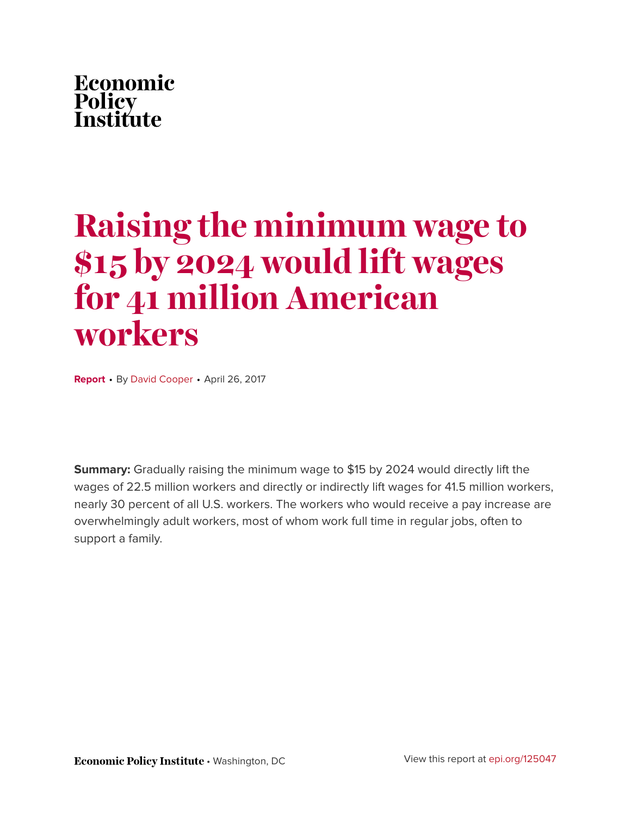# Economic **Policy<br>Institute**

# **Raising the minimum wage to \$15 by 2024 would lift wages for 41 million American workers**

**Report** • By [David Cooper](http://www.epi.org/people/david-cooper/) • April 26, 2017

**Summary:** Gradually raising the minimum wage to \$15 by 2024 would directly lift the wages of 22.5 million workers and directly or indirectly lift wages for 41.5 million workers, nearly 30 percent of all U.S. workers. The workers who would receive a pay increase are overwhelmingly adult workers, most of whom work full time in regular jobs, often to support a family.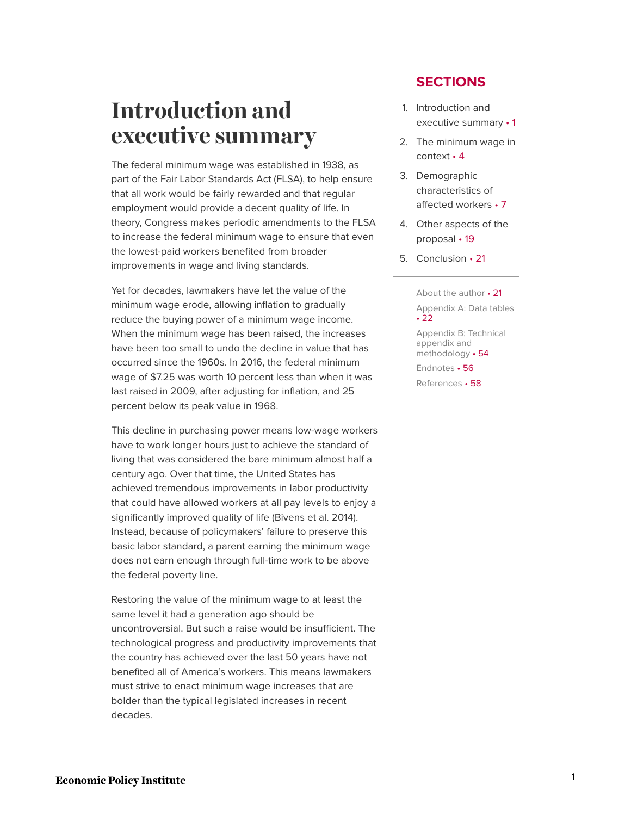# <span id="page-1-0"></span>**Introduction and executive summary**

The federal minimum wage was established in 1938, as part of the Fair Labor Standards Act (FLSA), to help ensure that all work would be fairly rewarded and that regular employment would provide a decent quality of life. In theory, Congress makes periodic amendments to the FLSA to increase the federal minimum wage to ensure that even the lowest-paid workers benefited from broader improvements in wage and living standards.

Yet for decades, lawmakers have let the value of the minimum wage erode, allowing inflation to gradually reduce the buying power of a minimum wage income. When the minimum wage has been raised, the increases have been too small to undo the decline in value that has occurred since the 1960s. In 2016, the federal minimum wage of \$7.25 was worth 10 percent less than when it was last raised in 2009, after adjusting for inflation, and 25 percent below its peak value in 1968.

This decline in purchasing power means low-wage workers have to work longer hours just to achieve the standard of living that was considered the bare minimum almost half a century ago. Over that time, the United States has achieved tremendous improvements in labor productivity that could have allowed workers at all pay levels to enjoy a significantly improved quality of life (Bivens et al. 2014). Instead, because of policymakers' failure to preserve this basic labor standard, a parent earning the minimum wage does not earn enough through full-time work to be above the federal poverty line.

Restoring the value of the minimum wage to at least the same level it had a generation ago should be uncontroversial. But such a raise would be insufficient. The technological progress and productivity improvements that the country has achieved over the last 50 years have not benefited all of America's workers. This means lawmakers must strive to enact minimum wage increases that are bolder than the typical legislated increases in recent decades.

### **SECTIONS**

- 1. [Introduction and](#page-1-0) [executive](#page-1-0) summary • 1
- 2. [The minimum wage in](#page-4-0) [context](#page-4-0) • 4
- 3. [Demographic](#page-7-0) [characteristics of](#page-7-0) [affected](#page-7-0) workers • 7
- 4. [Other aspects of the](#page-19-0) [proposal](#page-19-0) • 19
- 5. [Conclusion](#page-21-0) 21

[About the](#page-21-1) author • 21 [Appendix A: Data](#page-22-0) tables • [22](#page-22-0) [Appendix B: Technical](#page-54-0) [appendix and](#page-54-0) [methodology](#page-54-0) • 54 [Endnotes](#page-56-0) • 56 [References](#page-58-0) • 58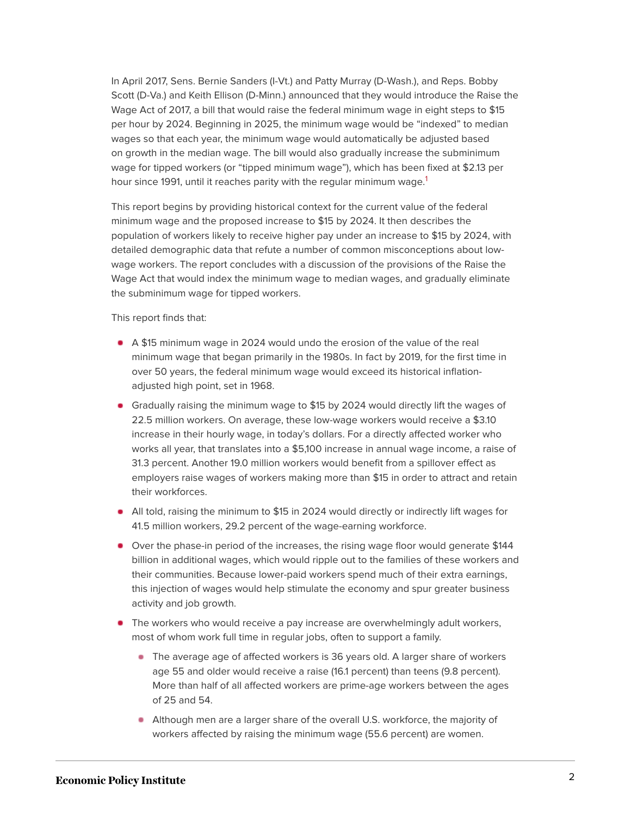In April 2017, Sens. Bernie Sanders (I-Vt.) and Patty Murray (D-Wash.), and Reps. Bobby Scott (D-Va.) and Keith Ellison (D-Minn.) announced that they would introduce the Raise the Wage Act of 2017, a bill that would raise the federal minimum wage in eight steps to \$15 per hour by 2024. Beginning in 2025, the minimum wage would be "indexed" to median wages so that each year, the minimum wage would automatically be adjusted based on growth in the median wage. The bill would also gradually increase the subminimum wage for tipped workers (or "tipped minimum wage"), which has been fixed at \$2.13 per hour since [1](#page-56-1)991, until it reaches parity with the regular minimum wage.<sup>1</sup>

<span id="page-2-0"></span>This report begins by providing historical context for the current value of the federal minimum wage and the proposed increase to \$15 by 2024. It then describes the population of workers likely to receive higher pay under an increase to \$15 by 2024, with detailed demographic data that refute a number of common misconceptions about lowwage workers. The report concludes with a discussion of the provisions of the Raise the Wage Act that would index the minimum wage to median wages, and gradually eliminate the subminimum wage for tipped workers.

This report finds that:

- A \$15 minimum wage in 2024 would undo the erosion of the value of the real minimum wage that began primarily in the 1980s. In fact by 2019, for the first time in over 50 years, the federal minimum wage would exceed its historical inflationadjusted high point, set in 1968.
- Gradually raising the minimum wage to \$15 by 2024 would directly lift the wages of 22.5 million workers. On average, these low-wage workers would receive a \$3.10 increase in their hourly wage, in today's dollars. For a directly affected worker who works all year, that translates into a \$5,100 increase in annual wage income, a raise of 31.3 percent. Another 19.0 million workers would benefit from a spillover effect as employers raise wages of workers making more than \$15 in order to attract and retain their workforces.
- All told, raising the minimum to \$15 in 2024 would directly or indirectly lift wages for 41.5 million workers, 29.2 percent of the wage-earning workforce.
- Over the phase-in period of the increases, the rising wage floor would generate \$144 billion in additional wages, which would ripple out to the families of these workers and their communities. Because lower-paid workers spend much of their extra earnings, this injection of wages would help stimulate the economy and spur greater business activity and job growth.
- **The workers who would receive a pay increase are overwhelmingly adult workers,** most of whom work full time in regular jobs, often to support a family.
	- The average age of affected workers is 36 years old. A larger share of workers age 55 and older would receive a raise (16.1 percent) than teens (9.8 percent). More than half of all affected workers are prime-age workers between the ages of 25 and 54.
	- Although men are a larger share of the overall U.S. workforce, the majority of workers affected by raising the minimum wage (55.6 percent) are women.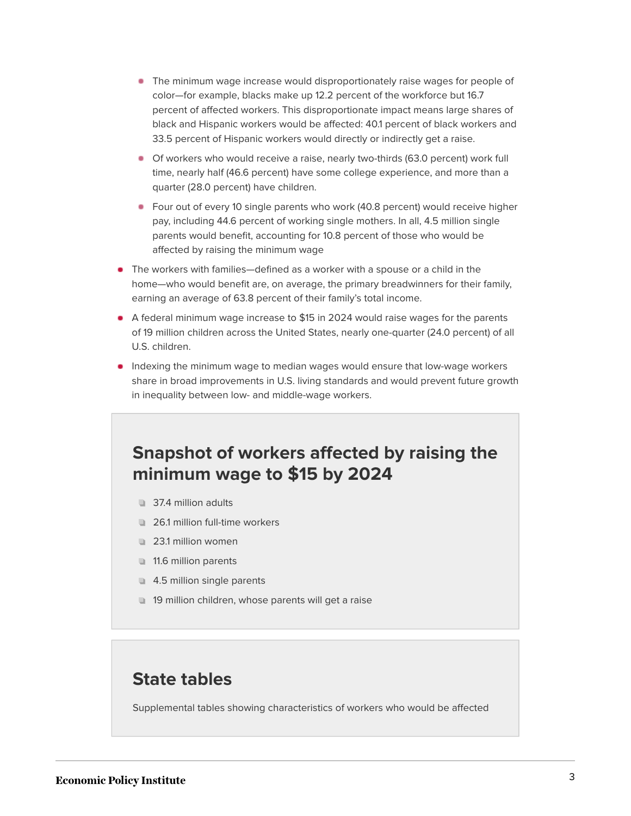- The minimum wage increase would disproportionately raise wages for people of color—for example, blacks make up 12.2 percent of the workforce but 16.7 percent of affected workers. This disproportionate impact means large shares of black and Hispanic workers would be affected: 40.1 percent of black workers and 33.5 percent of Hispanic workers would directly or indirectly get a raise.
- Of workers who would receive a raise, nearly two-thirds (63.0 percent) work full time, nearly half (46.6 percent) have some college experience, and more than a quarter (28.0 percent) have children.
- Four out of every 10 single parents who work (40.8 percent) would receive higher pay, including 44.6 percent of working single mothers. In all, 4.5 million single parents would benefit, accounting for 10.8 percent of those who would be affected by raising the minimum wage
- The workers with families—defined as a worker with a spouse or a child in the home—who would benefit are, on average, the primary breadwinners for their family, earning an average of 63.8 percent of their family's total income.
- A federal minimum wage increase to \$15 in 2024 would raise wages for the parents of 19 million children across the United States, nearly one-quarter (24.0 percent) of all U.S. children.
- **Indexing the minimum wage to median wages would ensure that low-wage workers** share in broad improvements in U.S. living standards and would prevent future growth in inequality between low- and middle-wage workers.

## **Snapshot of workers affected by raising the minimum wage to \$15 by 2024**

- 37.4 million adults
- 26.1 million full-time workers
- 23.1 million women
- 11.6 million parents
- 4.5 million single parents
- 19 million children, whose parents will get a raise

### **State tables**

Supplemental tables showing characteristics of workers who would be affected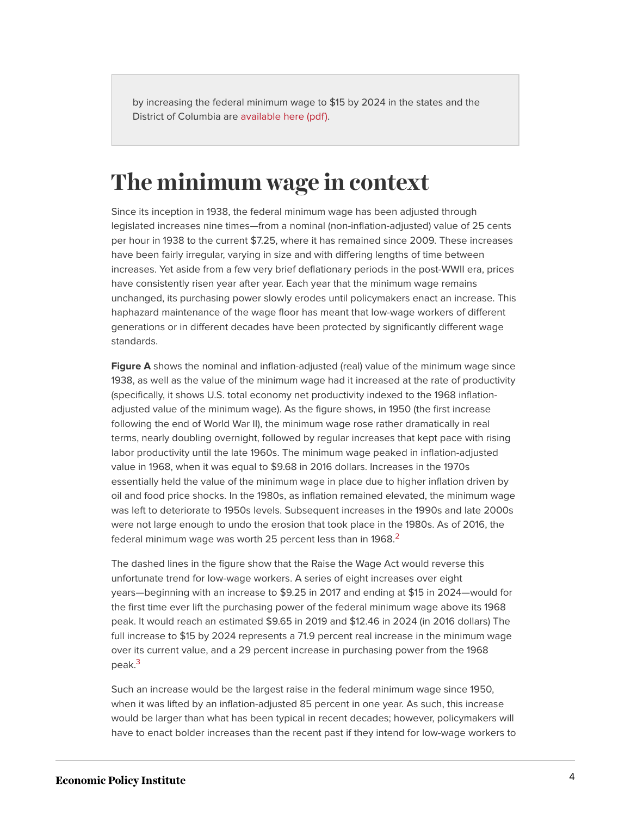by increasing the federal minimum wage to \$15 by 2024 in the states and the District of Columbia are [available here \(pdf\).](http://www.epi.org/files/2017/MW-State-Tables.pdf)

# <span id="page-4-0"></span>**The minimum wage in context**

Since its inception in 1938, the federal minimum wage has been adjusted through legislated increases nine times—from a nominal (non-inflation-adjusted) value of 25 cents per hour in 1938 to the current \$7.25, where it has remained since 2009. These increases have been fairly irregular, varying in size and with differing lengths of time between increases. Yet aside from a few very brief deflationary periods in the post-WWII era, prices have consistently risen year after year. Each year that the minimum wage remains unchanged, its purchasing power slowly erodes until policymakers enact an increase. This haphazard maintenance of the wage floor has meant that low-wage workers of different generations or in different decades have been protected by significantly different wage standards.

**Figure A** shows the nominal and inflation-adjusted (real) value of the minimum wage since 1938, as well as the value of the minimum wage had it increased at the rate of productivity (specifically, it shows U.S. total economy net productivity indexed to the 1968 inflationadjusted value of the minimum wage). As the figure shows, in 1950 (the first increase following the end of World War II), the minimum wage rose rather dramatically in real terms, nearly doubling overnight, followed by regular increases that kept pace with rising labor productivity until the late 1960s. The minimum wage peaked in inflation-adjusted value in 1968, when it was equal to \$9.68 in 2016 dollars. Increases in the 1970s essentially held the value of the minimum wage in place due to higher inflation driven by oil and food price shocks. In the 1980s, as inflation remained elevated, the minimum wage was left to deteriorate to 1950s levels. Subsequent increases in the 1990s and late 2000s were not large enough to undo the erosion that took place in the 1980s. As of 2016, the federal minimum wage was worth [2](#page-56-2)5 percent less than in 1968. $^2$ 

<span id="page-4-1"></span>The dashed lines in the figure show that the Raise the Wage Act would reverse this unfortunate trend for low-wage workers. A series of eight increases over eight years—beginning with an increase to \$9.25 in 2017 and ending at \$15 in 2024—would for the first time ever lift the purchasing power of the federal minimum wage above its 1968 peak. It would reach an estimated \$9.65 in 2019 and \$12.46 in 2024 (in 2016 dollars) The full increase to \$15 by 2024 represents a 71.9 percent real increase in the minimum wage over its current value, and a 29 percent increase in purchasing power from the 1968 peak.<sup>[3](#page-56-3)</sup>

<span id="page-4-2"></span>Such an increase would be the largest raise in the federal minimum wage since 1950, when it was lifted by an inflation-adjusted 85 percent in one year. As such, this increase would be larger than what has been typical in recent decades; however, policymakers will have to enact bolder increases than the recent past if they intend for low-wage workers to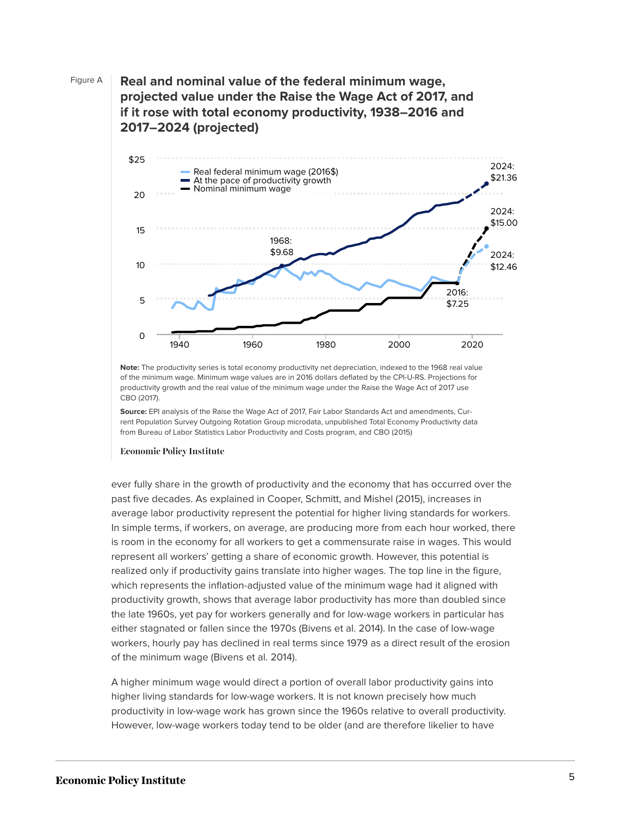Figure A **Real and nominal value of the federal minimum wage, projected value under the Raise the Wage Act of 2017, and if it rose with total economy productivity, 1938–2016 and 2017–2024 (projected)**



**Note:** The productivity series is total economy productivity net depreciation, indexed to the 1968 real value of the minimum wage. Minimum wage values are in 2016 dollars deflated by the CPI-U-RS. Projections for productivity growth and the real value of the minimum wage under the Raise the Wage Act of 2017 use CBO (2017).

**Source:** EPI analysis of the Raise the Wage Act of 2017, Fair Labor Standards Act and amendments, Current Population Survey Outgoing Rotation Group microdata, unpublished Total Economy Productivity data from Bureau of Labor Statistics Labor Productivity and Costs program, and CBO (2015)

#### **Economic Policy Institute**

ever fully share in the growth of productivity and the economy that has occurred over the past five decades. As explained in Cooper, Schmitt, and Mishel (2015), increases in average labor productivity represent the potential for higher living standards for workers. In simple terms, if workers, on average, are producing more from each hour worked, there is room in the economy for all workers to get a commensurate raise in wages. This would represent all workers' getting a share of economic growth. However, this potential is realized only if productivity gains translate into higher wages. The top line in the figure, which represents the inflation-adjusted value of the minimum wage had it aligned with productivity growth, shows that average labor productivity has more than doubled since the late 1960s, yet pay for workers generally and for low-wage workers in particular has either stagnated or fallen since the 1970s (Bivens et al. 2014). In the case of low-wage workers, hourly pay has declined in real terms since 1979 as a direct result of the erosion of the minimum wage (Bivens et al. 2014).

A higher minimum wage would direct a portion of overall labor productivity gains into higher living standards for low-wage workers. It is not known precisely how much productivity in low-wage work has grown since the 1960s relative to overall productivity. However, low-wage workers today tend to be older (and are therefore likelier to have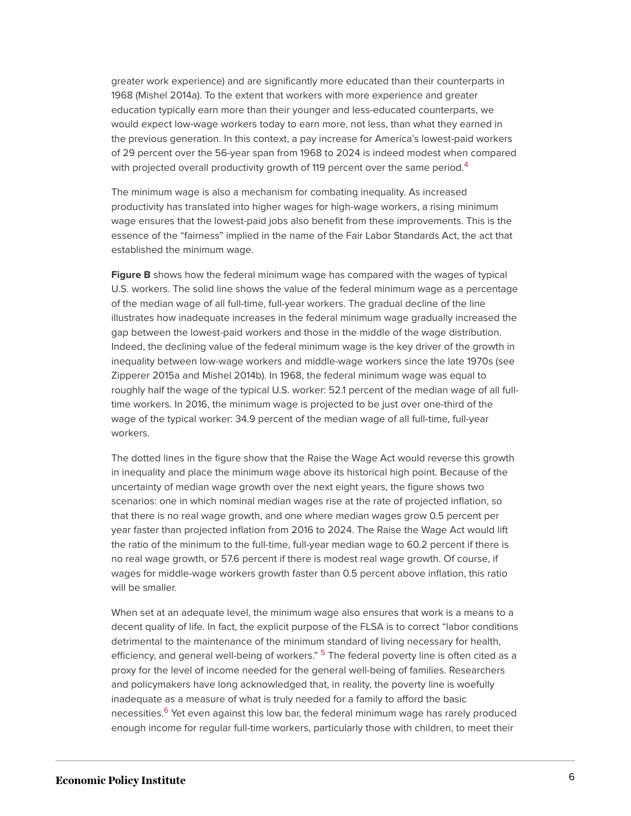greater work experience) and are significantly more educated than their counterparts in 1968 (Mishel 2014a). To the extent that workers with more experience and greater education typically earn more than their younger and less-educated counterparts, we would expect low-wage workers today to earn more, not less, than what they earned in the previous generation. In this context, a pay increase for America's lowest-paid workers of 29 percent over the 56-year span from 1968 to 2024 is indeed modest when compared with projected overall productivity growth of 119 percent over the same period.<sup>[4](#page-56-4)</sup>

<span id="page-6-0"></span>The minimum wage is also a mechanism for combating inequality. As increased productivity has translated into higher wages for high-wage workers, a rising minimum wage ensures that the lowest-paid jobs also benefit from these improvements. This is the essence of the "fairness" implied in the name of the Fair Labor Standards Act, the act that established the minimum wage.

**Figure B** shows how the federal minimum wage has compared with the wages of typical U.S. workers. The solid line shows the value of the federal minimum wage as a percentage of the median wage of all full-time, full-year workers. The gradual decline of the line illustrates how inadequate increases in the federal minimum wage gradually increased the gap between the lowest-paid workers and those in the middle of the wage distribution. Indeed, the declining value of the federal minimum wage is the key driver of the growth in inequality between low-wage workers and middle-wage workers since the late 1970s (see Zipperer 2015a and Mishel 2014b). In 1968, the federal minimum wage was equal to roughly half the wage of the typical U.S. worker: 52.1 percent of the median wage of all fulltime workers. In 2016, the minimum wage is projected to be just over one-third of the wage of the typical worker: 34.9 percent of the median wage of all full-time, full-year workers.

The dotted lines in the figure show that the Raise the Wage Act would reverse this growth in inequality and place the minimum wage above its historical high point. Because of the uncertainty of median wage growth over the next eight years, the figure shows two scenarios: one in which nominal median wages rise at the rate of projected inflation, so that there is no real wage growth, and one where median wages grow 0.5 percent per year faster than projected inflation from 2016 to 2024. The Raise the Wage Act would lift the ratio of the minimum to the full-time, full-year median wage to 60.2 percent if there is no real wage growth, or 57.6 percent if there is modest real wage growth. Of course, if wages for middle-wage workers growth faster than 0.5 percent above inflation, this ratio will be smaller.

<span id="page-6-2"></span><span id="page-6-1"></span>When set at an adequate level, the minimum wage also ensures that work is a means to a decent quality of life. In fact, the explicit purpose of the FLSA is to correct "labor conditions detrimental to the maintenance of the minimum standard of living necessary for health, efficiency, and general well-being of workers." <sup>[5](#page-56-5)</sup> The federal poverty line is often cited as a proxy for the level of income needed for the general well-being of families. Researchers and policymakers have long acknowledged that, in reality, the poverty line is woefully inadequate as a measure of what is truly needed for a family to afford the basic necessities.<sup>[6](#page-56-6)</sup> Yet even against this low bar, the federal minimum wage has rarely produced enough income for regular full-time workers, particularly those with children, to meet their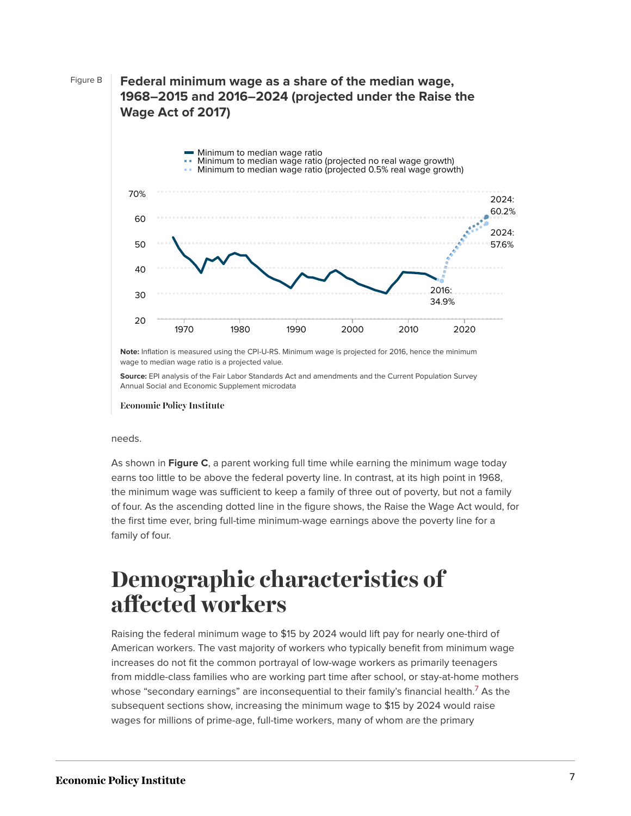### Figure B **Federal minimum wage as a share of the median wage, 1968–2015 and 2016–2024 (projected under the Raise the Wage Act of 2017)**



**Note:** Inflation is measured using the CPI-U-RS. Minimum wage is projected for 2016, hence the minimum wage to median wage ratio is a projected value.

**Source:** EPI analysis of the Fair Labor Standards Act and amendments and the Current Population Survey Annual Social and Economic Supplement microdata

**Economic Policy Institute** 

#### needs.

As shown in **Figure C**, a parent working full time while earning the minimum wage today earns too little to be above the federal poverty line. In contrast, at its high point in 1968, the minimum wage was sufficient to keep a family of three out of poverty, but not a family of four. As the ascending dotted line in the figure shows, the Raise the Wage Act would, for the first time ever, bring full-time minimum-wage earnings above the poverty line for a family of four.

# <span id="page-7-0"></span>**Demographic characteristics of affected workers**

<span id="page-7-1"></span>Raising the federal minimum wage to \$15 by 2024 would lift pay for nearly one-third of American workers. The vast majority of workers who typically benefit from minimum wage increases do not fit the common portrayal of low-wage workers as primarily teenagers from middle-class families who are working part time after school, or stay-at-home mothers whose "secondary earnings" are inconsequential to their family's financial health.<sup>[7](#page-57-0)</sup> As the subsequent sections show, increasing the minimum wage to \$15 by 2024 would raise wages for millions of prime-age, full-time workers, many of whom are the primary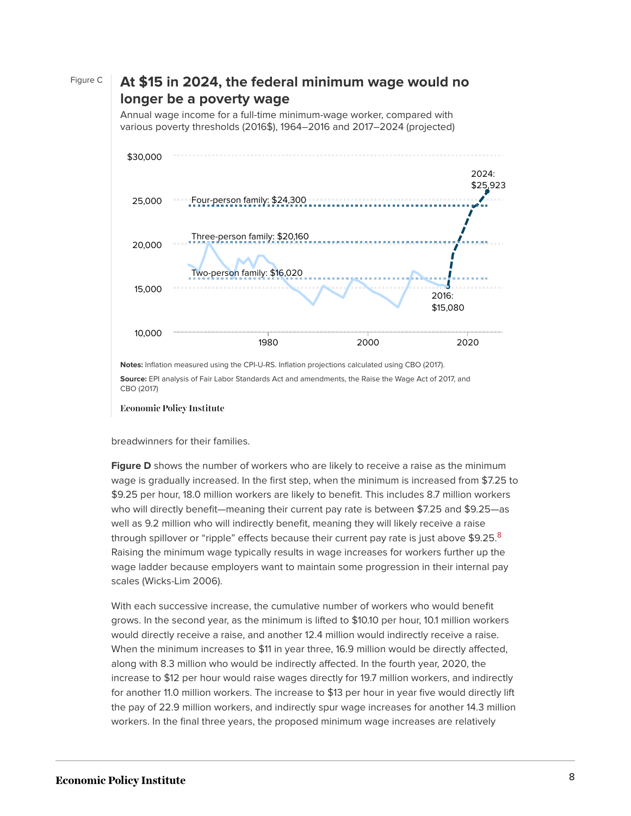

Figure C **At \$15 in 2024, the federal minimum wage would no**

**Source:** EPI analysis of Fair Labor Standards Act and amendments, the Raise the Wage Act of 2017, and CBO (2017)

**Economic Policy Institute** 

breadwinners for their families.

**Figure D** shows the number of workers who are likely to receive a raise as the minimum wage is gradually increased. In the first step, when the minimum is increased from \$7.25 to \$9.25 per hour, 18.0 million workers are likely to benefit. This includes 8.7 million workers who will directly benefit—meaning their current pay rate is between \$7.25 and \$9.25—as well as 9.2 million who will indirectly benefit, meaning they will likely receive a raise through spillover or "ripple" effects because their current pay rate is just above  $$9.25<sup>8</sup>$  $$9.25<sup>8</sup>$  $$9.25<sup>8</sup>$ Raising the minimum wage typically results in wage increases for workers further up the wage ladder because employers want to maintain some progression in their internal pay scales (Wicks-Lim 2006).

<span id="page-8-0"></span>With each successive increase, the cumulative number of workers who would benefit grows. In the second year, as the minimum is lifted to \$10.10 per hour, 10.1 million workers would directly receive a raise, and another 12.4 million would indirectly receive a raise. When the minimum increases to \$11 in year three, 16.9 million would be directly affected, along with 8.3 million who would be indirectly affected. In the fourth year, 2020, the increase to \$12 per hour would raise wages directly for 19.7 million workers, and indirectly for another 11.0 million workers. The increase to \$13 per hour in year five would directly lift the pay of 22.9 million workers, and indirectly spur wage increases for another 14.3 million workers. In the final three years, the proposed minimum wage increases are relatively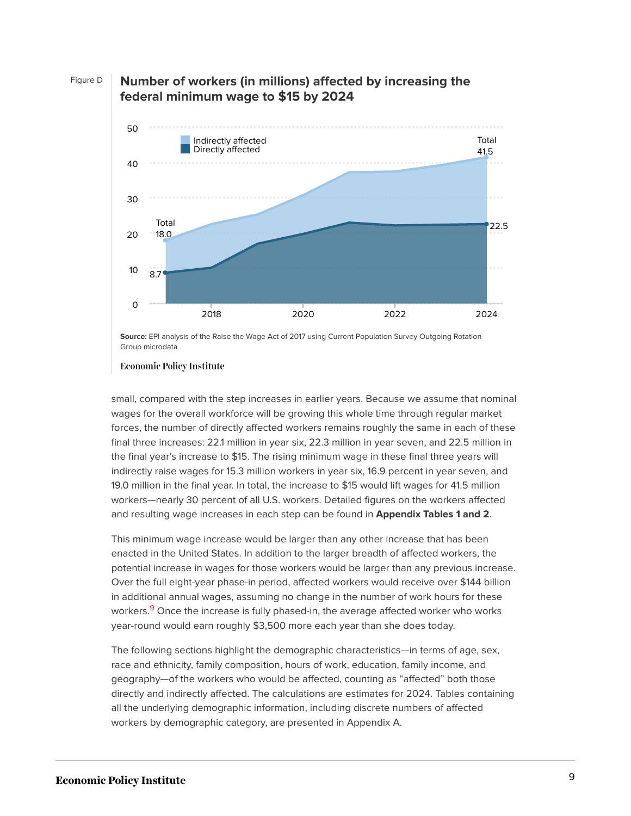

#### Figure D **Number of workers (in millions) affected by increasing the federal minimum wage to \$15 by 2024**

**Economic Policy Institute** 

small, compared with the step increases in earlier years. Because we assume that nominal wages for the overall workforce will be growing this whole time through regular market forces, the number of directly affected workers remains roughly the same in each of these final three increases: 22.1 million in year six, 22.3 million in year seven, and 22.5 million in the final year's increase to \$15. The rising minimum wage in these final three years will indirectly raise wages for 15.3 million workers in year six, 16.9 percent in year seven, and 19.0 million in the final year. In total, the increase to \$15 would lift wages for 41.5 million workers—nearly 30 percent of all U.S. workers. Detailed figures on the workers affected and resulting wage increases in each step can be found in **Appendix Tables 1 and 2**.

This minimum wage increase would be larger than any other increase that has been enacted in the United States. In addition to the larger breadth of affected workers, the potential increase in wages for those workers would be larger than any previous increase. Over the full eight-year phase-in period, affected workers would receive over \$144 billion in additional annual wages, assuming no change in the number of work hours for these workers.<sup>[9](#page-57-2)</sup> Once the increase is fully phased-in, the average affected worker who works year-round would earn roughly \$3,500 more each year than she does today.

<span id="page-9-0"></span>The following sections highlight the demographic characteristics—in terms of age, sex, race and ethnicity, family composition, hours of work, education, family income, and geography—of the workers who would be affected, counting as "affected" both those directly and indirectly affected. The calculations are estimates for 2024. Tables containing all the underlying demographic information, including discrete numbers of affected workers by demographic category, are presented in Appendix A.

**Source:** EPI analysis of the Raise the Wage Act of 2017 using Current Population Survey Outgoing Rotation Group microdata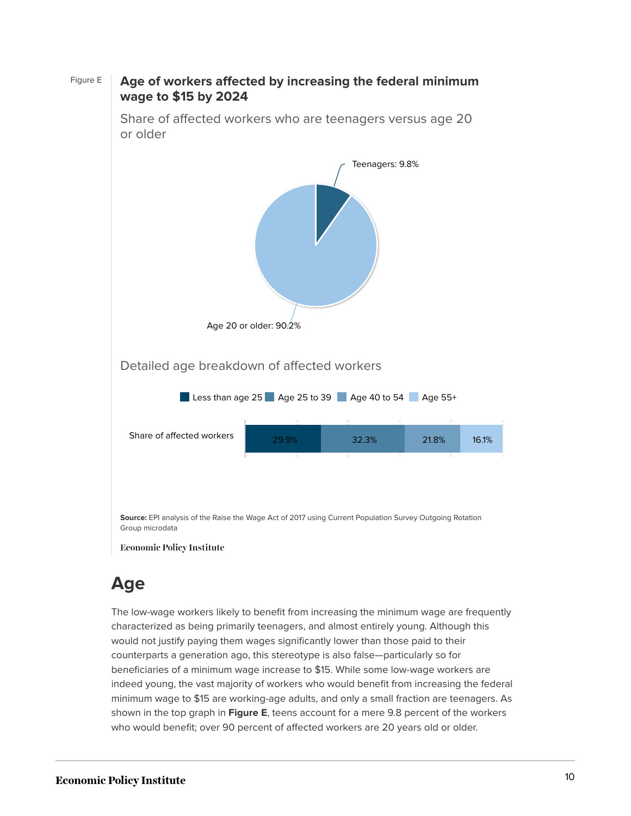

Figure E **Age of workers affected by increasing the federal minimum wage to \$15 by 2024**

## **Age**

The low-wage workers likely to benefit from increasing the minimum wage are frequently characterized as being primarily teenagers, and almost entirely young. Although this would not justify paying them wages significantly lower than those paid to their counterparts a generation ago, this stereotype is also false—particularly so for beneficiaries of a minimum wage increase to \$15. While some low-wage workers are indeed young, the vast majority of workers who would benefit from increasing the federal minimum wage to \$15 are working-age adults, and only a small fraction are teenagers. As shown in the top graph in **Figure E**, teens account for a mere 9.8 percent of the workers who would benefit; over 90 percent of affected workers are 20 years old or older.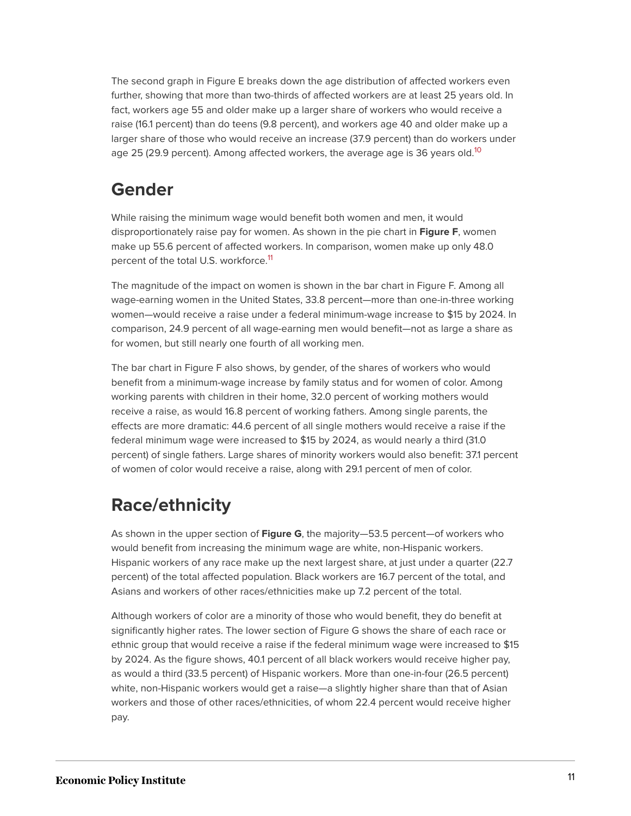The second graph in Figure E breaks down the age distribution of affected workers even further, showing that more than two-thirds of affected workers are at least 25 years old. In fact, workers age 55 and older make up a larger share of workers who would receive a raise (16.1 percent) than do teens (9.8 percent), and workers age 40 and older make up a larger share of those who would receive an increase (37.9 percent) than do workers under age 25 (29.9 percent). Among affected workers, the average age is 36 years old.<sup>[10](#page-57-3)</sup>

## <span id="page-11-0"></span>**Gender**

While raising the minimum wage would benefit both women and men, it would disproportionately raise pay for women. As shown in the pie chart in **Figure F**, women make up 55.6 percent of affected workers. In comparison, women make up only 48.0 percent of the total U.S. workforce.<sup>[11](#page-57-4)</sup>

<span id="page-11-1"></span>The magnitude of the impact on women is shown in the bar chart in Figure F. Among all wage-earning women in the United States, 33.8 percent—more than one-in-three working women—would receive a raise under a federal minimum-wage increase to \$15 by 2024. In comparison, 24.9 percent of all wage-earning men would benefit—not as large a share as for women, but still nearly one fourth of all working men.

The bar chart in Figure F also shows, by gender, of the shares of workers who would benefit from a minimum-wage increase by family status and for women of color. Among working parents with children in their home, 32.0 percent of working mothers would receive a raise, as would 16.8 percent of working fathers. Among single parents, the effects are more dramatic: 44.6 percent of all single mothers would receive a raise if the federal minimum wage were increased to \$15 by 2024, as would nearly a third (31.0 percent) of single fathers. Large shares of minority workers would also benefit: 37.1 percent of women of color would receive a raise, along with 29.1 percent of men of color.

## **Race/ethnicity**

As shown in the upper section of **Figure G**, the majority—53.5 percent—of workers who would benefit from increasing the minimum wage are white, non-Hispanic workers. Hispanic workers of any race make up the next largest share, at just under a quarter (22.7 percent) of the total affected population. Black workers are 16.7 percent of the total, and Asians and workers of other races/ethnicities make up 7.2 percent of the total.

Although workers of color are a minority of those who would benefit, they do benefit at significantly higher rates. The lower section of Figure G shows the share of each race or ethnic group that would receive a raise if the federal minimum wage were increased to \$15 by 2024. As the figure shows, 40.1 percent of all black workers would receive higher pay, as would a third (33.5 percent) of Hispanic workers. More than one-in-four (26.5 percent) white, non-Hispanic workers would get a raise—a slightly higher share than that of Asian workers and those of other races/ethnicities, of whom 22.4 percent would receive higher pay.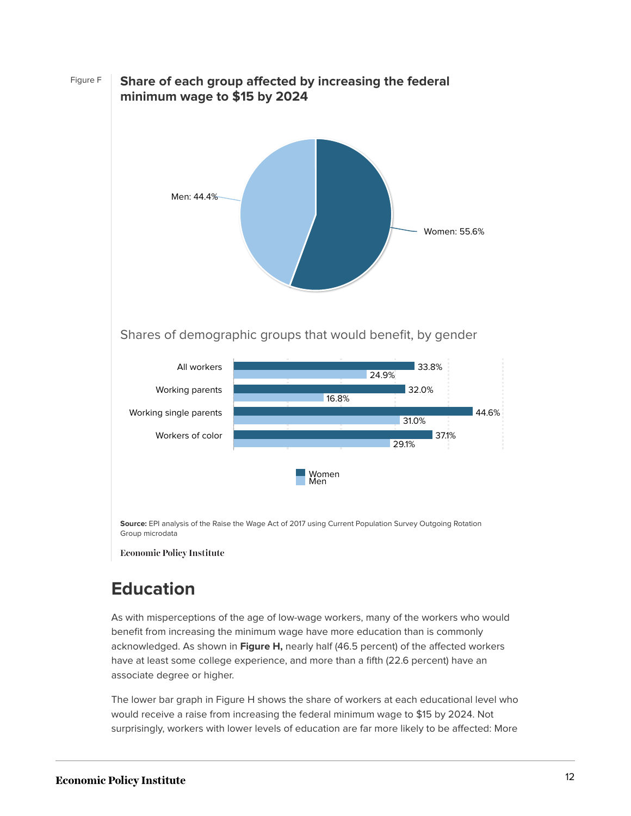Figure F **Share of each group affected by increasing the federal minimum wage to \$15 by 2024 Source:** EPI analysis of the Raise the Wage Act of 2017 using Current Population Survey Outgoing Rotation Group microdata Shares of demographic groups that would benefit, by gender Women: 55.6% Men: 44.4% 24.9% 16.8% 31.0% 29.1% 33.8% 32.0% 44.6% 37.1% Women Men All workers Working parents Working single parents Workers of color

## **Education**

**Economic Policy Institute** 

As with misperceptions of the age of low-wage workers, many of the workers who would benefit from increasing the minimum wage have more education than is commonly acknowledged. As shown in **Figure H,** nearly half (46.5 percent) of the affected workers have at least some college experience, and more than a fifth (22.6 percent) have an associate degree or higher.

The lower bar graph in Figure H shows the share of workers at each educational level who would receive a raise from increasing the federal minimum wage to \$15 by 2024. Not surprisingly, workers with lower levels of education are far more likely to be affected: More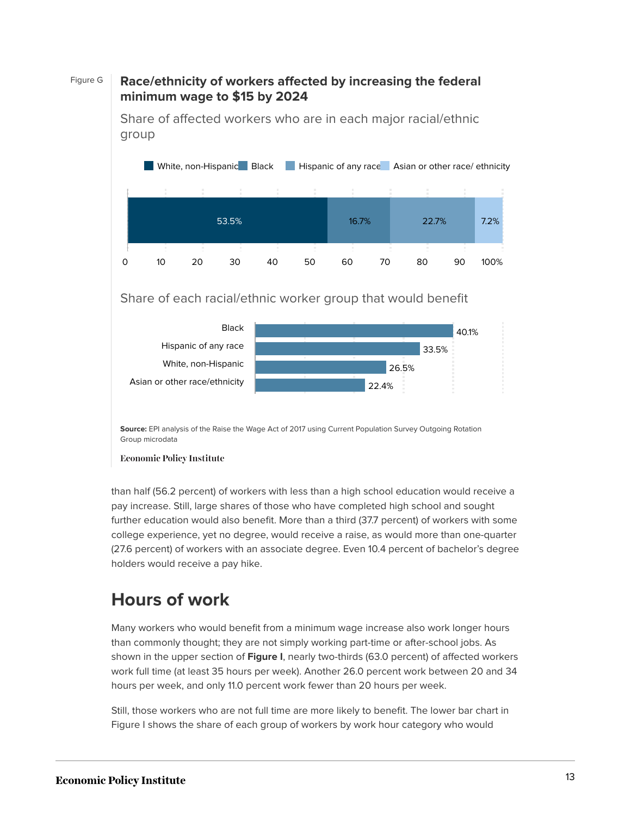### Figure G **Race/ethnicity of workers affected by increasing the federal minimum wage to \$15 by 2024**

Share of affected workers who are in each major racial/ethnic group



#### Share of each racial/ethnic worker group that would benefit



**Source:** EPI analysis of the Raise the Wage Act of 2017 using Current Population Survey Outgoing Rotation Group microdata

#### **Economic Policy Institute**

than half (56.2 percent) of workers with less than a high school education would receive a pay increase. Still, large shares of those who have completed high school and sought further education would also benefit. More than a third (37.7 percent) of workers with some college experience, yet no degree, would receive a raise, as would more than one-quarter (27.6 percent) of workers with an associate degree. Even 10.4 percent of bachelor's degree holders would receive a pay hike.

## **Hours of work**

Many workers who would benefit from a minimum wage increase also work longer hours than commonly thought; they are not simply working part-time or after-school jobs. As shown in the upper section of **Figure I**, nearly two-thirds (63.0 percent) of affected workers work full time (at least 35 hours per week). Another 26.0 percent work between 20 and 34 hours per week, and only 11.0 percent work fewer than 20 hours per week.

Still, those workers who are not full time are more likely to benefit. The lower bar chart in Figure I shows the share of each group of workers by work hour category who would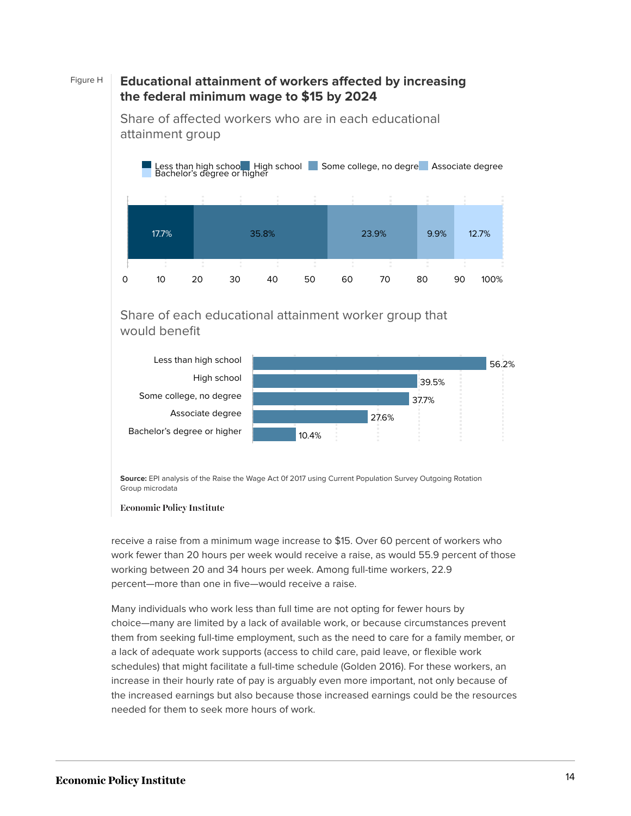### Figure H **Educational attainment of workers affected by increasing the federal minimum wage to \$15 by 2024**



Share of affected workers who are in each educational attainment group

### Share of each educational attainment worker group that would benefit



**Source:** EPI analysis of the Raise the Wage Act 0f 2017 using Current Population Survey Outgoing Rotation Group microdata



receive a raise from a minimum wage increase to \$15. Over 60 percent of workers who work fewer than 20 hours per week would receive a raise, as would 55.9 percent of those working between 20 and 34 hours per week. Among full-time workers, 22.9 percent—more than one in five—would receive a raise.

Many individuals who work less than full time are not opting for fewer hours by choice—many are limited by a lack of available work, or because circumstances prevent them from seeking full-time employment, such as the need to care for a family member, or a lack of adequate work supports (access to child care, paid leave, or flexible work schedules) that might facilitate a full-time schedule (Golden 2016). For these workers, an increase in their hourly rate of pay is arguably even more important, not only because of the increased earnings but also because those increased earnings could be the resources needed for them to seek more hours of work.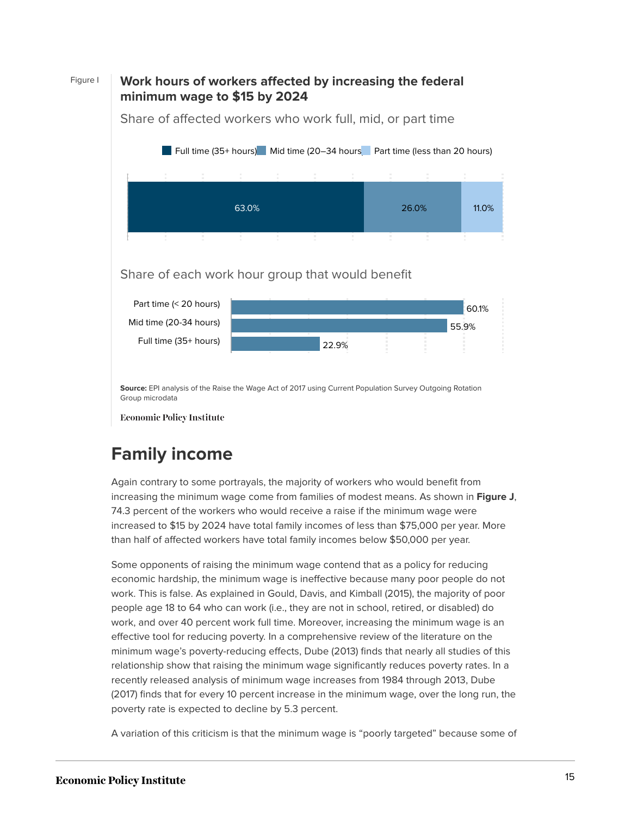### Figure I **Work hours of workers affected by increasing the federal minimum wage to \$15 by 2024**



Share of affected workers who work full, mid, or part time

### Share of each work hour group that would benefit



**Source:** EPI analysis of the Raise the Wage Act of 2017 using Current Population Survey Outgoing Rotation Group microdata

**Economic Policy Institute** 

## **Family income**

Again contrary to some portrayals, the majority of workers who would benefit from increasing the minimum wage come from families of modest means. As shown in **Figure J**, 74.3 percent of the workers who would receive a raise if the minimum wage were increased to \$15 by 2024 have total family incomes of less than \$75,000 per year. More than half of affected workers have total family incomes below \$50,000 per year.

Some opponents of raising the minimum wage contend that as a policy for reducing economic hardship, the minimum wage is ineffective because many poor people do not work. This is false. As explained in Gould, Davis, and Kimball (2015), the majority of poor people age 18 to 64 who can work (i.e., they are not in school, retired, or disabled) do work, and over 40 percent work full time. Moreover, increasing the minimum wage is an effective tool for reducing poverty. In a comprehensive review of the literature on the minimum wage's poverty-reducing effects, Dube (2013) finds that nearly all studies of this relationship show that raising the minimum wage significantly reduces poverty rates. In a recently released analysis of minimum wage increases from 1984 through 2013, Dube (2017) finds that for every 10 percent increase in the minimum wage, over the long run, the poverty rate is expected to decline by 5.3 percent.

A variation of this criticism is that the minimum wage is "poorly targeted" because some of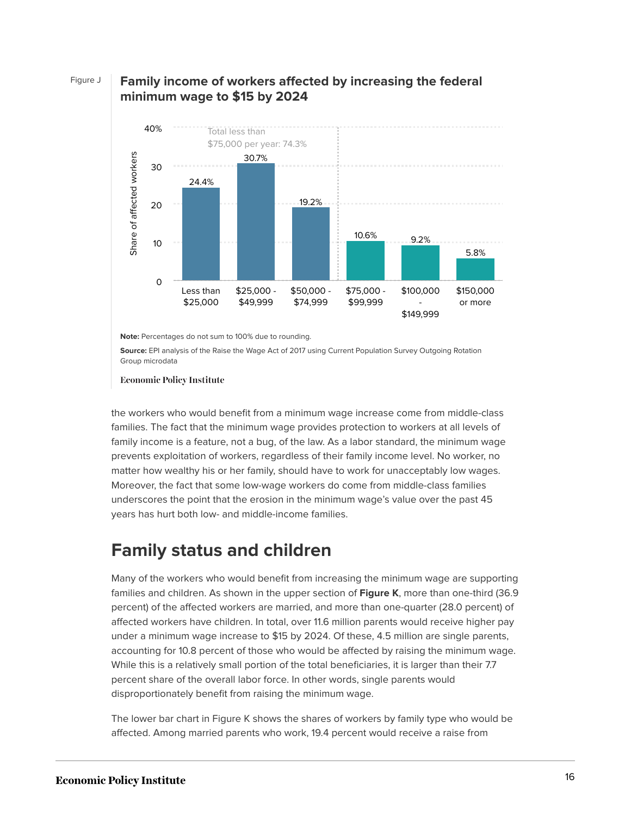#### Figure J **Family income of workers affected by increasing the federal minimum wage to \$15 by 2024**



**Note:** Percentages do not sum to 100% due to rounding.

**Source:** EPI analysis of the Raise the Wage Act of 2017 using Current Population Survey Outgoing Rotation

**Economic Policy Institute** 

the workers who would benefit from a minimum wage increase come from middle-class families. The fact that the minimum wage provides protection to workers at all levels of family income is a feature, not a bug, of the law. As a labor standard, the minimum wage prevents exploitation of workers, regardless of their family income level. No worker, no matter how wealthy his or her family, should have to work for unacceptably low wages. Moreover, the fact that some low-wage workers do come from middle-class families underscores the point that the erosion in the minimum wage's value over the past 45 years has hurt both low- and middle-income families.

## **Family status and children**

Many of the workers who would benefit from increasing the minimum wage are supporting families and children. As shown in the upper section of **Figure K**, more than one-third (36.9 percent) of the affected workers are married, and more than one-quarter (28.0 percent) of affected workers have children. In total, over 11.6 million parents would receive higher pay under a minimum wage increase to \$15 by 2024. Of these, 4.5 million are single parents, accounting for 10.8 percent of those who would be affected by raising the minimum wage. While this is a relatively small portion of the total beneficiaries, it is larger than their 7.7 percent share of the overall labor force. In other words, single parents would disproportionately benefit from raising the minimum wage.

The lower bar chart in Figure K shows the shares of workers by family type who would be affected. Among married parents who work, 19.4 percent would receive a raise from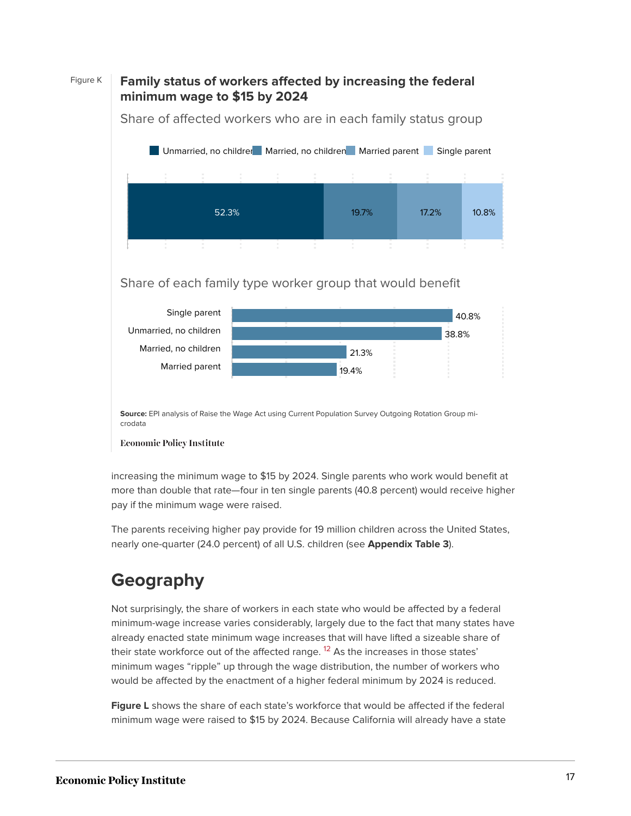### Figure K **Family status of workers affected by increasing the federal minimum wage to \$15 by 2024**



Share of affected workers who are in each family status group

### Share of each family type worker group that would benefit



**Source:** EPI analysis of Raise the Wage Act using Current Population Survey Outgoing Rotation Group microdata

#### **Economic Policy Institute**

increasing the minimum wage to \$15 by 2024. Single parents who work would benefit at more than double that rate—four in ten single parents (40.8 percent) would receive higher pay if the minimum wage were raised.

The parents receiving higher pay provide for 19 million children across the United States, nearly one-quarter (24.0 percent) of all U.S. children (see **Appendix Table 3**).

## **Geography**

<span id="page-17-0"></span>Not surprisingly, the share of workers in each state who would be affected by a federal minimum-wage increase varies considerably, largely due to the fact that many states have already enacted state minimum wage increases that will have lifted a sizeable share of their state workforce out of the affected range. <sup>[12](#page-57-5)</sup> As the increases in those states' minimum wages "ripple" up through the wage distribution, the number of workers who would be affected by the enactment of a higher federal minimum by 2024 is reduced.

**Figure L** shows the share of each state's workforce that would be affected if the federal minimum wage were raised to \$15 by 2024. Because California will already have a state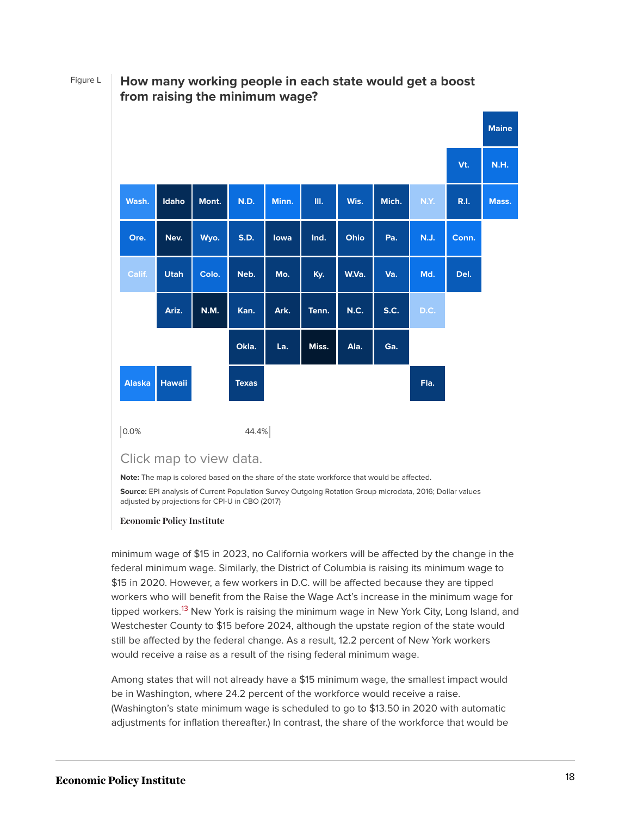$|0.0\%$  44.4% **Maine Vt. N.H. Wash. Idaho Mont. N.D. Minn. Ill. Wis. Mich. N.Y. R.I. Mass. Ore. Nev. Wyo. S.D. Iowa Ind. Ohio Pa. N.J. Conn. Calif. Utah Colo. Neb. Mo. Ky. W.Va. Va. Md. Del. Ariz. N.M. Kan. Ark. Tenn. N.C. S.C. D.C. Okla. La. Miss. Ala. Ga. Alaska Hawaii Texas Fla.**

### Figure L **How many working people in each state would get a boost from raising the minimum wage?**

Click map to view data.

**Note:** The map is colored based on the share of the state workforce that would be affected.

**Source:** EPI analysis of Current Population Survey Outgoing Rotation Group microdata, 2016; Dollar values adjusted by projections for CPI-U in CBO (2017)

#### **Economic Policy Institute**

<span id="page-18-0"></span>minimum wage of \$15 in 2023, no California workers will be affected by the change in the federal minimum wage. Similarly, the District of Columbia is raising its minimum wage to \$15 in 2020. However, a few workers in D.C. will be affected because they are tipped workers who will benefit from the Raise the Wage Act's increase in the minimum wage for tipped workers.<sup>[13](#page-57-6)</sup> New York is raising the minimum wage in New York City, Long Island, and Westchester County to \$15 before 2024, although the upstate region of the state would still be affected by the federal change. As a result, 12.2 percent of New York workers would receive a raise as a result of the rising federal minimum wage.

Among states that will not already have a \$15 minimum wage, the smallest impact would be in Washington, where 24.2 percent of the workforce would receive a raise. (Washington's state minimum wage is scheduled to go to \$13.50 in 2020 with automatic adjustments for inflation thereafter.) In contrast, the share of the workforce that would be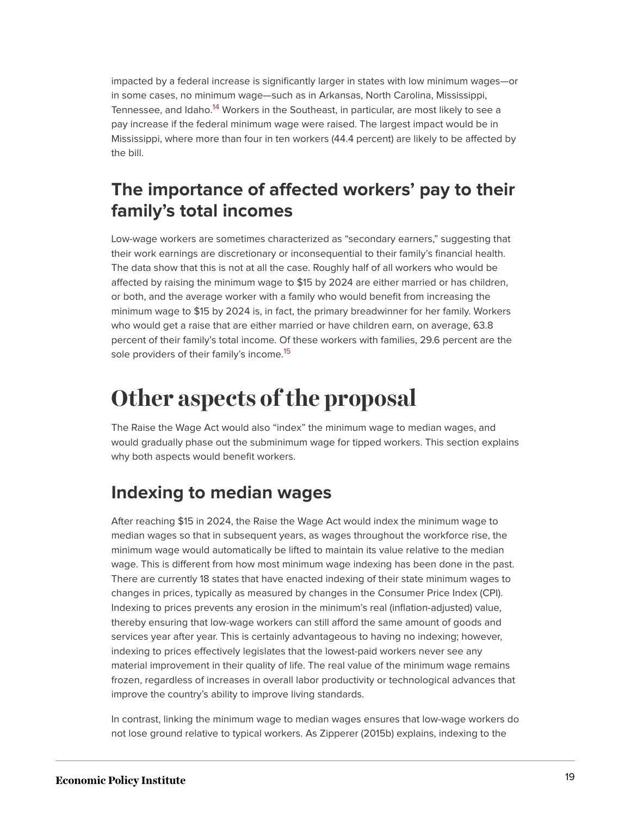<span id="page-19-1"></span>impacted by a federal increase is significantly larger in states with low minimum wages—or in some cases, no minimum wage—such as in Arkansas, North Carolina, Mississippi, Tennessee, and Idaho.<sup>[14](#page-57-7)</sup> Workers in the Southeast, in particular, are most likely to see a pay increase if the federal minimum wage were raised. The largest impact would be in Mississippi, where more than four in ten workers (44.4 percent) are likely to be affected by the bill.

## **The importance of affected workers' pay to their family's total incomes**

Low-wage workers are sometimes characterized as "secondary earners," suggesting that their work earnings are discretionary or inconsequential to their family's financial health. The data show that this is not at all the case. Roughly half of all workers who would be affected by raising the minimum wage to \$15 by 2024 are either married or has children, or both, and the average worker with a family who would benefit from increasing the minimum wage to \$15 by 2024 is, in fact, the primary breadwinner for her family. Workers who would get a raise that are either married or have children earn, on average, 63.8 percent of their family's total income. Of these workers with families, 29.6 percent are the sole providers of their family's income.<sup>[15](#page-57-8)</sup>

# <span id="page-19-2"></span><span id="page-19-0"></span>**Other aspects of the proposal**

The Raise the Wage Act would also "index" the minimum wage to median wages, and would gradually phase out the subminimum wage for tipped workers. This section explains why both aspects would benefit workers.

## **Indexing to median wages**

After reaching \$15 in 2024, the Raise the Wage Act would index the minimum wage to median wages so that in subsequent years, as wages throughout the workforce rise, the minimum wage would automatically be lifted to maintain its value relative to the median wage. This is different from how most minimum wage indexing has been done in the past. There are currently 18 states that have enacted indexing of their state minimum wages to changes in prices, typically as measured by changes in the Consumer Price Index (CPI). Indexing to prices prevents any erosion in the minimum's real (inflation-adjusted) value, thereby ensuring that low-wage workers can still afford the same amount of goods and services year after year. This is certainly advantageous to having no indexing; however, indexing to prices effectively legislates that the lowest-paid workers never see any material improvement in their quality of life. The real value of the minimum wage remains frozen, regardless of increases in overall labor productivity or technological advances that improve the country's ability to improve living standards.

In contrast, linking the minimum wage to median wages ensures that low-wage workers do not lose ground relative to typical workers. As Zipperer (2015b) explains, indexing to the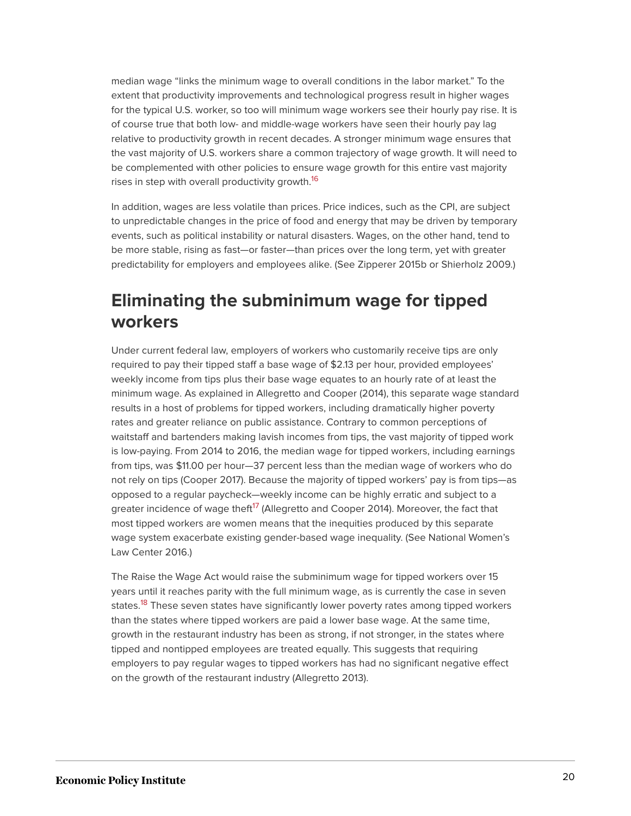median wage "links the minimum wage to overall conditions in the labor market." To the extent that productivity improvements and technological progress result in higher wages for the typical U.S. worker, so too will minimum wage workers see their hourly pay rise. It is of course true that both low- and middle-wage workers have seen their hourly pay lag relative to productivity growth in recent decades. A stronger minimum wage ensures that the vast majority of U.S. workers share a common trajectory of wage growth. It will need to be complemented with other policies to ensure wage growth for this entire vast majority rises in step with overall productivity growth.<sup>[16](#page-57-9)</sup>

<span id="page-20-0"></span>In addition, wages are less volatile than prices. Price indices, such as the CPI, are subject to unpredictable changes in the price of food and energy that may be driven by temporary events, such as political instability or natural disasters. Wages, on the other hand, tend to be more stable, rising as fast—or faster—than prices over the long term, yet with greater predictability for employers and employees alike. (See Zipperer 2015b or Shierholz 2009.)

## **Eliminating the subminimum wage for tipped workers**

Under current federal law, employers of workers who customarily receive tips are only required to pay their tipped staff a base wage of \$2.13 per hour, provided employees' weekly income from tips plus their base wage equates to an hourly rate of at least the minimum wage. As explained in Allegretto and Cooper (2014), this separate wage standard results in a host of problems for tipped workers, including dramatically higher poverty rates and greater reliance on public assistance. Contrary to common perceptions of waitstaff and bartenders making lavish incomes from tips, the vast majority of tipped work is low-paying. From 2014 to 2016, the median wage for tipped workers, including earnings from tips, was \$11.00 per hour—37 percent less than the median wage of workers who do not rely on tips (Cooper 2017). Because the majority of tipped workers' pay is from tips—as opposed to a regular paycheck—weekly income can be highly erratic and subject to a greater incidence of wage theft<sup>[17](#page-57-10)</sup> (Allegretto and Cooper 2014). Moreover, the fact that most tipped workers are women means that the inequities produced by this separate wage system exacerbate existing gender-based wage inequality. (See National Women's Law Center 2016.)

<span id="page-20-2"></span><span id="page-20-1"></span>The Raise the Wage Act would raise the subminimum wage for tipped workers over 15 years until it reaches parity with the full minimum wage, as is currently the case in seven states.<sup>[18](#page-57-11)</sup> These seven states have significantly lower poverty rates among tipped workers than the states where tipped workers are paid a lower base wage. At the same time, growth in the restaurant industry has been as strong, if not stronger, in the states where tipped and nontipped employees are treated equally. This suggests that requiring employers to pay regular wages to tipped workers has had no significant negative effect on the growth of the restaurant industry (Allegretto 2013).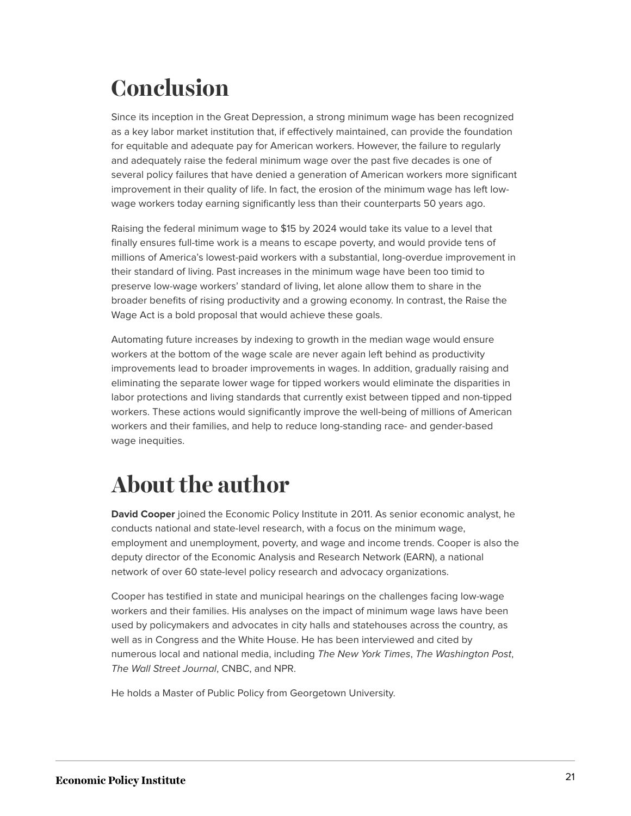# <span id="page-21-0"></span>**Conclusion**

Since its inception in the Great Depression, a strong minimum wage has been recognized as a key labor market institution that, if effectively maintained, can provide the foundation for equitable and adequate pay for American workers. However, the failure to regularly and adequately raise the federal minimum wage over the past five decades is one of several policy failures that have denied a generation of American workers more significant improvement in their quality of life. In fact, the erosion of the minimum wage has left lowwage workers today earning significantly less than their counterparts 50 years ago.

Raising the federal minimum wage to \$15 by 2024 would take its value to a level that finally ensures full-time work is a means to escape poverty, and would provide tens of millions of America's lowest-paid workers with a substantial, long-overdue improvement in their standard of living. Past increases in the minimum wage have been too timid to preserve low-wage workers' standard of living, let alone allow them to share in the broader benefits of rising productivity and a growing economy. In contrast, the Raise the Wage Act is a bold proposal that would achieve these goals.

Automating future increases by indexing to growth in the median wage would ensure workers at the bottom of the wage scale are never again left behind as productivity improvements lead to broader improvements in wages. In addition, gradually raising and eliminating the separate lower wage for tipped workers would eliminate the disparities in labor protections and living standards that currently exist between tipped and non-tipped workers. These actions would significantly improve the well-being of millions of American workers and their families, and help to reduce long-standing race- and gender-based wage inequities.

# <span id="page-21-1"></span>**About the author**

**David Cooper** joined the Economic Policy Institute in 2011. As senior economic analyst, he conducts national and state-level research, with a focus on the minimum wage, employment and unemployment, poverty, and wage and income trends. Cooper is also the deputy director of the Economic Analysis and Research Network (EARN), a national network of over 60 state-level policy research and advocacy organizations.

Cooper has testified in state and municipal hearings on the challenges facing low-wage workers and their families. His analyses on the impact of minimum wage laws have been used by policymakers and advocates in city halls and statehouses across the country, as well as in Congress and the White House. He has been interviewed and cited by numerous local and national media, including *The New York Times*, *The Washington Post*, *The Wall Street Journal*, CNBC, and NPR.

He holds a Master of Public Policy from Georgetown University.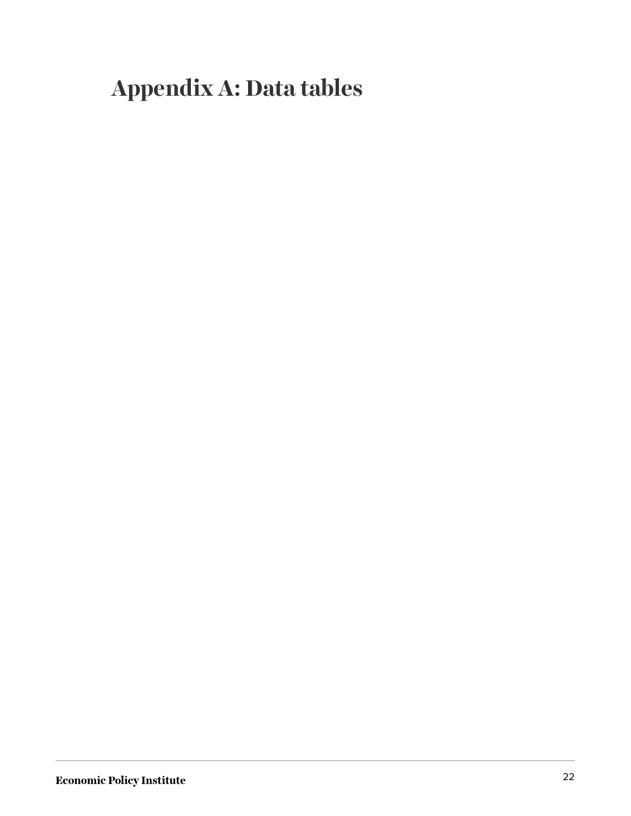# <span id="page-22-0"></span>**Appendix A: Data tables**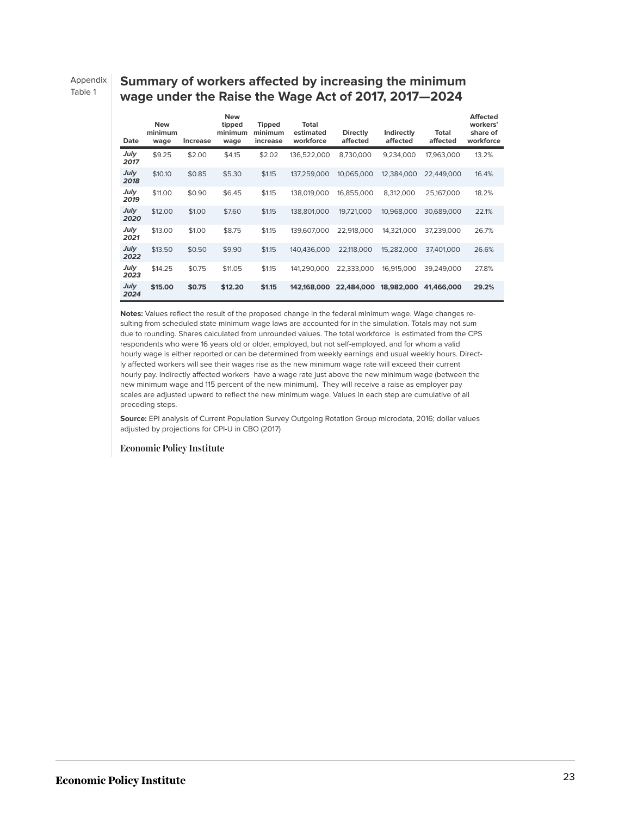Appendix Table 1

#### **Summary of workers affected by increasing the minimum wage under the Raise the Wage Act of 2017, 2017—2024**

| Date         | <b>New</b><br>minimum<br>wage | Increase | <b>New</b><br>tipped<br>minimum<br>wage | <b>Tipped</b><br>minimum<br>increase | Total<br>estimated<br>workforce | <b>Directly</b><br>affected | Indirectly<br>affected | Total<br>affected | <b>Affected</b><br>workers'<br>share of<br>workforce |
|--------------|-------------------------------|----------|-----------------------------------------|--------------------------------------|---------------------------------|-----------------------------|------------------------|-------------------|------------------------------------------------------|
| July<br>2017 | \$9.25                        | \$2.00   | \$4.15                                  | \$2.02                               | 136,522,000                     | 8,730,000                   | 9,234,000              | 17,963,000        | 13.2%                                                |
| July<br>2018 | \$10.10                       | \$0.85   | \$5.30                                  | \$1.15                               | 137.259.000                     | 10,065,000                  | 12,384,000             | 22,449,000        | 16.4%                                                |
| July<br>2019 | \$11.00                       | \$0.90   | \$6.45                                  | \$1.15                               | 138,019,000                     | 16,855,000                  | 8,312,000              | 25,167,000        | 18.2%                                                |
| July<br>2020 | \$12.00                       | \$1.00   | \$7.60                                  | \$1.15                               | 138,801,000                     | 19,721,000                  | 10,968,000             | 30,689,000        | 22.1%                                                |
| July<br>2021 | \$13.00                       | \$1.00   | \$8.75                                  | \$1.15                               | 139,607,000                     | 22,918,000                  | 14,321,000             | 37,239,000        | 26.7%                                                |
| July<br>2022 | \$13.50                       | \$0.50   | \$9.90                                  | \$1.15                               | 140.436.000                     | 22,118,000                  | 15,282,000             | 37.401.000        | 26.6%                                                |
| July<br>2023 | \$14.25                       | \$0.75   | \$11.05                                 | \$1.15                               | 141,290,000                     | 22,333,000                  | 16,915,000             | 39,249,000        | 27.8%                                                |
| July<br>2024 | \$15.00                       | \$0.75   | \$12.20                                 | \$1.15                               | 142.168.000                     | 22,484,000                  | 18,982,000             | 41,466,000        | 29.2%                                                |

**Notes:** Values reflect the result of the proposed change in the federal minimum wage. Wage changes resulting from scheduled state minimum wage laws are accounted for in the simulation. Totals may not sum due to rounding. Shares calculated from unrounded values. The total workforce is estimated from the CPS respondents who were 16 years old or older, employed, but not self-employed, and for whom a valid hourly wage is either reported or can be determined from weekly earnings and usual weekly hours. Directly affected workers will see their wages rise as the new minimum wage rate will exceed their current hourly pay. Indirectly affected workers have a wage rate just above the new minimum wage (between the new minimum wage and 115 percent of the new minimum). They will receive a raise as employer pay scales are adjusted upward to reflect the new minimum wage. Values in each step are cumulative of all preceding steps.

**Source:** EPI analysis of Current Population Survey Outgoing Rotation Group microdata, 2016; dollar values adjusted by projections for CPI-U in CBO (2017)

#### **Economic Policy Institute**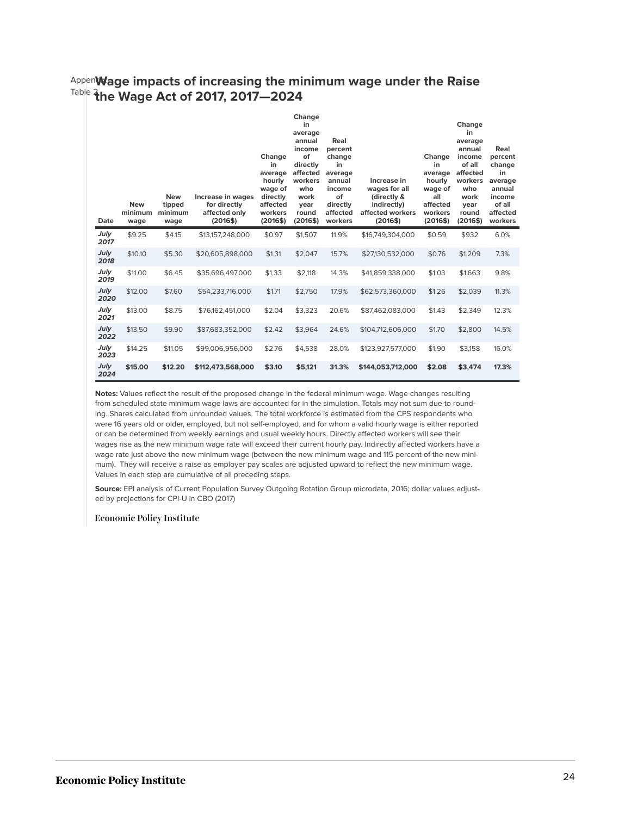#### Appendix **Wage impacts of increasing the minimum wage under the Raise** Table 2 **the Wage Act of 2017, 2017—2024**

| Date         | <b>New</b><br>minimum<br>wage | <b>New</b><br>tipped<br>minimum<br>wage | Increase in wages<br>for directly<br>affected only<br>(2016\$) | Change<br>in<br>average<br>hourly<br>wage of<br>directly<br>affected<br>workers<br>(2016\$) | Change<br>in<br>average<br>annual<br>income<br>of<br>directly<br>affected<br>workers<br>who<br>work<br>year<br>round<br>(2016\$) | Real<br>percent<br>change<br>in<br>average<br>annual<br>income<br>of<br>directly<br>affected<br>workers | Increase in<br>wages for all<br>(directly &<br>indirectly)<br>affected workers<br>(2016\$) | Change<br>in<br>average<br>hourly<br>wage of<br>all<br>affected<br>workers<br>(2016\$) | Change<br>in<br>average<br>annual<br>income<br>of all<br>affected<br>workers<br>who<br>work<br>year<br>round<br>(2016\$) | Real<br>percent<br>change<br>in<br>average<br>annual<br>income<br>of all<br>affected<br>workers |
|--------------|-------------------------------|-----------------------------------------|----------------------------------------------------------------|---------------------------------------------------------------------------------------------|----------------------------------------------------------------------------------------------------------------------------------|---------------------------------------------------------------------------------------------------------|--------------------------------------------------------------------------------------------|----------------------------------------------------------------------------------------|--------------------------------------------------------------------------------------------------------------------------|-------------------------------------------------------------------------------------------------|
| July<br>2017 | \$9.25                        | \$4.15                                  | \$13,157,248,000                                               | \$0.97                                                                                      | \$1,507                                                                                                                          | 11.9%                                                                                                   | \$16,749,304,000                                                                           | \$0.59                                                                                 | \$932                                                                                                                    | 6.0%                                                                                            |
| July<br>2018 | \$10.10                       | \$5.30                                  | \$20,605,898,000                                               | \$1.31                                                                                      | \$2.047                                                                                                                          | 15.7%                                                                                                   | \$27,130,532,000                                                                           | \$0.76                                                                                 | \$1,209                                                                                                                  | 7.3%                                                                                            |
| July<br>2019 | \$11.00                       | \$6.45                                  | \$35.696.497.000                                               | \$1.33                                                                                      | \$2.118                                                                                                                          | 14.3%                                                                                                   | \$41,859,338,000                                                                           | \$1.03                                                                                 | \$1.663                                                                                                                  | 9.8%                                                                                            |
| July<br>2020 | \$12.00                       | \$7.60                                  | \$54,233,716,000                                               | \$1.71                                                                                      | \$2,750                                                                                                                          | 17.9%                                                                                                   | \$62,573,360,000                                                                           | \$1.26                                                                                 | \$2,039                                                                                                                  | 11.3%                                                                                           |
| July<br>2021 | \$13.00                       | \$8.75                                  | \$76,162,451,000                                               | \$2.04                                                                                      | \$3,323                                                                                                                          | 20.6%                                                                                                   | \$87,462,083,000                                                                           | \$1.43                                                                                 | \$2,349                                                                                                                  | 12.3%                                                                                           |
| July<br>2022 | \$13.50                       | \$9.90                                  | \$87,683,352,000                                               | \$2.42                                                                                      | \$3,964                                                                                                                          | 24.6%                                                                                                   | \$104,712,606,000                                                                          | \$1.70                                                                                 | \$2,800                                                                                                                  | 14.5%                                                                                           |
| July<br>2023 | \$14.25                       | \$11.05                                 | \$99,006,956,000                                               | \$2.76                                                                                      | \$4,538                                                                                                                          | 28.0%                                                                                                   | \$123,927,577,000                                                                          | \$1.90                                                                                 | \$3,158                                                                                                                  | 16.0%                                                                                           |
| July<br>2024 | \$15.00                       | \$12.20                                 | \$112,473,568,000                                              | \$3.10                                                                                      | \$5.121                                                                                                                          | 31.3%                                                                                                   | \$144,053,712,000                                                                          | \$2.08                                                                                 | \$3,474                                                                                                                  | 17.3%                                                                                           |

**Notes:** Values reflect the result of the proposed change in the federal minimum wage. Wage changes resulting from scheduled state minimum wage laws are accounted for in the simulation. Totals may not sum due to rounding. Shares calculated from unrounded values. The total workforce is estimated from the CPS respondents who were 16 years old or older, employed, but not self-employed, and for whom a valid hourly wage is either reported or can be determined from weekly earnings and usual weekly hours. Directly affected workers will see their wages rise as the new minimum wage rate will exceed their current hourly pay. Indirectly affected workers have a wage rate just above the new minimum wage (between the new minimum wage and 115 percent of the new minimum). They will receive a raise as employer pay scales are adjusted upward to reflect the new minimum wage. Values in each step are cumulative of all preceding steps.

**Source:** EPI analysis of Current Population Survey Outgoing Rotation Group microdata, 2016; dollar values adjusted by projections for CPI-U in CBO (2017)

#### **Economic Policy Institute**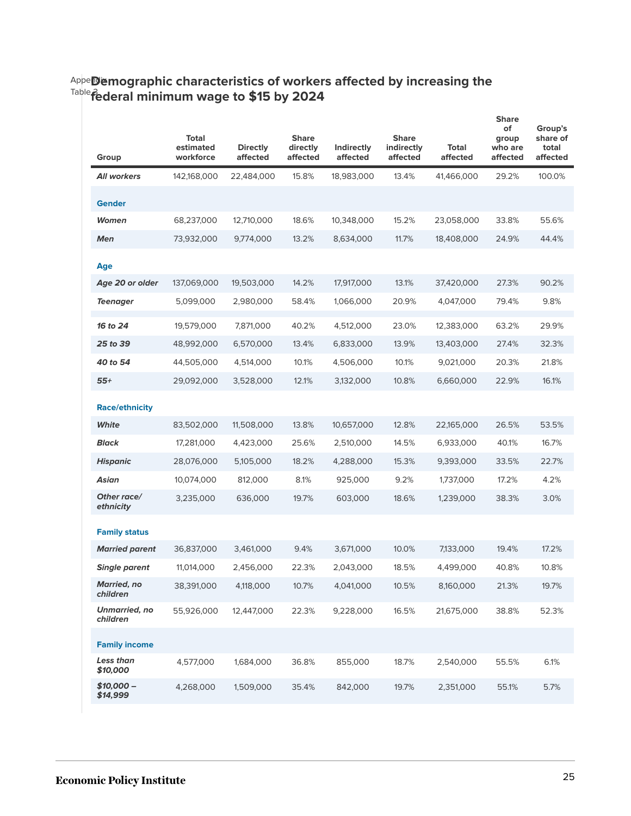| Group                            | <b>Total</b><br>estimated<br>workforce | <b>Directly</b><br>affected | <b>Share</b><br>directly<br>affected | Indirectly<br>affected | <b>Share</b><br>indirectly<br>affected | <b>Total</b><br>affected | <b>Share</b><br>of<br>group<br>who are<br>affected | Group's<br>share of<br>total<br>affected |
|----------------------------------|----------------------------------------|-----------------------------|--------------------------------------|------------------------|----------------------------------------|--------------------------|----------------------------------------------------|------------------------------------------|
| <b>All workers</b>               | 142,168,000                            | 22,484,000                  | 15.8%                                | 18,983,000             | 13.4%                                  | 41,466,000               | 29.2%                                              | 100.0%                                   |
| <b>Gender</b>                    |                                        |                             |                                      |                        |                                        |                          |                                                    |                                          |
| Women                            | 68,237,000                             | 12,710,000                  | 18.6%                                | 10,348,000             | 15.2%                                  | 23,058,000               | 33.8%                                              | 55.6%                                    |
| <b>Men</b>                       | 73,932,000                             | 9,774,000                   | 13.2%                                | 8,634,000              | 11.7%                                  | 18,408,000               | 24.9%                                              | 44.4%                                    |
| Age                              |                                        |                             |                                      |                        |                                        |                          |                                                    |                                          |
| Age 20 or older                  | 137,069,000                            | 19,503,000                  | 14.2%                                | 17,917,000             | 13.1%                                  | 37,420,000               | 27.3%                                              | 90.2%                                    |
| <b>Teenager</b>                  | 5,099,000                              | 2,980,000                   | 58.4%                                | 1,066,000              | 20.9%                                  | 4,047,000                | 79.4%                                              | 9.8%                                     |
| 16 to 24                         | 19,579,000                             | 7,871,000                   | 40.2%                                | 4,512,000              | 23.0%                                  | 12,383,000               | 63.2%                                              | 29.9%                                    |
| 25 to 39                         | 48,992,000                             | 6,570,000                   | 13.4%                                | 6,833,000              | 13.9%                                  | 13,403,000               | 27.4%                                              | 32.3%                                    |
| 40 to 54                         | 44,505,000                             | 4,514,000                   | 10.1%                                | 4,506,000              | 10.1%                                  | 9,021,000                | 20.3%                                              | 21.8%                                    |
| $55+$                            | 29,092,000                             | 3,528,000                   | 12.1%                                | 3,132,000              | 10.8%                                  | 6,660,000                | 22.9%                                              | 16.1%                                    |
| <b>Race/ethnicity</b>            |                                        |                             |                                      |                        |                                        |                          |                                                    |                                          |
| White                            | 83,502,000                             | 11,508,000                  | 13.8%                                | 10,657,000             | 12.8%                                  | 22,165,000               | 26.5%                                              | 53.5%                                    |
| <b>Black</b>                     | 17,281,000                             | 4,423,000                   | 25.6%                                | 2,510,000              | 14.5%                                  | 6,933,000                | 40.1%                                              | 16.7%                                    |
| <b>Hispanic</b>                  | 28,076,000                             | 5,105,000                   | 18.2%                                | 4,288,000              | 15.3%                                  | 9,393,000                | 33.5%                                              | 22.7%                                    |
| Asian                            | 10,074,000                             | 812,000                     | 8.1%                                 | 925,000                | 9.2%                                   | 1,737,000                | 17.2%                                              | 4.2%                                     |
| Other race/<br>ethnicity         | 3,235,000                              | 636,000                     | 19.7%                                | 603,000                | 18.6%                                  | 1,239,000                | 38.3%                                              | 3.0%                                     |
| <b>Family status</b>             |                                        |                             |                                      |                        |                                        |                          |                                                    |                                          |
| <b>Married parent</b>            | 36,837,000                             | 3,461,000                   | 9.4%                                 | 3,671,000              | 10.0%                                  | 7,133,000                | 19.4%                                              | 17.2%                                    |
| <b>Single parent</b>             | 11,014,000                             | 2,456,000                   | 22.3%                                | 2,043,000              | 18.5%                                  | 4,499,000                | 40.8%                                              | 10.8%                                    |
| <b>Married, no</b><br>children   | 38,391,000                             | 4,118,000                   | 10.7%                                | 4,041,000              | 10.5%                                  | 8,160,000                | 21.3%                                              | 19.7%                                    |
| <b>Unmarried, no</b><br>children | 55,926,000                             | 12,447,000                  | 22.3%                                | 9,228,000              | 16.5%                                  | 21,675,000               | 38.8%                                              | 52.3%                                    |
| <b>Family income</b>             |                                        |                             |                                      |                        |                                        |                          |                                                    |                                          |
| Less than<br>\$10,000            | 4,577,000                              | 1,684,000                   | 36.8%                                | 855,000                | 18.7%                                  | 2,540,000                | 55.5%                                              | 6.1%                                     |
| $$10,000-$<br>\$14,999           | 4,268,000                              | 1,509,000                   | 35.4%                                | 842,000                | 19.7%                                  | 2,351,000                | 55.1%                                              | 5.7%                                     |

#### Appe**ndix** Table 3 **Demographic characteristics of workers affected by increasing the federal minimum wage to \$15 by 2024**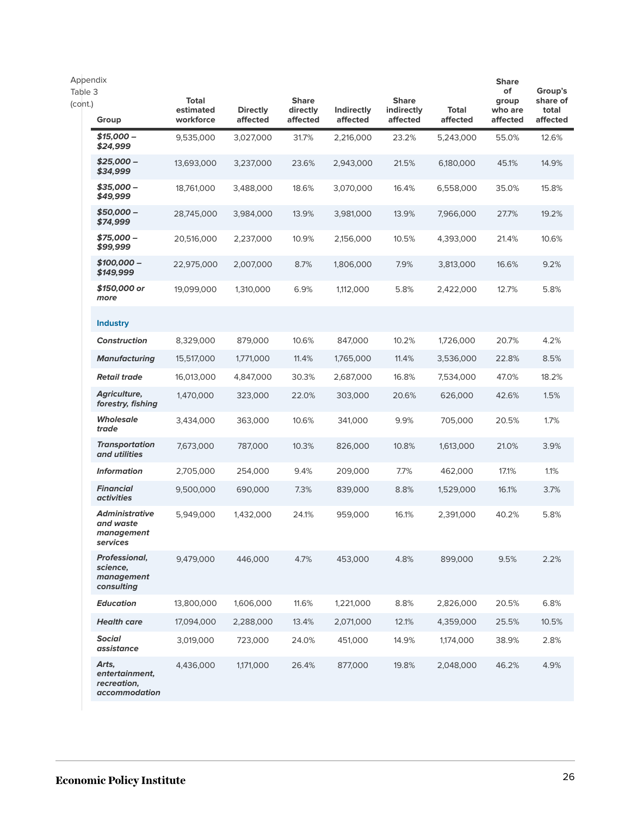| Appendix<br>Table 3<br>(cont.) | Group                                                          | <b>Total</b><br>estimated<br>workforce | <b>Directly</b><br>affected | <b>Share</b><br>directly<br>affected | Indirectly<br>affected | <b>Share</b><br>indirectly<br>affected | Total<br>affected | <b>Share</b><br>of<br>group<br>who are<br>affected | Group's<br>share of<br>total<br>affected |
|--------------------------------|----------------------------------------------------------------|----------------------------------------|-----------------------------|--------------------------------------|------------------------|----------------------------------------|-------------------|----------------------------------------------------|------------------------------------------|
|                                | \$15,000 -<br>\$24,999                                         | 9,535,000                              | 3,027,000                   | 31.7%                                | 2,216,000              | 23.2%                                  | 5,243,000         | 55.0%                                              | 12.6%                                    |
|                                | $$25,000-$<br>\$34,999                                         | 13,693,000                             | 3,237,000                   | 23.6%                                | 2,943,000              | 21.5%                                  | 6,180,000         | 45.1%                                              | 14.9%                                    |
|                                | \$35,000 -<br>\$49,999                                         | 18,761,000                             | 3,488,000                   | 18.6%                                | 3,070,000              | 16.4%                                  | 6,558,000         | 35.0%                                              | 15.8%                                    |
|                                | $$50,000-$<br>\$74,999                                         | 28,745,000                             | 3,984,000                   | 13.9%                                | 3,981,000              | 13.9%                                  | 7,966,000         | 27.7%                                              | 19.2%                                    |
|                                | \$75,000 -<br>\$99,999                                         | 20,516,000                             | 2,237,000                   | 10.9%                                | 2,156,000              | 10.5%                                  | 4,393,000         | 21.4%                                              | 10.6%                                    |
|                                | \$100,000 -<br>\$149,999                                       | 22,975,000                             | 2,007,000                   | 8.7%                                 | 1,806,000              | 7.9%                                   | 3,813,000         | 16.6%                                              | 9.2%                                     |
|                                | \$150,000 or<br>more                                           | 19,099,000                             | 1,310,000                   | 6.9%                                 | 1,112,000              | 5.8%                                   | 2,422,000         | 12.7%                                              | 5.8%                                     |
|                                | <b>Industry</b>                                                |                                        |                             |                                      |                        |                                        |                   |                                                    |                                          |
|                                | <b>Construction</b>                                            | 8,329,000                              | 879,000                     | 10.6%                                | 847,000                | 10.2%                                  | 1,726,000         | 20.7%                                              | 4.2%                                     |
|                                | <b>Manufacturing</b>                                           | 15,517,000                             | 1,771,000                   | 11.4%                                | 1,765,000              | 11.4%                                  | 3,536,000         | 22.8%                                              | 8.5%                                     |
|                                | <b>Retail trade</b>                                            | 16,013,000                             | 4,847,000                   | 30.3%                                | 2,687,000              | 16.8%                                  | 7,534,000         | 47.0%                                              | 18.2%                                    |
|                                | <b>Agriculture,</b><br>forestry, fishing                       | 1,470,000                              | 323,000                     | 22.0%                                | 303,000                | 20.6%                                  | 626,000           | 42.6%                                              | 1.5%                                     |
|                                | <b>Wholesale</b><br>trade                                      | 3,434,000                              | 363,000                     | 10.6%                                | 341,000                | 9.9%                                   | 705,000           | 20.5%                                              | 1.7%                                     |
|                                | <b>Transportation</b><br>and utilities                         | 7,673,000                              | 787,000                     | 10.3%                                | 826,000                | 10.8%                                  | 1,613,000         | 21.0%                                              | 3.9%                                     |
|                                | <b>Information</b>                                             | 2,705,000                              | 254,000                     | 9.4%                                 | 209,000                | 7.7%                                   | 462,000           | 17.1%                                              | 1.1%                                     |
|                                | <b>Financial</b><br><i>activities</i>                          | 9,500,000                              | 690,000                     | 7.3%                                 | 839,000                | 8.8%                                   | 1,529,000         | 16.1%                                              | 3.7%                                     |
|                                | <b>Administrative</b><br>and waste<br>management<br>services   | 5,949,000                              | 1,432,000                   | 24.1%                                | 959,000                | 16.1%                                  | 2,391,000         | 40.2%                                              | 5.8%                                     |
|                                | <b>Professional,</b><br>science,<br>management<br>consulting   | 9,479,000                              | 446,000                     | 4.7%                                 | 453,000                | 4.8%                                   | 899,000           | 9.5%                                               | 2.2%                                     |
|                                | <b>Education</b>                                               | 13,800,000                             | 1,606,000                   | 11.6%                                | 1,221,000              | 8.8%                                   | 2,826,000         | 20.5%                                              | 6.8%                                     |
|                                | <b>Health care</b>                                             | 17,094,000                             | 2,288,000                   | 13.4%                                | 2,071,000              | 12.1%                                  | 4,359,000         | 25.5%                                              | 10.5%                                    |
|                                | <b>Social</b><br>assistance                                    | 3,019,000                              | 723,000                     | 24.0%                                | 451,000                | 14.9%                                  | 1,174,000         | 38.9%                                              | 2.8%                                     |
|                                | Arts,<br>entertainment,<br>recreation,<br><i>accommodation</i> | 4,436,000                              | 1,171,000                   | 26.4%                                | 877,000                | 19.8%                                  | 2,048,000         | 46.2%                                              | 4.9%                                     |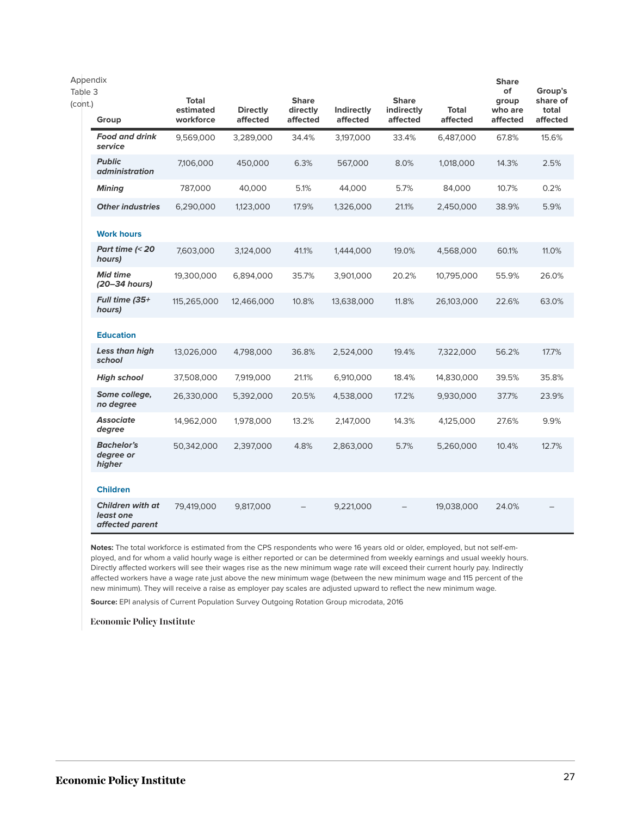| Appendix<br>Table 3<br>(cont.) | Group                                                   | Total<br>estimated<br>workforce | <b>Directly</b><br>affected | <b>Share</b><br>directly<br>affected | Indirectly<br>affected | <b>Share</b><br>indirectly<br>affected | <b>Total</b><br>affected | <b>Share</b><br>of<br>group<br>who are<br>affected | Group's<br>share of<br>total<br>affected |
|--------------------------------|---------------------------------------------------------|---------------------------------|-----------------------------|--------------------------------------|------------------------|----------------------------------------|--------------------------|----------------------------------------------------|------------------------------------------|
|                                | <b>Food and drink</b><br>service                        | 9,569,000                       | 3,289,000                   | 34.4%                                | 3,197,000              | 33.4%                                  | 6,487,000                | 67.8%                                              | 15.6%                                    |
|                                | <b>Public</b><br><i>administration</i>                  | 7,106,000                       | 450,000                     | 6.3%                                 | 567,000                | 8.0%                                   | 1,018,000                | 14.3%                                              | 2.5%                                     |
|                                | <b>Mining</b>                                           | 787,000                         | 40,000                      | 5.1%                                 | 44,000                 | 5.7%                                   | 84,000                   | 10.7%                                              | 0.2%                                     |
|                                | <b>Other industries</b>                                 | 6,290,000                       | 1,123,000                   | 17.9%                                | 1,326,000              | 21.1%                                  | 2,450,000                | 38.9%                                              | 5.9%                                     |
|                                | <b>Work hours</b>                                       |                                 |                             |                                      |                        |                                        |                          |                                                    |                                          |
|                                | Part time (< 20<br>hours)                               | 7,603,000                       | 3,124,000                   | 41.1%                                | 1,444,000              | 19.0%                                  | 4,568,000                | 60.1%                                              | 11.0%                                    |
|                                | <b>Mid time</b><br>(20–34 hours)                        | 19,300,000                      | 6,894,000                   | 35.7%                                | 3,901,000              | 20.2%                                  | 10,795,000               | 55.9%                                              | 26.0%                                    |
|                                | Full time (35+<br>hours)                                | 115,265,000                     | 12,466,000                  | 10.8%                                | 13,638,000             | 11.8%                                  | 26,103,000               | 22.6%                                              | 63.0%                                    |
|                                | <b>Education</b>                                        |                                 |                             |                                      |                        |                                        |                          |                                                    |                                          |
|                                | Less than high<br>school                                | 13,026,000                      | 4,798,000                   | 36.8%                                | 2,524,000              | 19.4%                                  | 7,322,000                | 56.2%                                              | 17.7%                                    |
|                                | <b>High school</b>                                      | 37,508,000                      | 7,919,000                   | 21.1%                                | 6,910,000              | 18.4%                                  | 14,830,000               | 39.5%                                              | 35.8%                                    |
|                                | Some college,<br>no degree                              | 26,330,000                      | 5,392,000                   | 20.5%                                | 4,538,000              | 17.2%                                  | 9,930,000                | 37.7%                                              | 23.9%                                    |
|                                | <b>Associate</b><br>degree                              | 14,962,000                      | 1,978,000                   | 13.2%                                | 2,147,000              | 14.3%                                  | 4,125,000                | 27.6%                                              | 9.9%                                     |
|                                | <b>Bachelor's</b><br>degree or<br>higher                | 50,342,000                      | 2,397,000                   | 4.8%                                 | 2,863,000              | 5.7%                                   | 5,260,000                | 10.4%                                              | 12.7%                                    |
|                                | <b>Children</b>                                         |                                 |                             |                                      |                        |                                        |                          |                                                    |                                          |
|                                | <b>Children with at</b><br>least one<br>affected parent | 79,419,000                      | 9,817,000                   |                                      | 9,221,000              |                                        | 19,038,000               | 24.0%                                              |                                          |

**Notes:** The total workforce is estimated from the CPS respondents who were 16 years old or older, employed, but not self-employed, and for whom a valid hourly wage is either reported or can be determined from weekly earnings and usual weekly hours. Directly affected workers will see their wages rise as the new minimum wage rate will exceed their current hourly pay. Indirectly affected workers have a wage rate just above the new minimum wage (between the new minimum wage and 115 percent of the new minimum). They will receive a raise as employer pay scales are adjusted upward to reflect the new minimum wage.

**Source:** EPI analysis of Current Population Survey Outgoing Rotation Group microdata, 2016

**Economic Policy Institute**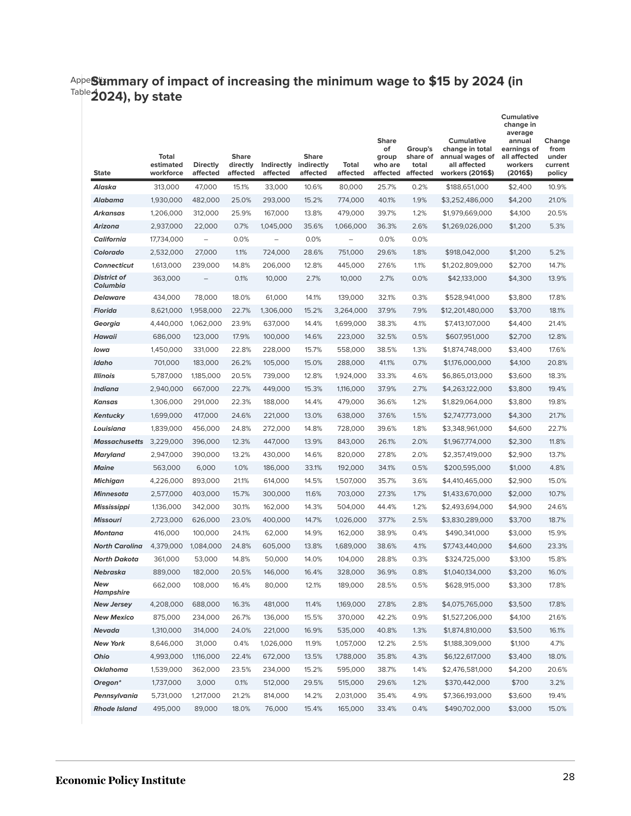#### Appe**Six** Table 4 **Summary of impact of increasing the minimum wage to \$15 by 2024 (in 2024), by state**

| <b>State</b>                        | Total<br>estimated<br>workforce | <b>Directly</b><br>affected | <b>Share</b><br>directly<br>affected | Indirectly<br>affected | <b>Share</b><br>indirectly<br>affected | Total<br>affected  | <b>Share</b><br>of<br>group<br>who are<br>affected | Group's<br>share of<br>total<br>affected | <b>Cumulative</b><br>change in total<br>annual wages of<br>all affected<br>workers (2016\$) | <b>Cumulative</b><br>change in<br>average<br>annual<br>earnings of<br>all affected<br>workers<br>(2016\$) | Change<br>from<br>under<br>current<br>policy |
|-------------------------------------|---------------------------------|-----------------------------|--------------------------------------|------------------------|----------------------------------------|--------------------|----------------------------------------------------|------------------------------------------|---------------------------------------------------------------------------------------------|-----------------------------------------------------------------------------------------------------------|----------------------------------------------|
| Alaska                              | 313,000                         | 47,000                      | 15.1%                                | 33,000                 | 10.6%                                  | 80,000             | 25.7%                                              | 0.2%                                     | \$188,651,000                                                                               | \$2,400                                                                                                   | 10.9%                                        |
| Alabama                             | 1,930,000                       | 482,000                     | 25.0%                                | 293,000                | 15.2%                                  | 774,000            | 40.1%                                              | 1.9%                                     | \$3,252,486,000                                                                             | \$4,200                                                                                                   | 21.0%                                        |
| Arkansas                            | 1,206,000                       | 312,000                     | 25.9%                                | 167,000                | 13.8%                                  | 479,000            | 39.7%                                              | 1.2%                                     | \$1,979,669,000                                                                             | \$4,100                                                                                                   | 20.5%                                        |
| <b>Arizona</b>                      | 2,937,000                       | 22,000                      | 0.7%                                 | 1,045,000              | 35.6%                                  | 1,066,000          | 36.3%                                              | 2.6%                                     | \$1,269,026,000                                                                             | \$1,200                                                                                                   | 5.3%                                         |
| <b>California</b>                   | 17,734,000                      | $\qquad \qquad -$           | 0.0%                                 | $\qquad \qquad -$      | 0.0%                                   | $\qquad \qquad -$  | 0.0%                                               | 0.0%                                     |                                                                                             |                                                                                                           |                                              |
| Colorado                            | 2,532,000                       | 27,000                      | 1.1%                                 | 724,000                | 28.6%                                  | 751,000            | 29.6%                                              | 1.8%                                     | \$918,042,000                                                                               | \$1,200                                                                                                   | 5.2%                                         |
| <b>Connecticut</b>                  | 1,613,000                       | 239,000                     | 14.8%                                | 206,000                | 12.8%                                  | 445,000            | 27.6%                                              | 1.1%                                     | \$1,202,809,000                                                                             | \$2,700                                                                                                   | 14.7%                                        |
| <b>District of</b><br>Columbia      | 363,000                         | $\qquad \qquad -$           | 0.1%                                 | 10,000                 | 2.7%                                   | 10,000             | 2.7%                                               | 0.0%                                     | \$42,133,000                                                                                | \$4,300                                                                                                   | 13.9%                                        |
| <b>Delaware</b>                     | 434,000                         | 78,000                      | 18.0%                                | 61,000                 | 14.1%                                  | 139,000            | 32.1%                                              | 0.3%                                     | \$528,941,000                                                                               | \$3,800                                                                                                   | 17.8%                                        |
| Florida                             | 8,621,000                       | 1,958,000                   | 22.7%                                | 1,306,000              | 15.2%                                  | 3,264,000          | 37.9%                                              | 7.9%                                     | \$12,201,480,000                                                                            | \$3,700                                                                                                   | 18.1%                                        |
| Georgia                             | 4,440,000                       | 1,062,000                   | 23.9%                                | 637,000                | 14.4%                                  | 1,699,000          | 38.3%                                              | 4.1%                                     | \$7,413,107,000                                                                             | \$4,400                                                                                                   | 21.4%                                        |
| <b>Hawaii</b>                       | 686,000                         | 123,000                     | 17.9%                                | 100,000                | 14.6%                                  | 223,000            | 32.5%                                              | 0.5%                                     | \$607,951,000                                                                               | \$2,700                                                                                                   | 12.8%                                        |
| Iowa                                | 1,450,000                       | 331,000                     | 22.8%                                | 228,000                | 15.7%                                  | 558,000            | 38.5%                                              | 1.3%                                     | \$1,874,748,000                                                                             | \$3,400                                                                                                   | 17.6%                                        |
| Idaho                               | 701,000                         | 183,000                     | 26.2%                                | 105,000                | 15.0%                                  | 288,000            | 41.1%                                              | 0.7%                                     | \$1,176,000,000                                                                             | \$4,100                                                                                                   | 20.8%                                        |
| <b>Illinois</b>                     | 5,787,000                       | 1,185,000                   | 20.5%                                | 739,000                | 12.8%                                  | 1,924,000          | 33.3%                                              | 4.6%                                     | \$6,865,013,000                                                                             | \$3,600                                                                                                   | 18.3%                                        |
| <b>Indiana</b>                      | 2,940,000                       | 667,000                     | 22.7%                                | 449,000                | 15.3%                                  | 1,116,000          | 37.9%                                              | 2.7%                                     | \$4,263,122,000                                                                             | \$3,800                                                                                                   | 19.4%                                        |
| <b>Kansas</b>                       | 1,306,000                       | 291,000                     | 22.3%                                | 188,000                | 14.4%                                  | 479,000            | 36.6%                                              | 1.2%                                     | \$1,829,064,000                                                                             | \$3,800                                                                                                   | 19.8%                                        |
| Kentucky                            | 1,699,000                       | 417,000                     | 24.6%                                | 221,000                | 13.0%                                  | 638,000            | 37.6%                                              | 1.5%                                     | \$2,747,773,000                                                                             | \$4,300                                                                                                   | 21.7%                                        |
| Louisiana                           | 1,839,000                       | 456,000                     | 24.8%                                | 272,000                | 14.8%                                  | 728,000            | 39.6%                                              | 1.8%                                     | \$3,348,961,000                                                                             | \$4,600                                                                                                   | 22.7%                                        |
| <b>Massachusetts</b>                | 3,229,000                       | 396,000                     | 12.3%                                | 447,000                | 13.9%                                  | 843,000            | 26.1%                                              | 2.0%                                     | \$1,967,774,000                                                                             | \$2,300                                                                                                   | 11.8%                                        |
| <b>Maryland</b>                     | 2,947,000                       | 390,000                     | 13.2%                                | 430,000                | 14.6%                                  | 820,000            | 27.8%                                              | 2.0%                                     | \$2,357,419,000                                                                             | \$2,900                                                                                                   | 13.7%                                        |
| <b>Maine</b>                        | 563,000                         | 6,000                       | 1.0%                                 | 186,000                | 33.1%                                  | 192,000            | 34.1%                                              | 0.5%                                     | \$200,595,000                                                                               | \$1,000                                                                                                   | 4.8%                                         |
| <b>Michigan</b>                     | 4,226,000                       | 893,000                     | 21.1%                                | 614,000                | 14.5%                                  | 1,507,000          | 35.7%                                              | 3.6%                                     | \$4,410,465,000                                                                             | \$2,900                                                                                                   | 15.0%                                        |
| <b>Minnesota</b>                    | 2,577,000                       | 403,000                     | 15.7%                                | 300,000                | 11.6%                                  | 703,000            | 27.3%                                              | 1.7%                                     | \$1,433,670,000                                                                             | \$2,000                                                                                                   | 10.7%                                        |
| Mississippi                         | 1,136,000                       | 342,000                     | 30.1%                                | 162,000                | 14.3%                                  | 504,000            | 44.4%                                              | 1.2%                                     | \$2,493,694,000                                                                             | \$4,900                                                                                                   | 24.6%                                        |
| <b>Missouri</b>                     | 2,723,000                       | 626,000                     | 23.0%                                | 400,000                | 14.7%                                  | 1,026,000          | 37.7%                                              | 2.5%                                     | \$3,830,289,000                                                                             | \$3,700                                                                                                   | 18.7%                                        |
| <b>Montana</b>                      | 416,000                         | 100,000                     | 24.1%                                | 62,000                 | 14.9%                                  | 162,000            | 38.9%                                              | 0.4%                                     | \$490,341,000                                                                               | \$3,000                                                                                                   | 15.9%                                        |
| <b>North Carolina</b>               | 4,379,000                       | 1,084,000                   | 24.8%                                | 605,000                | 13.8%                                  | 1,689,000          | 38.6%                                              | 4.1%                                     | \$7,743,440,000                                                                             | \$4,600                                                                                                   | 23.3%                                        |
| North Dakota                        | 361,000                         | 53,000                      | 14.8%                                | 50,000                 | 14.0%                                  | 104,000            | 28.8%                                              | 0.3%                                     | \$324,725,000                                                                               | \$3,100                                                                                                   | 15.8%                                        |
| Nebraska<br>New<br><b>Hampshire</b> | 889,000<br>662,000              | 182,000<br>108,000          | 20.5%<br>16.4%                       | 146,000<br>80,000      | 16.4%<br>12.1%                         | 328,000<br>189,000 | 36.9%<br>28.5%                                     | 0.8%<br>0.5%                             | \$1,040,134,000<br>\$628,915,000                                                            | \$3,200<br>\$3,300                                                                                        | 16.0%<br>17.8%                               |
| <b>New Jersey</b>                   | 4,208,000                       | 688,000                     | 16.3%                                | 481,000                | 11.4%                                  | 1,169,000          | 27.8%                                              | 2.8%                                     | \$4,075,765,000                                                                             | \$3,500                                                                                                   | 17.8%                                        |
| <b>New Mexico</b>                   | 875,000                         | 234,000                     | 26.7%                                | 136,000                | 15.5%                                  | 370,000            | 42.2%                                              | 0.9%                                     | \$1,527,206,000                                                                             | \$4,100                                                                                                   | 21.6%                                        |
| <b>Nevada</b>                       | 1,310,000                       | 314,000                     | 24.0%                                | 221,000                | 16.9%                                  | 535,000            | 40.8%                                              | 1.3%                                     | \$1,874,810,000                                                                             | \$3,500                                                                                                   | 16.1%                                        |
| <b>New York</b>                     | 8,646,000                       | 31,000                      | 0.4%                                 | 1,026,000              | 11.9%                                  | 1,057,000          | 12.2%                                              | 2.5%                                     | \$1,188,309,000                                                                             | \$1,100                                                                                                   | 4.7%                                         |
| Ohio                                | 4,993,000                       | 1,116,000                   | 22.4%                                | 672,000                | 13.5%                                  | 1,788,000          | 35.8%                                              | 4.3%                                     | \$6,122,617,000                                                                             | \$3,400                                                                                                   | 18.0%                                        |
| <b>Oklahoma</b>                     | 1,539,000                       | 362,000                     | 23.5%                                | 234,000                | 15.2%                                  | 595,000            | 38.7%                                              | 1.4%                                     | \$2,476,581,000                                                                             | \$4,200                                                                                                   | 20.6%                                        |
| Oregon*                             | 1,737,000                       | 3,000                       | 0.1%                                 | 512,000                | 29.5%                                  | 515,000            | 29.6%                                              | 1.2%                                     | \$370,442,000                                                                               | \$700                                                                                                     | 3.2%                                         |
| Pennsylvania                        | 5,731,000                       | 1,217,000                   | 21.2%                                | 814,000                | 14.2%                                  | 2,031,000          | 35.4%                                              | 4.9%                                     | \$7,366,193,000                                                                             | \$3,600                                                                                                   | 19.4%                                        |
| <b>Rhode Island</b>                 | 495,000                         | 89,000                      | 18.0%                                | 76,000                 | 15.4%                                  | 165,000            | 33.4%                                              | 0.4%                                     | \$490,702,000                                                                               | \$3,000                                                                                                   | 15.0%                                        |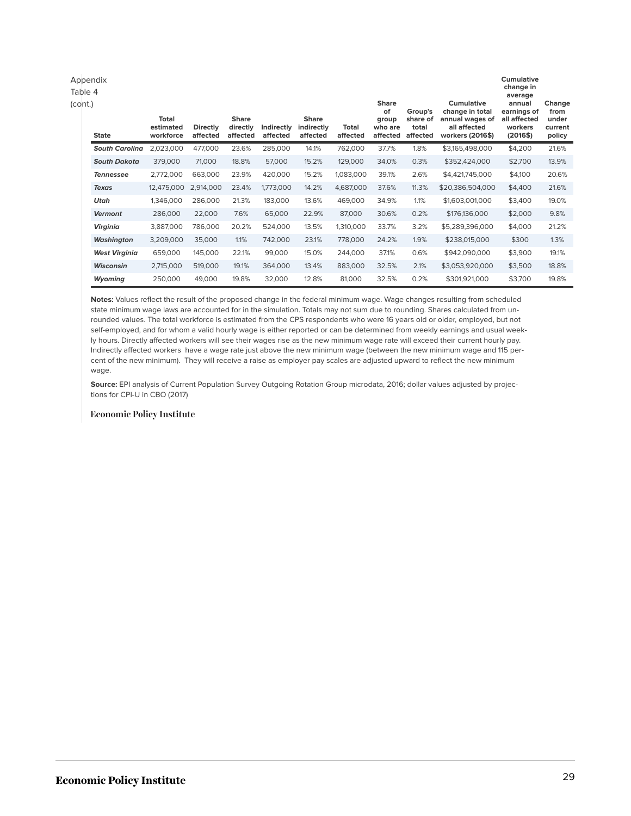| Appendix<br>Table 4<br>(cont.) |                                 |                             |                                      |                        |                                        |                          | <b>Share</b><br>of           | Group's                       | Cumulative<br>change in total                       | Cumulative<br>change in<br>average<br>annual<br>earnings of | Change<br>from             |
|--------------------------------|---------------------------------|-----------------------------|--------------------------------------|------------------------|----------------------------------------|--------------------------|------------------------------|-------------------------------|-----------------------------------------------------|-------------------------------------------------------------|----------------------------|
| <b>State</b>                   | Total<br>estimated<br>workforce | <b>Directly</b><br>affected | <b>Share</b><br>directly<br>affected | Indirectly<br>affected | <b>Share</b><br>indirectly<br>affected | <b>Total</b><br>affected | group<br>who are<br>affected | share of<br>total<br>affected | annual wages of<br>all affected<br>workers (2016\$) | all affected<br>workers<br>(2016\$)                         | under<br>current<br>policy |
| <b>South Carolina</b>          | 2,023,000                       | 477,000                     | 23.6%                                | 285,000                | 14.1%                                  | 762,000                  | 37.7%                        | 1.8%                          | \$3,165,498,000                                     | \$4,200                                                     | 21.6%                      |
| <b>South Dakota</b>            | 379,000                         | 71,000                      | 18.8%                                | 57,000                 | 15.2%                                  | 129,000                  | 34.0%                        | 0.3%                          | \$352,424,000                                       | \$2,700                                                     | 13.9%                      |
| <b>Tennessee</b>               | 2,772,000                       | 663,000                     | 23.9%                                | 420,000                | 15.2%                                  | 1,083,000                | 39.1%                        | 2.6%                          | \$4,421,745,000                                     | \$4,100                                                     | 20.6%                      |
| <b>Texas</b>                   | 12,475,000                      | 2,914,000                   | 23.4%                                | 1,773,000              | 14.2%                                  | 4,687,000                | 37.6%                        | 11.3%                         | \$20,386,504,000                                    | \$4,400                                                     | 21.6%                      |
| Utah                           | 1,346,000                       | 286,000                     | 21.3%                                | 183,000                | 13.6%                                  | 469,000                  | 34.9%                        | 1.1%                          | \$1,603,001,000                                     | \$3,400                                                     | 19.0%                      |
| Vermont                        | 286,000                         | 22,000                      | 7.6%                                 | 65,000                 | 22.9%                                  | 87,000                   | 30.6%                        | 0.2%                          | \$176,136,000                                       | \$2,000                                                     | 9.8%                       |
| Virginia                       | 3,887,000                       | 786,000                     | 20.2%                                | 524,000                | 13.5%                                  | 1,310,000                | 33.7%                        | 3.2%                          | \$5,289,396,000                                     | \$4,000                                                     | 21.2%                      |
| Washington                     | 3,209,000                       | 35,000                      | 1.1%                                 | 742,000                | 23.1%                                  | 778,000                  | 24.2%                        | 1.9%                          | \$238,015,000                                       | \$300                                                       | 1.3%                       |
| <b>West Virginia</b>           | 659,000                         | 145,000                     | 22.1%                                | 99,000                 | 15.0%                                  | 244,000                  | 37.1%                        | 0.6%                          | \$942,090,000                                       | \$3,900                                                     | 19.1%                      |
| <b>Wisconsin</b>               | 2,715,000                       | 519,000                     | 19.1%                                | 364,000                | 13.4%                                  | 883,000                  | 32.5%                        | 2.1%                          | \$3,053,920,000                                     | \$3,500                                                     | 18.8%                      |
| Wyoming                        | 250,000                         | 49,000                      | 19.8%                                | 32,000                 | 12.8%                                  | 81,000                   | 32.5%                        | 0.2%                          | \$301,921,000                                       | \$3,700                                                     | 19.8%                      |

**Notes:** Values reflect the result of the proposed change in the federal minimum wage. Wage changes resulting from scheduled state minimum wage laws are accounted for in the simulation. Totals may not sum due to rounding. Shares calculated from unrounded values. The total workforce is estimated from the CPS respondents who were 16 years old or older, employed, but not self-employed, and for whom a valid hourly wage is either reported or can be determined from weekly earnings and usual weekly hours. Directly affected workers will see their wages rise as the new minimum wage rate will exceed their current hourly pay. Indirectly affected workers have a wage rate just above the new minimum wage (between the new minimum wage and 115 percent of the new minimum). They will receive a raise as employer pay scales are adjusted upward to reflect the new minimum wage.

**Source:** EPI analysis of Current Population Survey Outgoing Rotation Group microdata, 2016; dollar values adjusted by projections for CPI-U in CBO (2017)

#### **Economic Policy Institute**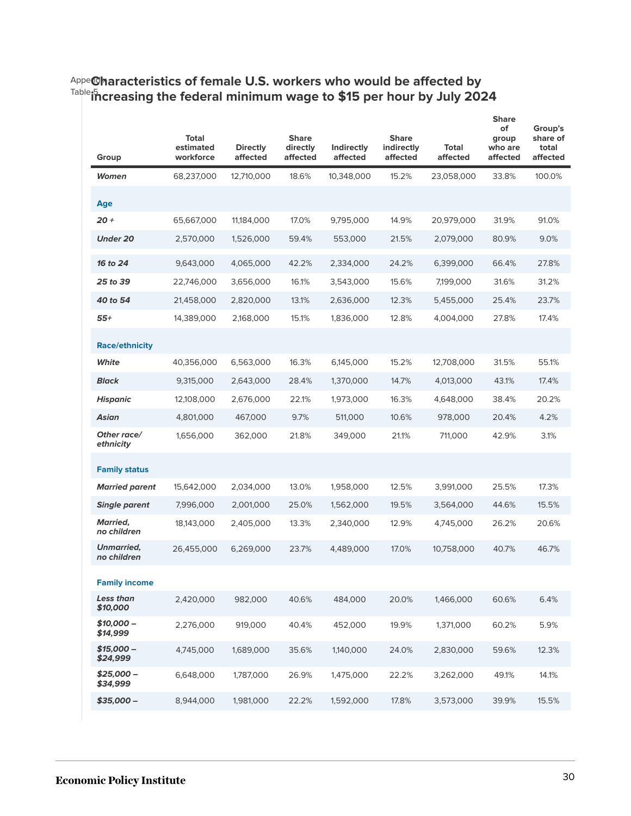### <sup>Appe</sup>@haracteristics of female U.S. workers who would be affected by Table 5 **increasing the federal minimum wage to \$15 per hour by July 2024**

| Group                            | <b>Total</b><br>estimated<br>workforce | <b>Directly</b><br>affected | <b>Share</b><br>directly<br>affected | <b>Indirectly</b><br>affected | <b>Share</b><br>indirectly<br>affected | Total<br>affected | <b>Share</b><br>of<br>group<br>who are<br>affected | Group's<br>share of<br>total<br>affected |
|----------------------------------|----------------------------------------|-----------------------------|--------------------------------------|-------------------------------|----------------------------------------|-------------------|----------------------------------------------------|------------------------------------------|
| Women                            | 68,237,000                             | 12,710,000                  | 18.6%                                | 10,348,000                    | 15.2%                                  | 23,058,000        | 33.8%                                              | 100.0%                                   |
| Age                              |                                        |                             |                                      |                               |                                        |                   |                                                    |                                          |
| $20 +$                           | 65,667,000                             | 11,184,000                  | 17.0%                                | 9,795,000                     | 14.9%                                  | 20,979,000        | 31.9%                                              | 91.0%                                    |
| <b>Under 20</b>                  | 2,570,000                              | 1,526,000                   | 59.4%                                | 553,000                       | 21.5%                                  | 2,079,000         | 80.9%                                              | 9.0%                                     |
| 16 to 24                         | 9,643,000                              | 4,065,000                   | 42.2%                                | 2,334,000                     | 24.2%                                  | 6,399,000         | 66.4%                                              | 27.8%                                    |
| 25 to 39                         | 22,746,000                             | 3,656,000                   | 16.1%                                | 3,543,000                     | 15.6%                                  | 7,199,000         | 31.6%                                              | 31.2%                                    |
| 40 to 54                         | 21,458,000                             | 2,820,000                   | 13.1%                                | 2,636,000                     | 12.3%                                  | 5,455,000         | 25.4%                                              | 23.7%                                    |
| $55+$                            | 14,389,000                             | 2,168,000                   | 15.1%                                | 1,836,000                     | 12.8%                                  | 4,004,000         | 27.8%                                              | 17.4%                                    |
| <b>Race/ethnicity</b>            |                                        |                             |                                      |                               |                                        |                   |                                                    |                                          |
| White                            | 40,356,000                             | 6,563,000                   | 16.3%                                | 6,145,000                     | 15.2%                                  | 12,708,000        | 31.5%                                              | 55.1%                                    |
| <b>Black</b>                     | 9,315,000                              | 2,643,000                   | 28.4%                                | 1,370,000                     | 14.7%                                  | 4,013,000         | 43.1%                                              | 17.4%                                    |
| <b>Hispanic</b>                  | 12,108,000                             | 2,676,000                   | 22.1%                                | 1,973,000                     | 16.3%                                  | 4,648,000         | 38.4%                                              | 20.2%                                    |
| Asian                            | 4,801,000                              | 467,000                     | 9.7%                                 | 511,000                       | 10.6%                                  | 978,000           | 20.4%                                              | 4.2%                                     |
| Other race/<br>ethnicity         | 1,656,000                              | 362,000                     | 21.8%                                | 349,000                       | 21.1%                                  | 711,000           | 42.9%                                              | 3.1%                                     |
| <b>Family status</b>             |                                        |                             |                                      |                               |                                        |                   |                                                    |                                          |
| <b>Married parent</b>            | 15,642,000                             | 2,034,000                   | 13.0%                                | 1,958,000                     | 12.5%                                  | 3,991,000         | 25.5%                                              | 17.3%                                    |
| <b>Single parent</b>             | 7,996,000                              | 2,001,000                   | 25.0%                                | 1,562,000                     | 19.5%                                  | 3,564,000         | 44.6%                                              | 15.5%                                    |
| <b>Married,</b><br>no children   | 18,143,000                             | 2,405,000                   | 13.3%                                | 2,340,000                     | 12.9%                                  | 4,745,000         | 26.2%                                              | 20.6%                                    |
| <b>Unmarried,</b><br>no children | 26,455,000                             | 6,269,000                   | 23.7%                                | 4,489,000                     | 17.0%                                  | 10,758,000        | 40.7%                                              | 46.7%                                    |
| <b>Family income</b>             |                                        |                             |                                      |                               |                                        |                   |                                                    |                                          |
| Less than<br>\$10,000            | 2,420,000                              | 982,000                     | 40.6%                                | 484,000                       | 20.0%                                  | 1,466,000         | 60.6%                                              | 6.4%                                     |
| $$10,000-$<br>\$14,999           | 2,276,000                              | 919,000                     | 40.4%                                | 452,000                       | 19.9%                                  | 1,371,000         | 60.2%                                              | 5.9%                                     |
| $$15,000-$<br>\$24,999           | 4,745,000                              | 1,689,000                   | 35.6%                                | 1,140,000                     | 24.0%                                  | 2,830,000         | 59.6%                                              | 12.3%                                    |
| \$25,000 –<br>\$34,999           | 6,648,000                              | 1,787,000                   | 26.9%                                | 1,475,000                     | 22.2%                                  | 3,262,000         | 49.1%                                              | 14.1%                                    |
| $$35,000-$                       | 8,944,000                              | 1,981,000                   | 22.2%                                | 1,592,000                     | 17.8%                                  | 3,573,000         | 39.9%                                              | 15.5%                                    |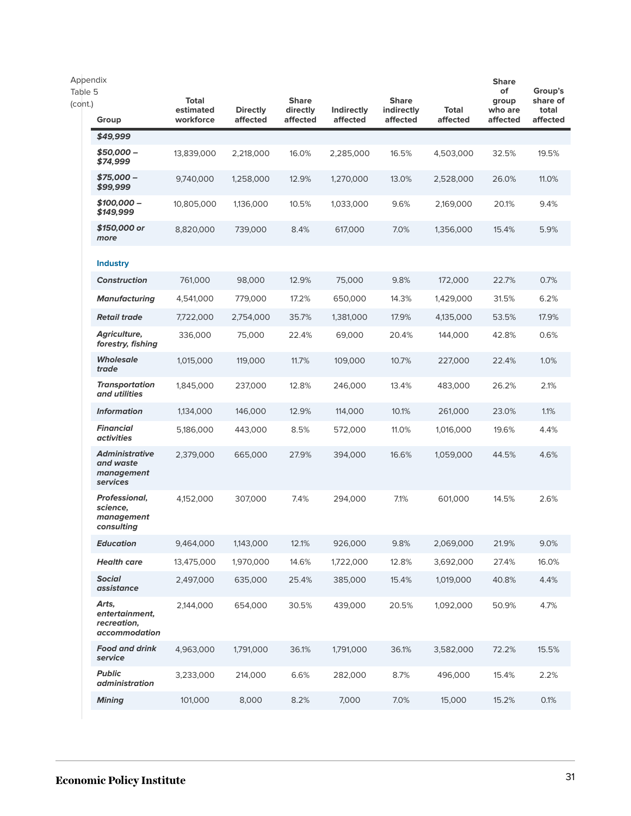| Appendix<br>Table 5<br>(cont.) | Group                                                          | <b>Total</b><br>estimated<br>workforce | <b>Directly</b><br>affected | <b>Share</b><br>directly<br>affected | Indirectly<br>affected | <b>Share</b><br>indirectly<br>affected | <b>Total</b><br>affected | <b>Share</b><br>of<br>group<br>who are<br>affected | Group's<br>share of<br>total<br>affected |
|--------------------------------|----------------------------------------------------------------|----------------------------------------|-----------------------------|--------------------------------------|------------------------|----------------------------------------|--------------------------|----------------------------------------------------|------------------------------------------|
|                                | \$49.999                                                       |                                        |                             |                                      |                        |                                        |                          |                                                    |                                          |
|                                | \$50,000 -<br>\$74,999                                         | 13,839,000                             | 2,218,000                   | 16.0%                                | 2,285,000              | 16.5%                                  | 4,503,000                | 32.5%                                              | 19.5%                                    |
|                                | \$75,000 -<br>\$99.999                                         | 9,740,000                              | 1,258,000                   | 12.9%                                | 1,270,000              | 13.0%                                  | 2,528,000                | 26.0%                                              | 11.0%                                    |
|                                | \$100,000 -<br>\$149,999                                       | 10,805,000                             | 1,136,000                   | 10.5%                                | 1,033,000              | 9.6%                                   | 2,169,000                | 20.1%                                              | 9.4%                                     |
|                                | \$150,000 or<br>more                                           | 8,820,000                              | 739,000                     | 8.4%                                 | 617,000                | 7.0%                                   | 1,356,000                | 15.4%                                              | 5.9%                                     |
|                                | <b>Industry</b>                                                |                                        |                             |                                      |                        |                                        |                          |                                                    |                                          |
|                                | <b>Construction</b>                                            | 761,000                                | 98,000                      | 12.9%                                | 75,000                 | 9.8%                                   | 172,000                  | 22.7%                                              | 0.7%                                     |
|                                | Manufacturing                                                  | 4,541,000                              | 779,000                     | 17.2%                                | 650,000                | 14.3%                                  | 1,429,000                | 31.5%                                              | 6.2%                                     |
|                                | <b>Retail trade</b>                                            | 7,722,000                              | 2,754,000                   | 35.7%                                | 1,381,000              | 17.9%                                  | 4,135,000                | 53.5%                                              | 17.9%                                    |
|                                | Agriculture,<br>forestry, fishing                              | 336,000                                | 75,000                      | 22.4%                                | 69,000                 | 20.4%                                  | 144,000                  | 42.8%                                              | 0.6%                                     |
|                                | <b>Wholesale</b><br>trade                                      | 1,015,000                              | 119,000                     | 11.7%                                | 109,000                | 10.7%                                  | 227,000                  | 22.4%                                              | 1.0%                                     |
|                                | <b>Transportation</b><br>and utilities                         | 1,845,000                              | 237,000                     | 12.8%                                | 246,000                | 13.4%                                  | 483,000                  | 26.2%                                              | 2.1%                                     |
|                                | <b>Information</b>                                             | 1,134,000                              | 146,000                     | 12.9%                                | 114,000                | 10.1%                                  | 261,000                  | 23.0%                                              | 1.1%                                     |
|                                | <b>Financial</b><br><i>activities</i>                          | 5,186,000                              | 443,000                     | 8.5%                                 | 572,000                | 11.0%                                  | 1,016,000                | 19.6%                                              | 4.4%                                     |
|                                | <b>Administrative</b><br>and waste<br>management<br>services   | 2,379,000                              | 665,000                     | 27.9%                                | 394,000                | 16.6%                                  | 1,059,000                | 44.5%                                              | 4.6%                                     |
|                                | <b>Professional,</b><br>science.<br>management<br>consulting   | 4,152,000                              | 307,000                     | 7.4%                                 | 294,000                | 7.1%                                   | 601,000                  | 14.5%                                              | 2.6%                                     |
|                                | <b>Education</b>                                               | 9,464,000                              | 1,143,000                   | 12.1%                                | 926,000                | 9.8%                                   | 2,069,000                | 21.9%                                              | 9.0%                                     |
|                                | <b>Health care</b>                                             | 13,475,000                             | 1,970,000                   | 14.6%                                | 1,722,000              | 12.8%                                  | 3,692,000                | 27.4%                                              | 16.0%                                    |
|                                | <b>Social</b><br>assistance                                    | 2,497,000                              | 635,000                     | 25.4%                                | 385,000                | 15.4%                                  | 1,019,000                | 40.8%                                              | 4.4%                                     |
|                                | Arts,<br>entertainment,<br>recreation,<br><i>accommodation</i> | 2,144,000                              | 654,000                     | 30.5%                                | 439,000                | 20.5%                                  | 1,092,000                | 50.9%                                              | 4.7%                                     |
|                                | <b>Food and drink</b><br>service                               | 4,963,000                              | 1,791,000                   | 36.1%                                | 1,791,000              | 36.1%                                  | 3,582,000                | 72.2%                                              | 15.5%                                    |
|                                | <b>Public</b><br><i>administration</i>                         | 3,233,000                              | 214,000                     | 6.6%                                 | 282,000                | 8.7%                                   | 496,000                  | 15.4%                                              | 2.2%                                     |
|                                | <b>Mining</b>                                                  | 101,000                                | 8,000                       | 8.2%                                 | 7,000                  | 7.0%                                   | 15,000                   | 15.2%                                              | 0.1%                                     |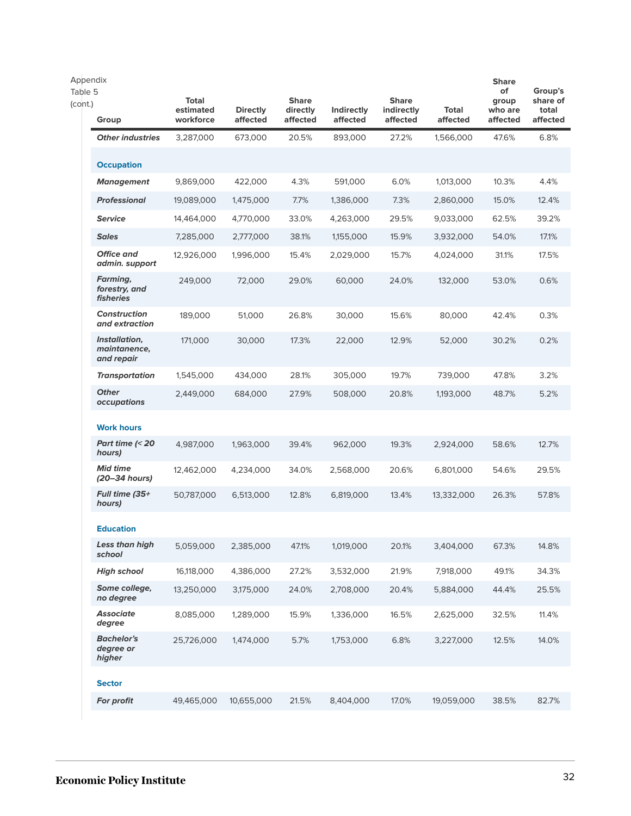| Appendix<br>Table 5<br>(cont.) | Group                                       | Total<br>estimated<br>workforce | <b>Directly</b><br>affected | <b>Share</b><br>directly<br>affected | Indirectly<br>affected | <b>Share</b><br>indirectly<br>affected | <b>Total</b><br>affected | <b>Share</b><br>of<br>group<br>who are<br>affected | Group's<br>share of<br>total<br>affected |
|--------------------------------|---------------------------------------------|---------------------------------|-----------------------------|--------------------------------------|------------------------|----------------------------------------|--------------------------|----------------------------------------------------|------------------------------------------|
|                                | <b>Other industries</b>                     | 3,287,000                       | 673,000                     | 20.5%                                | 893,000                | 27.2%                                  | 1,566,000                | 47.6%                                              | 6.8%                                     |
|                                | <b>Occupation</b>                           |                                 |                             |                                      |                        |                                        |                          |                                                    |                                          |
|                                | <b>Management</b>                           | 9,869,000                       | 422,000                     | 4.3%                                 | 591,000                | 6.0%                                   | 1,013,000                | 10.3%                                              | 4.4%                                     |
|                                | <b>Professional</b>                         | 19,089,000                      | 1,475,000                   | 7.7%                                 | 1,386,000              | 7.3%                                   | 2,860,000                | 15.0%                                              | 12.4%                                    |
|                                | <b>Service</b>                              | 14,464,000                      | 4,770,000                   | 33.0%                                | 4,263,000              | 29.5%                                  | 9,033,000                | 62.5%                                              | 39.2%                                    |
|                                | <b>Sales</b>                                | 7,285,000                       | 2,777,000                   | 38.1%                                | 1,155,000              | 15.9%                                  | 3,932,000                | 54.0%                                              | 17.1%                                    |
|                                | <b>Office and</b><br>admin. support         | 12,926,000                      | 1,996,000                   | 15.4%                                | 2,029,000              | 15.7%                                  | 4,024,000                | 31.1%                                              | 17.5%                                    |
|                                | Farming,<br>forestry, and<br>fisheries      | 249,000                         | 72,000                      | 29.0%                                | 60,000                 | 24.0%                                  | 132,000                  | 53.0%                                              | 0.6%                                     |
|                                | <b>Construction</b><br>and extraction       | 189,000                         | 51,000                      | 26.8%                                | 30,000                 | 15.6%                                  | 80,000                   | 42.4%                                              | 0.3%                                     |
|                                | Installation,<br>maintanence,<br>and repair | 171,000                         | 30,000                      | 17.3%                                | 22,000                 | 12.9%                                  | 52,000                   | 30.2%                                              | 0.2%                                     |
|                                | <b>Transportation</b>                       | 1,545,000                       | 434,000                     | 28.1%                                | 305,000                | 19.7%                                  | 739,000                  | 47.8%                                              | 3.2%                                     |
|                                | <b>Other</b><br>occupations                 | 2,449,000                       | 684,000                     | 27.9%                                | 508,000                | 20.8%                                  | 1,193,000                | 48.7%                                              | 5.2%                                     |
|                                | <b>Work hours</b>                           |                                 |                             |                                      |                        |                                        |                          |                                                    |                                          |
|                                | Part time (< 20<br>hours)                   | 4,987,000                       | 1,963,000                   | 39.4%                                | 962,000                | 19.3%                                  | 2,924,000                | 58.6%                                              | 12.7%                                    |
|                                | <b>Mid time</b><br>(20–34 hours)            | 12,462,000                      | 4,234,000                   | 34.0%                                | 2,568,000              | 20.6%                                  | 6,801,000                | 54.6%                                              | 29.5%                                    |
|                                | <b>Full time (35+</b><br>hours)             | 50,787,000                      | 6,513,000                   | 12.8%                                | 6,819,000              | 13.4%                                  | 13,332,000               | 26.3%                                              | 57.8%                                    |
|                                | <b>Education</b>                            |                                 |                             |                                      |                        |                                        |                          |                                                    |                                          |
|                                | Less than high<br>school                    | 5,059,000                       | 2,385,000                   | 47.1%                                | 1,019,000              | 20.1%                                  | 3,404,000                | 67.3%                                              | 14.8%                                    |
|                                | <b>High school</b>                          | 16,118,000                      | 4,386,000                   | 27.2%                                | 3,532,000              | 21.9%                                  | 7,918,000                | 49.1%                                              | 34.3%                                    |
|                                | Some college,<br>no degree                  | 13,250,000                      | 3,175,000                   | 24.0%                                | 2,708,000              | 20.4%                                  | 5,884,000                | 44.4%                                              | 25.5%                                    |
|                                | <b>Associate</b><br>degree                  | 8,085,000                       | 1,289,000                   | 15.9%                                | 1,336,000              | 16.5%                                  | 2,625,000                | 32.5%                                              | 11.4%                                    |
|                                | <b>Bachelor's</b><br>degree or<br>higher    | 25,726,000                      | 1,474,000                   | 5.7%                                 | 1,753,000              | 6.8%                                   | 3,227,000                | 12.5%                                              | 14.0%                                    |
|                                | <b>Sector</b>                               |                                 |                             |                                      |                        |                                        |                          |                                                    |                                          |
|                                | For profit                                  | 49,465,000                      | 10,655,000                  | 21.5%                                | 8,404,000              | 17.0%                                  | 19,059,000               | 38.5%                                              | 82.7%                                    |
|                                |                                             |                                 |                             |                                      |                        |                                        |                          |                                                    |                                          |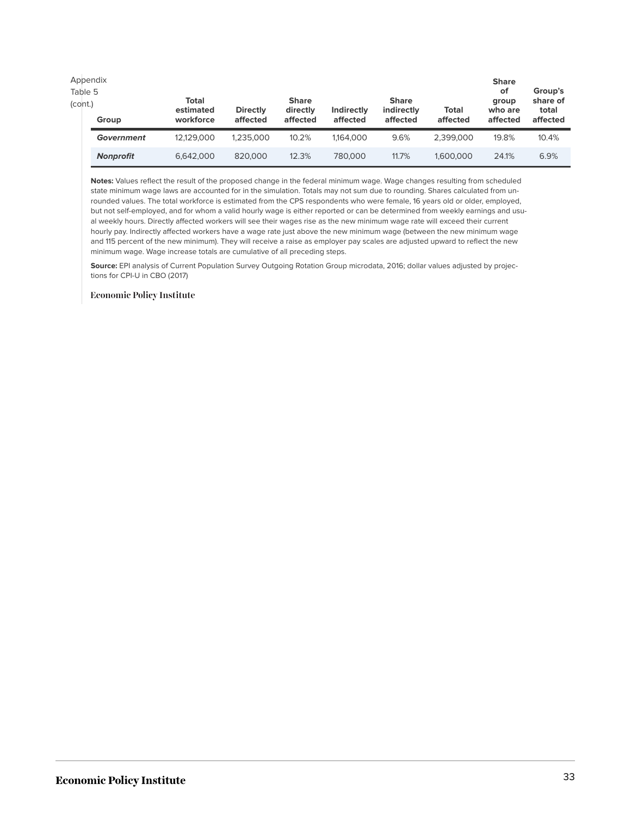| Table 5<br>(cont.) | Appendix<br>Group | Total<br>estimated<br>workforce | <b>Directly</b><br>affected | <b>Share</b><br>directly<br>affected | Indirectly<br>affected | <b>Share</b><br>indirectly<br>affected | <b>Total</b><br>affected | <b>Share</b><br>оf<br>group<br>who are<br>affected | Group's<br>share of<br>total<br>affected |
|--------------------|-------------------|---------------------------------|-----------------------------|--------------------------------------|------------------------|----------------------------------------|--------------------------|----------------------------------------------------|------------------------------------------|
|                    | Government        | 12.129.000                      | 1.235.000                   | 10.2%                                | 1,164,000              | 9.6%                                   | 2.399.000                | 19.8%                                              | 10.4%                                    |
|                    | <b>Nonprofit</b>  | 6.642.000                       | 820,000                     | 12.3%                                | 780,000                | 11.7%                                  | 1,600,000                | 24.1%                                              | 6.9%                                     |

**Notes:** Values reflect the result of the proposed change in the federal minimum wage. Wage changes resulting from scheduled state minimum wage laws are accounted for in the simulation. Totals may not sum due to rounding. Shares calculated from unrounded values. The total workforce is estimated from the CPS respondents who were female, 16 years old or older, employed, but not self-employed, and for whom a valid hourly wage is either reported or can be determined from weekly earnings and usual weekly hours. Directly affected workers will see their wages rise as the new minimum wage rate will exceed their current hourly pay. Indirectly affected workers have a wage rate just above the new minimum wage (between the new minimum wage and 115 percent of the new minimum). They will receive a raise as employer pay scales are adjusted upward to reflect the new minimum wage. Wage increase totals are cumulative of all preceding steps.

**Source:** EPI analysis of Current Population Survey Outgoing Rotation Group microdata, 2016; dollar values adjusted by projections for CPI-U in CBO (2017)

#### **Economic Policy Institute**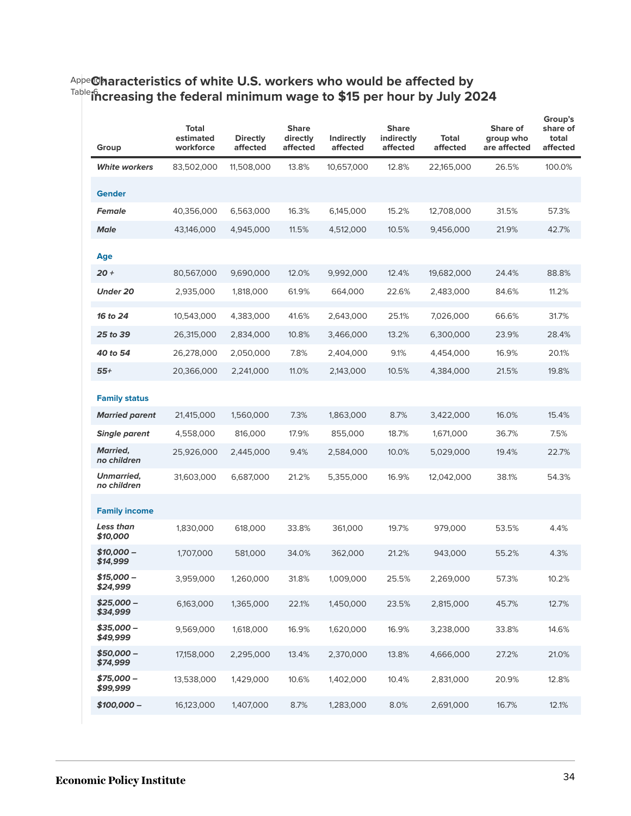#### <sup>Appe</sup>@haracteristics of white U.S. workers who would be affected by Table 6 **increasing the federal minimum wage to \$15 per hour by July 2024**

| Group                            | <b>Total</b><br>estimated<br>workforce | <b>Directly</b><br>affected | <b>Share</b><br>directly<br>affected | Indirectly<br>affected | <b>Share</b><br>indirectly<br>affected | <b>Total</b><br>affected | Share of<br>group who<br>are affected | Group's<br>share of<br>total<br>affected |
|----------------------------------|----------------------------------------|-----------------------------|--------------------------------------|------------------------|----------------------------------------|--------------------------|---------------------------------------|------------------------------------------|
| <b>White workers</b>             | 83,502,000                             | 11,508,000                  | 13.8%                                | 10,657,000             | 12.8%                                  | 22,165,000               | 26.5%                                 | 100.0%                                   |
| <b>Gender</b>                    |                                        |                             |                                      |                        |                                        |                          |                                       |                                          |
| <b>Female</b>                    | 40,356,000                             | 6,563,000                   | 16.3%                                | 6,145,000              | 15.2%                                  | 12,708,000               | 31.5%                                 | 57.3%                                    |
| <b>Male</b>                      | 43,146,000                             | 4,945,000                   | 11.5%                                | 4,512,000              | 10.5%                                  | 9,456,000                | 21.9%                                 | 42.7%                                    |
| Age                              |                                        |                             |                                      |                        |                                        |                          |                                       |                                          |
| $20 +$                           | 80,567,000                             | 9,690,000                   | 12.0%                                | 9,992,000              | 12.4%                                  | 19,682,000               | 24.4%                                 | 88.8%                                    |
| <b>Under 20</b>                  | 2,935,000                              | 1,818,000                   | 61.9%                                | 664,000                | 22.6%                                  | 2,483,000                | 84.6%                                 | 11.2%                                    |
| 16 to 24                         | 10,543,000                             | 4,383,000                   | 41.6%                                | 2,643,000              | 25.1%                                  | 7,026,000                | 66.6%                                 | 31.7%                                    |
| 25 to 39                         | 26,315,000                             | 2,834,000                   | 10.8%                                | 3,466,000              | 13.2%                                  | 6,300,000                | 23.9%                                 | 28.4%                                    |
| 40 to 54                         | 26,278,000                             | 2,050,000                   | 7.8%                                 | 2,404,000              | 9.1%                                   | 4,454,000                | 16.9%                                 | 20.1%                                    |
| $55+$                            | 20,366,000                             | 2,241,000                   | 11.0%                                | 2,143,000              | 10.5%                                  | 4,384,000                | 21.5%                                 | 19.8%                                    |
| <b>Family status</b>             |                                        |                             |                                      |                        |                                        |                          |                                       |                                          |
| <b>Married parent</b>            | 21,415,000                             | 1,560,000                   | 7.3%                                 | 1,863,000              | 8.7%                                   | 3,422,000                | 16.0%                                 | 15.4%                                    |
| <b>Single parent</b>             | 4,558,000                              | 816,000                     | 17.9%                                | 855,000                | 18.7%                                  | 1,671,000                | 36.7%                                 | 7.5%                                     |
| <b>Married,</b><br>no children   | 25,926,000                             | 2,445,000                   | 9.4%                                 | 2,584,000              | 10.0%                                  | 5,029,000                | 19.4%                                 | 22.7%                                    |
| <b>Unmarried,</b><br>no children | 31,603,000                             | 6,687,000                   | 21.2%                                | 5,355,000              | 16.9%                                  | 12,042,000               | 38.1%                                 | 54.3%                                    |
| <b>Family income</b>             |                                        |                             |                                      |                        |                                        |                          |                                       |                                          |
| Less than<br>\$10,000            | 1,830,000                              | 618,000                     | 33.8%                                | 361,000                | 19.7%                                  | 979,000                  | 53.5%                                 | 4.4%                                     |
| $$10.000 -$<br>\$14,999          | 1,707,000                              | 581,000                     | 34.0%                                | 362,000                | 21.2%                                  | 943,000                  | 55.2%                                 | 4.3%                                     |
| $$15,000-$<br>\$24,999           | 3,959,000                              | 1,260,000                   | 31.8%                                | 1,009,000              | 25.5%                                  | 2,269,000                | 57.3%                                 | 10.2%                                    |
| $$25,000-$<br>\$34,999           | 6,163,000                              | 1,365,000                   | 22.1%                                | 1,450,000              | 23.5%                                  | 2,815,000                | 45.7%                                 | 12.7%                                    |
| $$35,000-$<br>\$49,999           | 9,569,000                              | 1,618,000                   | 16.9%                                | 1,620,000              | 16.9%                                  | 3,238,000                | 33.8%                                 | 14.6%                                    |
| $$50,000-$<br>\$74,999           | 17,158,000                             | 2,295,000                   | 13.4%                                | 2,370,000              | 13.8%                                  | 4,666,000                | 27.2%                                 | 21.0%                                    |
| $$75.000 -$<br>\$99,999          | 13,538,000                             | 1,429,000                   | 10.6%                                | 1,402,000              | 10.4%                                  | 2,831,000                | 20.9%                                 | 12.8%                                    |
| \$100,000 -                      | 16,123,000                             | 1,407,000                   | 8.7%                                 | 1,283,000              | 8.0%                                   | 2,691,000                | 16.7%                                 | 12.1%                                    |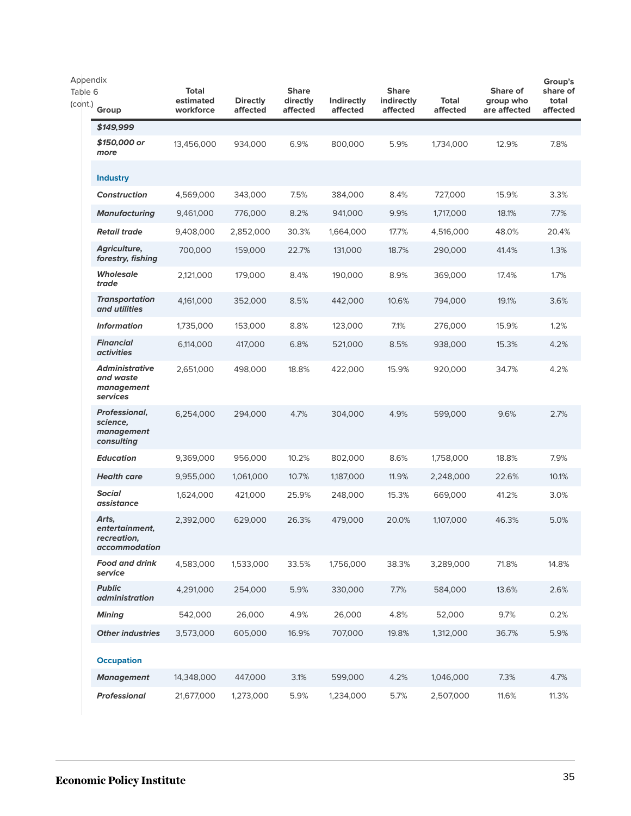| Appendix           |                                                                |                                        |                             |                                      |                        |                                        |                          |                                       | Group's                       |
|--------------------|----------------------------------------------------------------|----------------------------------------|-----------------------------|--------------------------------------|------------------------|----------------------------------------|--------------------------|---------------------------------------|-------------------------------|
| Table 6<br>(cont.) | Group                                                          | <b>Total</b><br>estimated<br>workforce | <b>Directly</b><br>affected | <b>Share</b><br>directly<br>affected | Indirectly<br>affected | <b>Share</b><br>indirectly<br>affected | <b>Total</b><br>affected | Share of<br>group who<br>are affected | share of<br>total<br>affected |
|                    | \$149,999                                                      |                                        |                             |                                      |                        |                                        |                          |                                       |                               |
|                    | \$150,000 or<br>more                                           | 13,456,000                             | 934,000                     | 6.9%                                 | 800,000                | 5.9%                                   | 1,734,000                | 12.9%                                 | 7.8%                          |
|                    | <b>Industry</b>                                                |                                        |                             |                                      |                        |                                        |                          |                                       |                               |
|                    | <b>Construction</b>                                            | 4,569,000                              | 343,000                     | 7.5%                                 | 384,000                | 8.4%                                   | 727,000                  | 15.9%                                 | 3.3%                          |
|                    | <b>Manufacturing</b>                                           | 9,461,000                              | 776,000                     | 8.2%                                 | 941,000                | 9.9%                                   | 1,717,000                | 18.1%                                 | 7.7%                          |
|                    | <b>Retail trade</b>                                            | 9,408,000                              | 2,852,000                   | 30.3%                                | 1,664,000              | 17.7%                                  | 4,516,000                | 48.0%                                 | 20.4%                         |
|                    | Agriculture,<br>forestry, fishing                              | 700,000                                | 159,000                     | 22.7%                                | 131,000                | 18.7%                                  | 290,000                  | 41.4%                                 | 1.3%                          |
|                    | <b>Wholesale</b><br>trade                                      | 2,121,000                              | 179,000                     | 8.4%                                 | 190,000                | 8.9%                                   | 369,000                  | 17.4%                                 | 1.7%                          |
|                    | <b>Transportation</b><br>and utilities                         | 4,161,000                              | 352,000                     | 8.5%                                 | 442,000                | 10.6%                                  | 794,000                  | 19.1%                                 | 3.6%                          |
|                    | <b>Information</b>                                             | 1,735,000                              | 153,000                     | 8.8%                                 | 123,000                | 7.1%                                   | 276,000                  | 15.9%                                 | 1.2%                          |
|                    | <b>Financial</b><br><i>activities</i>                          | 6,114,000                              | 417,000                     | 6.8%                                 | 521,000                | 8.5%                                   | 938,000                  | 15.3%                                 | 4.2%                          |
|                    | <b>Administrative</b><br>and waste<br>management<br>services   | 2,651,000                              | 498,000                     | 18.8%                                | 422,000                | 15.9%                                  | 920.000                  | 34.7%                                 | 4.2%                          |
|                    | Professional,<br>science,<br>management<br>consulting          | 6,254,000                              | 294,000                     | 4.7%                                 | 304,000                | 4.9%                                   | 599,000                  | 9.6%                                  | 2.7%                          |
|                    | <b>Education</b>                                               | 9,369,000                              | 956,000                     | 10.2%                                | 802,000                | 8.6%                                   | 1,758,000                | 18.8%                                 | 7.9%                          |
|                    | <b>Health care</b>                                             | 9,955,000                              | 1,061,000                   | 10.7%                                | 1,187,000              | 11.9%                                  | 2,248,000                | 22.6%                                 | 10.1%                         |
|                    | <b>Social</b><br>assistance                                    | 1,624,000                              | 421,000                     | 25.9%                                | 248,000                | 15.3%                                  | 669,000                  | 41.2%                                 | 3.0%                          |
|                    | Arts,<br>entertainment,<br>recreation,<br><i>accommodation</i> | 2,392,000                              | 629,000                     | 26.3%                                | 479,000                | 20.0%                                  | 1,107,000                | 46.3%                                 | 5.0%                          |
|                    | <b>Food and drink</b><br>service                               | 4,583,000                              | 1,533,000                   | 33.5%                                | 1,756,000              | 38.3%                                  | 3,289,000                | 71.8%                                 | 14.8%                         |
|                    | <b>Public</b><br><i>administration</i>                         | 4,291,000                              | 254,000                     | 5.9%                                 | 330,000                | 7.7%                                   | 584,000                  | 13.6%                                 | 2.6%                          |
|                    | <b>Mining</b>                                                  | 542,000                                | 26,000                      | 4.9%                                 | 26,000                 | 4.8%                                   | 52,000                   | 9.7%                                  | 0.2%                          |
|                    | <b>Other industries</b>                                        | 3,573,000                              | 605,000                     | 16.9%                                | 707,000                | 19.8%                                  | 1,312,000                | 36.7%                                 | 5.9%                          |
|                    | <b>Occupation</b>                                              |                                        |                             |                                      |                        |                                        |                          |                                       |                               |
|                    | <b>Management</b>                                              | 14,348,000                             | 447,000                     | 3.1%                                 | 599,000                | 4.2%                                   | 1,046,000                | 7.3%                                  | 4.7%                          |
|                    | <b>Professional</b>                                            | 21,677,000                             | 1,273,000                   | 5.9%                                 | 1,234,000              | 5.7%                                   | 2,507,000                | 11.6%                                 | 11.3%                         |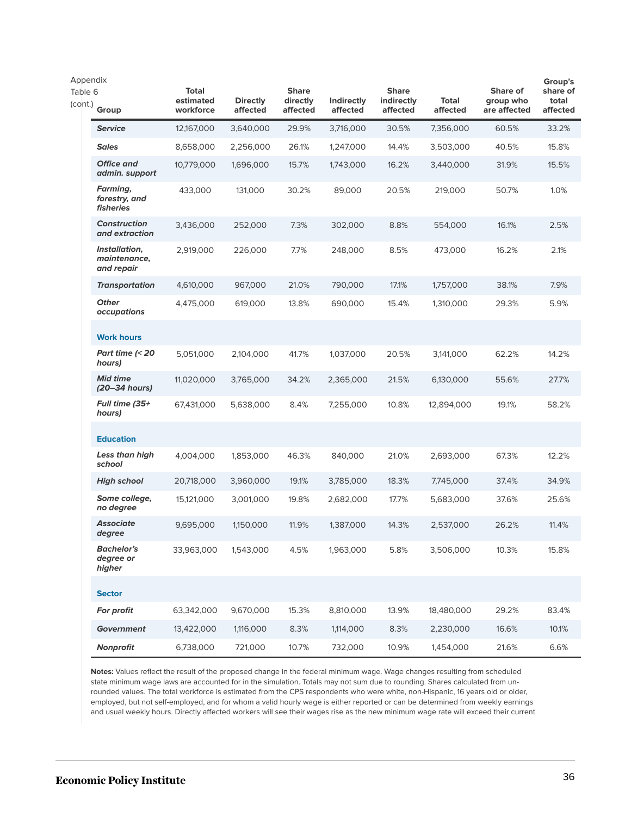| Appendix           |                                               |                                        |                             |                                      |                               |                                        |                   |                                       | Group's                       |
|--------------------|-----------------------------------------------|----------------------------------------|-----------------------------|--------------------------------------|-------------------------------|----------------------------------------|-------------------|---------------------------------------|-------------------------------|
| Table 6<br>(cont.) | Group                                         | <b>Total</b><br>estimated<br>workforce | <b>Directly</b><br>affected | <b>Share</b><br>directly<br>affected | <b>Indirectly</b><br>affected | <b>Share</b><br>indirectly<br>affected | Total<br>affected | Share of<br>group who<br>are affected | share of<br>total<br>affected |
|                    | <b>Service</b>                                | 12,167,000                             | 3,640,000                   | 29.9%                                | 3,716,000                     | 30.5%                                  | 7,356,000         | 60.5%                                 | 33.2%                         |
|                    | <b>Sales</b>                                  | 8,658,000                              | 2,256,000                   | 26.1%                                | 1,247,000                     | 14.4%                                  | 3,503,000         | 40.5%                                 | 15.8%                         |
|                    | <b>Office and</b><br>admin. support           | 10,779,000                             | 1,696,000                   | 15.7%                                | 1,743,000                     | 16.2%                                  | 3,440,000         | 31.9%                                 | 15.5%                         |
|                    | <b>Farming,</b><br>forestry, and<br>fisheries | 433,000                                | 131,000                     | 30.2%                                | 89,000                        | 20.5%                                  | 219,000           | 50.7%                                 | 1.0%                          |
|                    | <b>Construction</b><br>and extraction         | 3,436,000                              | 252,000                     | 7.3%                                 | 302,000                       | 8.8%                                   | 554,000           | 16.1%                                 | 2.5%                          |
|                    | Installation,<br>maintenance,<br>and repair   | 2,919,000                              | 226,000                     | 7.7%                                 | 248,000                       | 8.5%                                   | 473,000           | 16.2%                                 | 2.1%                          |
|                    | <b>Transportation</b>                         | 4,610,000                              | 967,000                     | 21.0%                                | 790,000                       | 17.1%                                  | 1,757,000         | 38.1%                                 | 7.9%                          |
|                    | <b>Other</b><br>occupations                   | 4,475,000                              | 619,000                     | 13.8%                                | 690,000                       | 15.4%                                  | 1,310,000         | 29.3%                                 | 5.9%                          |
|                    | <b>Work hours</b>                             |                                        |                             |                                      |                               |                                        |                   |                                       |                               |
|                    | Part time $\approx$ 20<br>hours)              | 5,051,000                              | 2,104,000                   | 41.7%                                | 1,037,000                     | 20.5%                                  | 3,141,000         | 62.2%                                 | 14.2%                         |
|                    | <b>Mid time</b><br>(20–34 hours)              | 11,020,000                             | 3,765,000                   | 34.2%                                | 2,365,000                     | 21.5%                                  | 6,130,000         | 55.6%                                 | 27.7%                         |
|                    | <b>Full time (35+</b><br>hours)               | 67,431,000                             | 5,638,000                   | 8.4%                                 | 7,255,000                     | 10.8%                                  | 12,894,000        | 19.1%                                 | 58.2%                         |
|                    | <b>Education</b>                              |                                        |                             |                                      |                               |                                        |                   |                                       |                               |
|                    | Less than high<br>school                      | 4,004,000                              | 1,853,000                   | 46.3%                                | 840,000                       | 21.0%                                  | 2,693,000         | 67.3%                                 | 12.2%                         |
|                    | <b>High school</b>                            | 20,718,000                             | 3,960,000                   | 19.1%                                | 3,785,000                     | 18.3%                                  | 7,745,000         | 37.4%                                 | 34.9%                         |
|                    | Some college,<br>no degree                    | 15,121,000                             | 3,001,000                   | 19.8%                                | 2,682,000                     | 17.7%                                  | 5,683,000         | 37.6%                                 | 25.6%                         |
|                    | <b>Associate</b><br>degree                    | 9,695,000                              | 1,150,000                   | 11.9%                                | 1,387,000                     | 14.3%                                  | 2,537,000         | 26.2%                                 | 11.4%                         |
|                    | <b>Bachelor's</b><br>degree or<br>higher      | 33,963,000                             | 1,543,000                   | 4.5%                                 | 1,963,000                     | 5.8%                                   | 3,506,000         | 10.3%                                 | 15.8%                         |
|                    | <b>Sector</b>                                 |                                        |                             |                                      |                               |                                        |                   |                                       |                               |
|                    | For profit                                    | 63,342,000                             | 9,670,000                   | 15.3%                                | 8,810,000                     | 13.9%                                  | 18,480,000        | 29.2%                                 | 83.4%                         |
|                    | <b>Government</b>                             | 13,422,000                             | 1,116,000                   | 8.3%                                 | 1,114,000                     | 8.3%                                   | 2,230,000         | 16.6%                                 | 10.1%                         |
|                    | Nonprofit                                     | 6,738,000                              | 721,000                     | 10.7%                                | 732,000                       | 10.9%                                  | 1,454,000         | 21.6%                                 | 6.6%                          |

**Notes:** Values reflect the result of the proposed change in the federal minimum wage. Wage changes resulting from scheduled state minimum wage laws are accounted for in the simulation. Totals may not sum due to rounding. Shares calculated from unrounded values. The total workforce is estimated from the CPS respondents who were white, non-Hispanic, 16 years old or older, employed, but not self-employed, and for whom a valid hourly wage is either reported or can be determined from weekly earnings and usual weekly hours. Directly affected workers will see their wages rise as the new minimum wage rate will exceed their current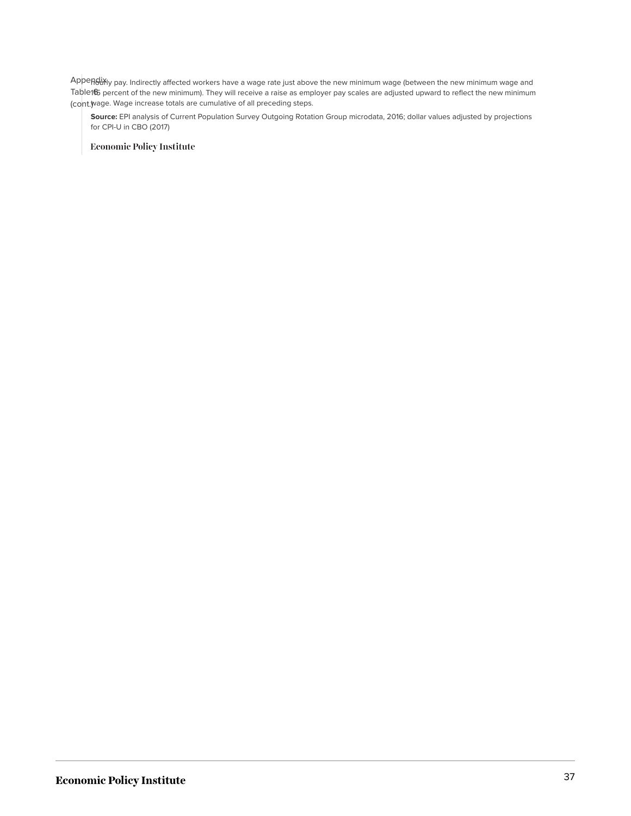Appendix<sub>ly pay.</sub> Indirectly affected workers have a wage rate just above the new minimum wage (between the new minimum wage and Table165 percent of the new minimum). They will receive a raise as employer pay scales are adjusted upward to reflect the new minimum (cont.) wage. Wage increase totals are cumulative of all preceding steps.

**Source:** EPI analysis of Current Population Survey Outgoing Rotation Group microdata, 2016; dollar values adjusted by projections for CPI-U in CBO (2017)

**Economic Policy Institute**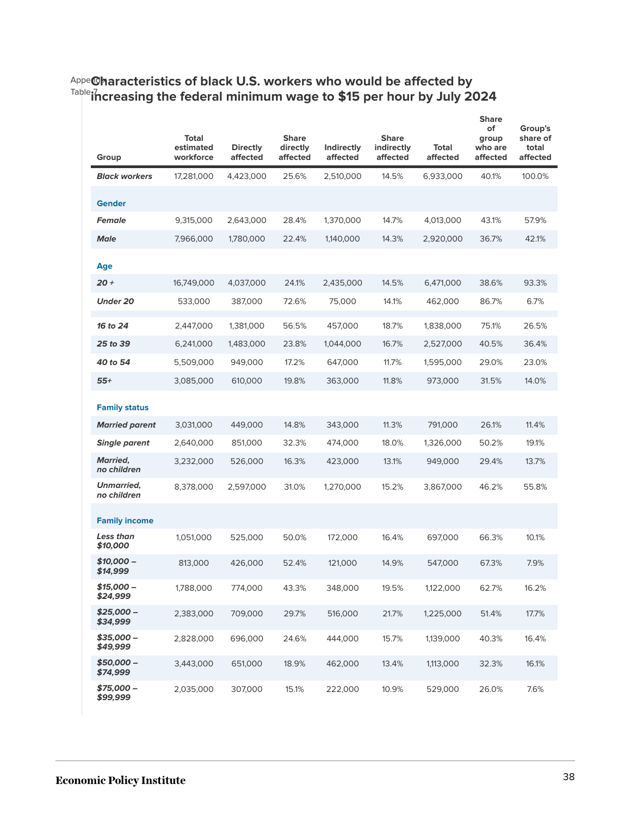| Group                          | <b>Total</b><br>estimated<br>workforce | <b>Directly</b><br>affected | <b>Share</b><br>directly<br>affected | Indirectly<br>affected | <b>Share</b><br>indirectly<br>affected | Total<br>affected | <b>Share</b><br>of<br>group<br>who are<br>affected | Group's<br>share of<br>total<br>affected |
|--------------------------------|----------------------------------------|-----------------------------|--------------------------------------|------------------------|----------------------------------------|-------------------|----------------------------------------------------|------------------------------------------|
| <b>Black workers</b>           | 17,281,000                             | 4,423,000                   | 25.6%                                | 2,510,000              | 14.5%                                  | 6,933,000         | 40.1%                                              | 100.0%                                   |
| <b>Gender</b>                  |                                        |                             |                                      |                        |                                        |                   |                                                    |                                          |
| <b>Female</b>                  | 9,315,000                              | 2,643,000                   | 28.4%                                | 1,370,000              | 14.7%                                  | 4,013,000         | 43.1%                                              | 57.9%                                    |
| <b>Male</b>                    | 7,966,000                              | 1,780,000                   | 22.4%                                | 1,140,000              | 14.3%                                  | 2,920,000         | 36.7%                                              | 42.1%                                    |
| Age                            |                                        |                             |                                      |                        |                                        |                   |                                                    |                                          |
| $20 +$                         | 16,749,000                             | 4,037,000                   | 24.1%                                | 2,435,000              | 14.5%                                  | 6,471,000         | 38.6%                                              | 93.3%                                    |
| <b>Under 20</b>                | 533,000                                | 387,000                     | 72.6%                                | 75,000                 | 14.1%                                  | 462,000           | 86.7%                                              | 6.7%                                     |
| 16 to 24                       | 2,447,000                              | 1,381,000                   | 56.5%                                | 457,000                | 18.7%                                  | 1,838,000         | 75.1%                                              | 26.5%                                    |
| 25 to 39                       | 6,241,000                              | 1,483,000                   | 23.8%                                | 1,044,000              | 16.7%                                  | 2,527,000         | 40.5%                                              | 36.4%                                    |
| 40 to 54                       | 5,509,000                              | 949,000                     | 17.2%                                | 647,000                | 11.7%                                  | 1,595,000         | 29.0%                                              | 23.0%                                    |
| $55+$                          | 3,085,000                              | 610,000                     | 19.8%                                | 363,000                | 11.8%                                  | 973,000           | 31.5%                                              | 14.0%                                    |
| <b>Family status</b>           |                                        |                             |                                      |                        |                                        |                   |                                                    |                                          |
| <b>Married parent</b>          | 3,031,000                              | 449,000                     | 14.8%                                | 343,000                | 11.3%                                  | 791,000           | 26.1%                                              | 11.4%                                    |
| <b>Single parent</b>           | 2,640,000                              | 851,000                     | 32.3%                                | 474,000                | 18.0%                                  | 1,326,000         | 50.2%                                              | 19.1%                                    |
| <b>Married,</b><br>no children | 3,232,000                              | 526,000                     | 16.3%                                | 423,000                | 13.1%                                  | 949,000           | 29.4%                                              | 13.7%                                    |
| Unmarried,<br>no children      | 8,378,000                              | 2,597,000                   | 31.0%                                | 1,270,000              | 15.2%                                  | 3,867,000         | 46.2%                                              | 55.8%                                    |
| <b>Family income</b>           |                                        |                             |                                      |                        |                                        |                   |                                                    |                                          |
| Less than<br>\$10.000          | 1,051,000                              | 525,000                     | 50.0%                                | 172,000                | 16.4%                                  | 697,000           | 66.3%                                              | 10.1%                                    |
| \$10,000 -<br>\$14,999         | 813,000                                | 426,000                     | 52.4%                                | 121,000                | 14.9%                                  | 547,000           | 67.3%                                              | 7.9%                                     |
| \$15,000 –<br>\$24,999         | 1,788,000                              | 774,000                     | 43.3%                                | 348,000                | 19.5%                                  | 1,122,000         | 62.7%                                              | 16.2%                                    |
| \$25.000 -<br>\$34,999         | 2,383,000                              | 709,000                     | 29.7%                                | 516,000                | 21.7%                                  | 1,225,000         | 51.4%                                              | 17.7%                                    |
| \$35,000 –<br>\$49,999         | 2,828,000                              | 696,000                     | 24.6%                                | 444,000                | 15.7%                                  | 1,139,000         | 40.3%                                              | 16.4%                                    |
| \$50.000 -<br>\$74,999         | 3,443,000                              | 651,000                     | 18.9%                                | 462,000                | 13.4%                                  | 1,113,000         | 32.3%                                              | 16.1%                                    |
| \$75,000 –<br>\$99,999         | 2,035,000                              | 307,000                     | 15.1%                                | 222,000                | 10.9%                                  | 529,000           | 26.0%                                              | 7.6%                                     |

#### <sup>Appe</sup>@haracteristics of black U.S. workers who would be affected by Table 7 **increasing the federal minimum wage to \$15 per hour by July 2024**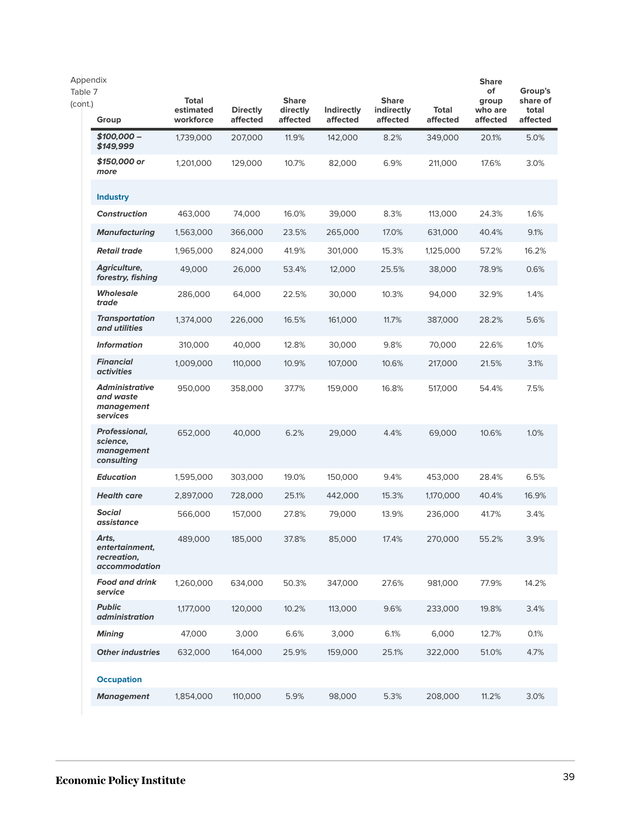| Appendix<br>Table 7<br>(cont.) | Group                                                          | <b>Total</b><br>estimated<br>workforce | <b>Directly</b><br>affected | <b>Share</b><br>directly<br>affected | Indirectly<br>affected | <b>Share</b><br>indirectly<br>affected | Total<br>affected | <b>Share</b><br>of<br>group<br>who are<br>affected | Group's<br>share of<br>total<br>affected |
|--------------------------------|----------------------------------------------------------------|----------------------------------------|-----------------------------|--------------------------------------|------------------------|----------------------------------------|-------------------|----------------------------------------------------|------------------------------------------|
|                                | \$100,000 -<br>\$149,999                                       | 1,739,000                              | 207,000                     | 11.9%                                | 142,000                | 8.2%                                   | 349,000           | 20.1%                                              | 5.0%                                     |
|                                | \$150,000 or<br>more                                           | 1,201,000                              | 129,000                     | 10.7%                                | 82,000                 | 6.9%                                   | 211,000           | 17.6%                                              | 3.0%                                     |
|                                | <b>Industry</b>                                                |                                        |                             |                                      |                        |                                        |                   |                                                    |                                          |
|                                | <b>Construction</b>                                            | 463,000                                | 74,000                      | 16.0%                                | 39,000                 | 8.3%                                   | 113,000           | 24.3%                                              | 1.6%                                     |
|                                | <b>Manufacturing</b>                                           | 1,563,000                              | 366,000                     | 23.5%                                | 265,000                | 17.0%                                  | 631,000           | 40.4%                                              | 9.1%                                     |
|                                | <b>Retail trade</b>                                            | 1,965,000                              | 824,000                     | 41.9%                                | 301,000                | 15.3%                                  | 1,125,000         | 57.2%                                              | 16.2%                                    |
|                                | Agriculture,<br>forestry, fishing                              | 49,000                                 | 26,000                      | 53.4%                                | 12,000                 | 25.5%                                  | 38,000            | 78.9%                                              | 0.6%                                     |
|                                | <b>Wholesale</b><br>trade                                      | 286,000                                | 64,000                      | 22.5%                                | 30,000                 | 10.3%                                  | 94,000            | 32.9%                                              | 1.4%                                     |
|                                | <b>Transportation</b><br>and utilities                         | 1,374,000                              | 226,000                     | 16.5%                                | 161,000                | 11.7%                                  | 387,000           | 28.2%                                              | 5.6%                                     |
|                                | <b>Information</b>                                             | 310,000                                | 40,000                      | 12.8%                                | 30,000                 | 9.8%                                   | 70,000            | 22.6%                                              | 1.0%                                     |
|                                | <b>Financial</b><br><i>activities</i>                          | 1,009,000                              | 110,000                     | 10.9%                                | 107,000                | 10.6%                                  | 217,000           | 21.5%                                              | 3.1%                                     |
|                                | <b>Administrative</b><br>and waste<br>management<br>services   | 950,000                                | 358,000                     | 37.7%                                | 159,000                | 16.8%                                  | 517,000           | 54.4%                                              | 7.5%                                     |
|                                | <b>Professional,</b><br>science,<br>management<br>consulting   | 652,000                                | 40,000                      | 6.2%                                 | 29,000                 | 4.4%                                   | 69,000            | 10.6%                                              | 1.0%                                     |
|                                | <b>Education</b>                                               | 1,595,000                              | 303,000                     | 19.0%                                | 150,000                | 9.4%                                   | 453,000           | 28.4%                                              | 6.5%                                     |
|                                | <b>Health care</b>                                             | 2,897,000                              | 728,000                     | 25.1%                                | 442,000                | 15.3%                                  | 1,170,000         | 40.4%                                              | 16.9%                                    |
|                                | <b>Social</b><br>assistance                                    | 566,000                                | 157,000                     | 27.8%                                | 79,000                 | 13.9%                                  | 236,000           | 41.7%                                              | 3.4%                                     |
|                                | Arts,<br>entertainment,<br>recreation,<br><i>accommodation</i> | 489,000                                | 185,000                     | 37.8%                                | 85,000                 | 17.4%                                  | 270,000           | 55.2%                                              | 3.9%                                     |
|                                | <b>Food and drink</b><br>service                               | 1,260,000                              | 634,000                     | 50.3%                                | 347,000                | 27.6%                                  | 981,000           | 77.9%                                              | 14.2%                                    |
|                                | <b>Public</b><br><i>administration</i>                         | 1,177,000                              | 120,000                     | 10.2%                                | 113,000                | 9.6%                                   | 233,000           | 19.8%                                              | 3.4%                                     |
|                                | <b>Mining</b>                                                  | 47,000                                 | 3,000                       | 6.6%                                 | 3,000                  | 6.1%                                   | 6,000             | 12.7%                                              | 0.1%                                     |
|                                | <b>Other industries</b>                                        | 632,000                                | 164,000                     | 25.9%                                | 159,000                | 25.1%                                  | 322,000           | 51.0%                                              | 4.7%                                     |
|                                | <b>Occupation</b>                                              |                                        |                             |                                      |                        |                                        |                   |                                                    |                                          |
|                                | <b>Management</b>                                              | 1,854,000                              | 110,000                     | 5.9%                                 | 98,000                 | 5.3%                                   | 208,000           | 11.2%                                              | 3.0%                                     |
|                                |                                                                |                                        |                             |                                      |                        |                                        |                   |                                                    |                                          |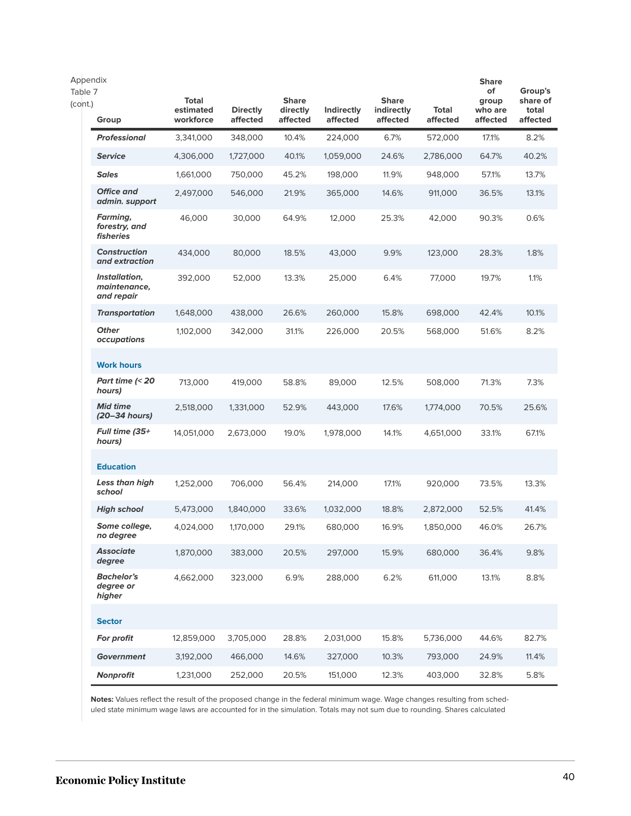| Appendix<br>Table 7 |                                                      |                                        |                             |                                      |                               |                                        |                   | <b>Share</b><br>of           | Group's                       |
|---------------------|------------------------------------------------------|----------------------------------------|-----------------------------|--------------------------------------|-------------------------------|----------------------------------------|-------------------|------------------------------|-------------------------------|
| (cont.)             | Group                                                | <b>Total</b><br>estimated<br>workforce | <b>Directly</b><br>affected | <b>Share</b><br>directly<br>affected | <b>Indirectly</b><br>affected | <b>Share</b><br>indirectly<br>affected | Total<br>affected | group<br>who are<br>affected | share of<br>total<br>affected |
|                     | <b>Professional</b>                                  | 3,341,000                              | 348,000                     | 10.4%                                | 224,000                       | 6.7%                                   | 572,000           | 17.1%                        | 8.2%                          |
|                     | <b>Service</b>                                       | 4,306,000                              | 1,727,000                   | 40.1%                                | 1,059,000                     | 24.6%                                  | 2,786,000         | 64.7%                        | 40.2%                         |
|                     | <b>Sales</b>                                         | 1,661,000                              | 750,000                     | 45.2%                                | 198,000                       | 11.9%                                  | 948,000           | 57.1%                        | 13.7%                         |
|                     | <b>Office and</b><br>admin. support                  | 2.497.000                              | 546,000                     | 21.9%                                | 365,000                       | 14.6%                                  | 911,000           | 36.5%                        | 13.1%                         |
|                     | Farming,<br>forestry, and<br><i><b>fisheries</b></i> | 46,000                                 | 30,000                      | 64.9%                                | 12,000                        | 25.3%                                  | 42,000            | 90.3%                        | 0.6%                          |
|                     | <b>Construction</b><br>and extraction                | 434,000                                | 80,000                      | 18.5%                                | 43,000                        | 9.9%                                   | 123,000           | 28.3%                        | 1.8%                          |
|                     | Installation,<br>maintenance,<br>and repair          | 392,000                                | 52,000                      | 13.3%                                | 25,000                        | 6.4%                                   | 77,000            | 19.7%                        | 1.1%                          |
|                     | <b>Transportation</b>                                | 1,648,000                              | 438,000                     | 26.6%                                | 260,000                       | 15.8%                                  | 698,000           | 42.4%                        | 10.1%                         |
|                     | <b>Other</b><br>occupations                          | 1,102,000                              | 342,000                     | 31.1%                                | 226,000                       | 20.5%                                  | 568,000           | 51.6%                        | 8.2%                          |
|                     | <b>Work hours</b>                                    |                                        |                             |                                      |                               |                                        |                   |                              |                               |
|                     | Part time (< 20<br>hours)                            | 713,000                                | 419,000                     | 58.8%                                | 89,000                        | 12.5%                                  | 508,000           | 71.3%                        | 7.3%                          |
|                     | <b>Mid time</b><br>(20–34 hours)                     | 2,518,000                              | 1,331,000                   | 52.9%                                | 443,000                       | 17.6%                                  | 1,774,000         | 70.5%                        | 25.6%                         |
|                     | <b>Full time (35+</b><br>hours)                      | 14,051,000                             | 2,673,000                   | 19.0%                                | 1,978,000                     | 14.1%                                  | 4,651,000         | 33.1%                        | 67.1%                         |
|                     | <b>Education</b>                                     |                                        |                             |                                      |                               |                                        |                   |                              |                               |
|                     | Less than high<br>school                             | 1,252,000                              | 706,000                     | 56.4%                                | 214,000                       | 17.1%                                  | 920,000           | 73.5%                        | 13.3%                         |
|                     | <b>High school</b>                                   | 5,473,000                              | 1,840,000                   | 33.6%                                | 1,032,000                     | 18.8%                                  | 2,872,000         | 52.5%                        | 41.4%                         |
|                     | Some college,<br>no degree                           | 4,024,000                              | 1,170,000                   | 29.1%                                | 680,000                       | 16.9%                                  | 1,850,000         | 46.0%                        | 26.7%                         |
|                     | <b>Associate</b><br>degree                           | 1,870,000                              | 383,000                     | 20.5%                                | 297,000                       | 15.9%                                  | 680,000           | 36.4%                        | 9.8%                          |
|                     | <b>Bachelor's</b><br>degree or<br>higher             | 4,662,000                              | 323,000                     | 6.9%                                 | 288,000                       | 6.2%                                   | 611,000           | 13.1%                        | 8.8%                          |
|                     | <b>Sector</b>                                        |                                        |                             |                                      |                               |                                        |                   |                              |                               |
|                     | For profit                                           | 12,859,000                             | 3,705,000                   | 28.8%                                | 2,031,000                     | 15.8%                                  | 5,736,000         | 44.6%                        | 82.7%                         |
|                     | <b>Government</b>                                    | 3,192,000                              | 466,000                     | 14.6%                                | 327,000                       | 10.3%                                  | 793,000           | 24.9%                        | 11.4%                         |
|                     | Nonprofit                                            | 1,231,000                              | 252,000                     | 20.5%                                | 151,000                       | 12.3%                                  | 403,000           | 32.8%                        | 5.8%                          |

**Notes:** Values reflect the result of the proposed change in the federal minimum wage. Wage changes resulting from scheduled state minimum wage laws are accounted for in the simulation. Totals may not sum due to rounding. Shares calculated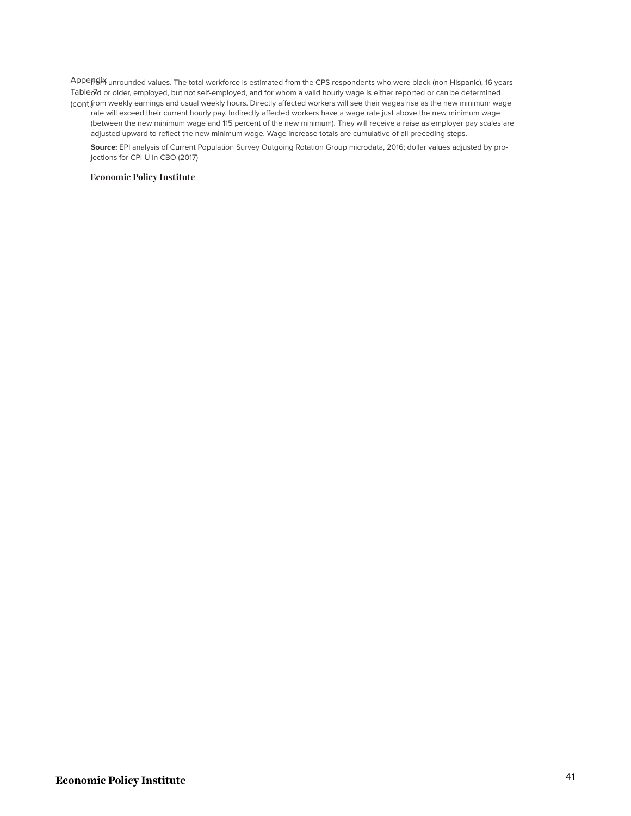Appendix unrounded values. The total workforce is estimated from the CPS respondents who were black (non-Hispanic), 16 years Tableold or older, employed, but not self-employed, and for whom a valid hourly wage is either reported or can be determined (cont.) from weekly earnings and usual weekly hours. Directly affected workers will see their wages rise as the new minimum wage

rate will exceed their current hourly pay. Indirectly affected workers have a wage rate just above the new minimum wage (between the new minimum wage and 115 percent of the new minimum). They will receive a raise as employer pay scales are adjusted upward to reflect the new minimum wage. Wage increase totals are cumulative of all preceding steps.

**Source:** EPI analysis of Current Population Survey Outgoing Rotation Group microdata, 2016; dollar values adjusted by projections for CPI-U in CBO (2017)

**Economic Policy Institute**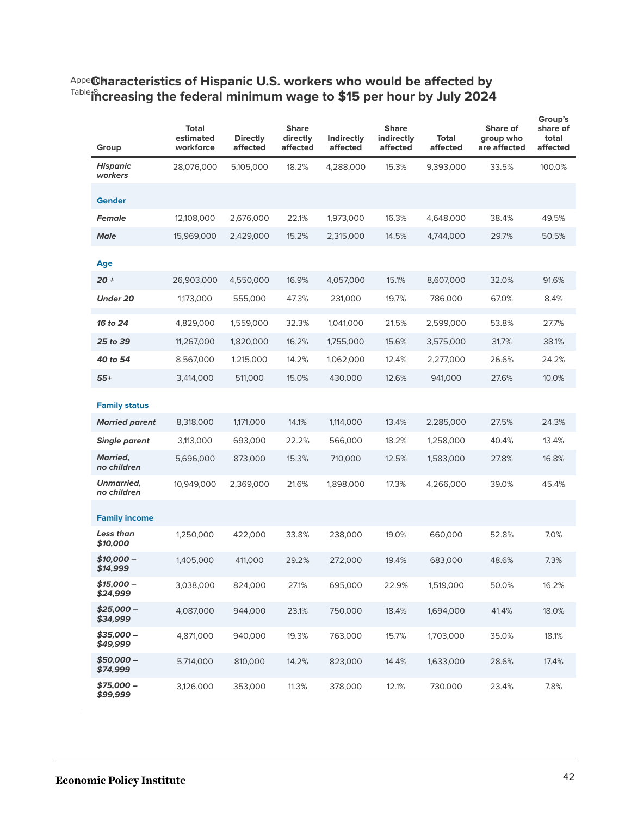#### <sup>Appe</sup>@haracteristics of Hispanic U.S. workers who would be affected by Table 8 **increasing the federal minimum wage to \$15 per hour by July 2024**

| Group                          | Total<br>estimated<br>workforce | <b>Directly</b><br>affected | <b>Share</b><br>directly<br>affected | Indirectly<br>affected | <b>Share</b><br>indirectly<br>affected | <b>Total</b><br>affected | Share of<br>group who<br>are affected | Group's<br>share of<br>total<br>affected |
|--------------------------------|---------------------------------|-----------------------------|--------------------------------------|------------------------|----------------------------------------|--------------------------|---------------------------------------|------------------------------------------|
| <b>Hispanic</b><br>workers     | 28,076,000                      | 5,105,000                   | 18.2%                                | 4,288,000              | 15.3%                                  | 9,393,000                | 33.5%                                 | 100.0%                                   |
| <b>Gender</b>                  |                                 |                             |                                      |                        |                                        |                          |                                       |                                          |
| <b>Female</b>                  | 12,108,000                      | 2,676,000                   | 22.1%                                | 1,973,000              | 16.3%                                  | 4,648,000                | 38.4%                                 | 49.5%                                    |
| <b>Male</b>                    | 15,969,000                      | 2,429,000                   | 15.2%                                | 2,315,000              | 14.5%                                  | 4,744,000                | 29.7%                                 | 50.5%                                    |
| <b>Age</b>                     |                                 |                             |                                      |                        |                                        |                          |                                       |                                          |
| $20 +$                         | 26,903,000                      | 4,550,000                   | 16.9%                                | 4,057,000              | 15.1%                                  | 8,607,000                | 32.0%                                 | 91.6%                                    |
| <b>Under 20</b>                | 1,173,000                       | 555,000                     | 47.3%                                | 231,000                | 19.7%                                  | 786,000                  | 67.0%                                 | 8.4%                                     |
| 16 to 24                       | 4,829,000                       | 1,559,000                   | 32.3%                                | 1,041,000              | 21.5%                                  | 2,599,000                | 53.8%                                 | 27.7%                                    |
| 25 to 39                       | 11,267,000                      | 1,820,000                   | 16.2%                                | 1,755,000              | 15.6%                                  | 3,575,000                | 31.7%                                 | 38.1%                                    |
| 40 to 54                       | 8,567,000                       | 1,215,000                   | 14.2%                                | 1,062,000              | 12.4%                                  | 2,277,000                | 26.6%                                 | 24.2%                                    |
| $55+$                          | 3,414,000                       | 511,000                     | 15.0%                                | 430,000                | 12.6%                                  | 941,000                  | 27.6%                                 | 10.0%                                    |
| <b>Family status</b>           |                                 |                             |                                      |                        |                                        |                          |                                       |                                          |
| <b>Married parent</b>          | 8,318,000                       | 1,171,000                   | 14.1%                                | 1,114,000              | 13.4%                                  | 2,285,000                | 27.5%                                 | 24.3%                                    |
| <b>Single parent</b>           | 3,113,000                       | 693,000                     | 22.2%                                | 566,000                | 18.2%                                  | 1,258,000                | 40.4%                                 | 13.4%                                    |
| <b>Married,</b><br>no children | 5,696,000                       | 873,000                     | 15.3%                                | 710,000                | 12.5%                                  | 1,583,000                | 27.8%                                 | 16.8%                                    |
| Unmarried,<br>no children      | 10,949,000                      | 2,369,000                   | 21.6%                                | 1,898,000              | 17.3%                                  | 4,266,000                | 39.0%                                 | 45.4%                                    |
| <b>Family income</b>           |                                 |                             |                                      |                        |                                        |                          |                                       |                                          |
| Less than<br>\$10,000          | 1,250,000                       | 422,000                     | 33.8%                                | 238,000                | 19.0%                                  | 660,000                  | 52.8%                                 | 7.0%                                     |
| \$10,000 -<br>\$14,999         | 1,405,000                       | 411,000                     | 29.2%                                | 272,000                | 19.4%                                  | 683,000                  | 48.6%                                 | 7.3%                                     |
| $$15,000-$<br>\$24,999         | 3,038,000                       | 824,000                     | 27.1%                                | 695,000                | 22.9%                                  | 1,519,000                | 50.0%                                 | 16.2%                                    |
| $$25,000-$<br>\$34,999         | 4,087,000                       | 944,000                     | 23.1%                                | 750,000                | 18.4%                                  | 1,694,000                | 41.4%                                 | 18.0%                                    |
| $$35,000-$<br>\$49,999         | 4,871,000                       | 940,000                     | 19.3%                                | 763,000                | 15.7%                                  | 1,703,000                | 35.0%                                 | 18.1%                                    |
| $$50,000-$<br>\$74,999         | 5,714,000                       | 810,000                     | 14.2%                                | 823,000                | 14.4%                                  | 1,633,000                | 28.6%                                 | 17.4%                                    |
| $$75,000-$<br>\$99,999         | 3,126,000                       | 353,000                     | 11.3%                                | 378,000                | 12.1%                                  | 730,000                  | 23.4%                                 | 7.8%                                     |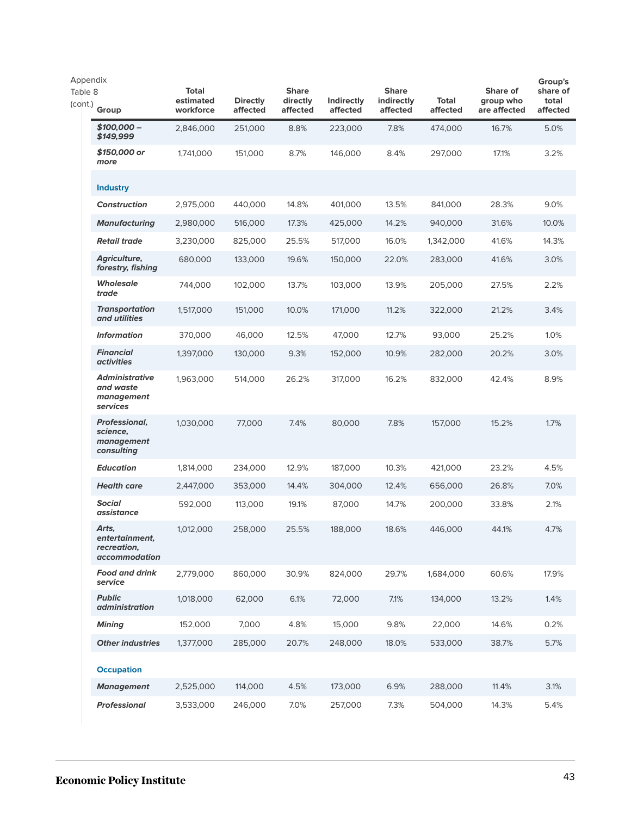| Appendix           |                                                                |                                        |                             |                                      |                               |                                        |                          |                                       | Group's                       |
|--------------------|----------------------------------------------------------------|----------------------------------------|-----------------------------|--------------------------------------|-------------------------------|----------------------------------------|--------------------------|---------------------------------------|-------------------------------|
| Table 8<br>(cont.) | Group                                                          | <b>Total</b><br>estimated<br>workforce | <b>Directly</b><br>affected | <b>Share</b><br>directly<br>affected | <b>Indirectly</b><br>affected | <b>Share</b><br>indirectly<br>affected | <b>Total</b><br>affected | Share of<br>group who<br>are affected | share of<br>total<br>affected |
|                    | \$100,000 -<br>\$149,999                                       | 2,846,000                              | 251,000                     | 8.8%                                 | 223,000                       | 7.8%                                   | 474,000                  | 16.7%                                 | 5.0%                          |
|                    | \$150,000 or<br>more                                           | 1,741,000                              | 151,000                     | 8.7%                                 | 146,000                       | 8.4%                                   | 297,000                  | 17.1%                                 | 3.2%                          |
|                    | <b>Industry</b>                                                |                                        |                             |                                      |                               |                                        |                          |                                       |                               |
|                    | <b>Construction</b>                                            | 2,975,000                              | 440,000                     | 14.8%                                | 401,000                       | 13.5%                                  | 841,000                  | 28.3%                                 | 9.0%                          |
|                    | <b>Manufacturing</b>                                           | 2,980,000                              | 516,000                     | 17.3%                                | 425,000                       | 14.2%                                  | 940,000                  | 31.6%                                 | 10.0%                         |
|                    | <b>Retail trade</b>                                            | 3,230,000                              | 825,000                     | 25.5%                                | 517,000                       | 16.0%                                  | 1,342,000                | 41.6%                                 | 14.3%                         |
|                    | Agriculture,<br>forestry, fishing                              | 680,000                                | 133,000                     | 19.6%                                | 150,000                       | 22.0%                                  | 283,000                  | 41.6%                                 | 3.0%                          |
|                    | Wholesale<br>trade                                             | 744,000                                | 102,000                     | 13.7%                                | 103,000                       | 13.9%                                  | 205,000                  | 27.5%                                 | 2.2%                          |
|                    | <b>Transportation</b><br>and utilities                         | 1,517,000                              | 151,000                     | 10.0%                                | 171,000                       | 11.2%                                  | 322,000                  | 21.2%                                 | 3.4%                          |
|                    | <b>Information</b>                                             | 370,000                                | 46,000                      | 12.5%                                | 47,000                        | 12.7%                                  | 93,000                   | 25.2%                                 | 1.0%                          |
|                    | <b>Financial</b><br><i>activities</i>                          | 1,397,000                              | 130,000                     | 9.3%                                 | 152,000                       | 10.9%                                  | 282,000                  | 20.2%                                 | 3.0%                          |
|                    | <b>Administrative</b><br>and waste<br>management<br>services   | 1,963,000                              | 514,000                     | 26.2%                                | 317,000                       | 16.2%                                  | 832,000                  | 42.4%                                 | 8.9%                          |
|                    | <b>Professional,</b><br>science,<br>management<br>consulting   | 1,030,000                              | 77,000                      | 7.4%                                 | 80,000                        | 7.8%                                   | 157,000                  | 15.2%                                 | 1.7%                          |
|                    | <b>Education</b>                                               | 1,814,000                              | 234,000                     | 12.9%                                | 187,000                       | 10.3%                                  | 421,000                  | 23.2%                                 | 4.5%                          |
|                    | <b>Health care</b>                                             | 2,447,000                              | 353,000                     | 14.4%                                | 304,000                       | 12.4%                                  | 656,000                  | 26.8%                                 | 7.0%                          |
|                    | <b>Social</b><br>assistance                                    | 592,000                                | 113,000                     | 19.1%                                | 87,000                        | 14.7%                                  | 200,000                  | 33.8%                                 | 2.1%                          |
|                    | Arts,<br>entertainment,<br>recreation,<br><i>accommodation</i> | 1,012,000                              | 258,000                     | 25.5%                                | 188,000                       | 18.6%                                  | 446,000                  | 44.1%                                 | 4.7%                          |
|                    | <b>Food and drink</b><br>service                               | 2,779,000                              | 860,000                     | 30.9%                                | 824,000                       | 29.7%                                  | 1,684,000                | 60.6%                                 | 17.9%                         |
|                    | <b>Public</b><br>administration                                | 1,018,000                              | 62,000                      | 6.1%                                 | 72,000                        | 7.1%                                   | 134,000                  | 13.2%                                 | 1.4%                          |
|                    | <b>Mining</b>                                                  | 152,000                                | 7,000                       | 4.8%                                 | 15,000                        | 9.8%                                   | 22,000                   | 14.6%                                 | 0.2%                          |
|                    | <b>Other industries</b>                                        | 1,377,000                              | 285,000                     | 20.7%                                | 248,000                       | 18.0%                                  | 533,000                  | 38.7%                                 | 5.7%                          |
|                    | <b>Occupation</b>                                              |                                        |                             |                                      |                               |                                        |                          |                                       |                               |
|                    | <b>Management</b>                                              | 2,525,000                              | 114,000                     | 4.5%                                 | 173,000                       | 6.9%                                   | 288,000                  | 11.4%                                 | 3.1%                          |
|                    | <b>Professional</b>                                            | 3,533,000                              | 246,000                     | 7.0%                                 | 257,000                       | 7.3%                                   | 504,000                  | 14.3%                                 | 5.4%                          |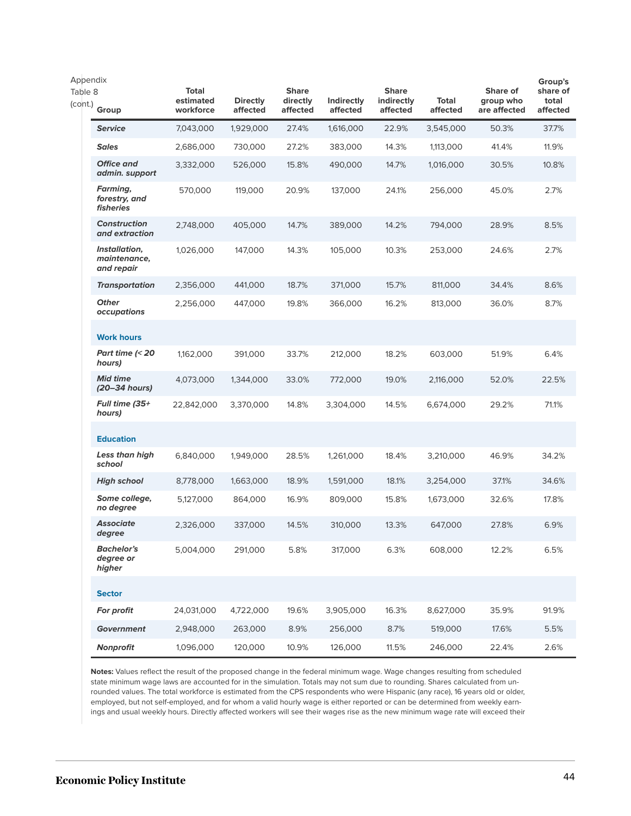| Appendix           |                                             |                                        |                             |                                      |                               |                                        |                   |                                       | Group's                       |
|--------------------|---------------------------------------------|----------------------------------------|-----------------------------|--------------------------------------|-------------------------------|----------------------------------------|-------------------|---------------------------------------|-------------------------------|
| Table 8<br>(cont.) | Group                                       | <b>Total</b><br>estimated<br>workforce | <b>Directly</b><br>affected | <b>Share</b><br>directly<br>affected | <b>Indirectly</b><br>affected | <b>Share</b><br>indirectly<br>affected | Total<br>affected | Share of<br>group who<br>are affected | share of<br>total<br>affected |
|                    | <b>Service</b>                              | 7,043,000                              | 1,929,000                   | 27.4%                                | 1,616,000                     | 22.9%                                  | 3,545,000         | 50.3%                                 | 37.7%                         |
|                    | <b>Sales</b>                                | 2,686,000                              | 730,000                     | 27.2%                                | 383,000                       | 14.3%                                  | 1,113,000         | 41.4%                                 | 11.9%                         |
|                    | <b>Office and</b><br>admin. support         | 3,332,000                              | 526,000                     | 15.8%                                | 490,000                       | 14.7%                                  | 1,016,000         | 30.5%                                 | 10.8%                         |
|                    | Farming,<br>forestry, and<br>fisheries      | 570,000                                | 119,000                     | 20.9%                                | 137,000                       | 24.1%                                  | 256,000           | 45.0%                                 | 2.7%                          |
|                    | <b>Construction</b><br>and extraction       | 2,748,000                              | 405,000                     | 14.7%                                | 389,000                       | 14.2%                                  | 794,000           | 28.9%                                 | 8.5%                          |
|                    | Installation,<br>maintenance,<br>and repair | 1,026,000                              | 147,000                     | 14.3%                                | 105,000                       | 10.3%                                  | 253,000           | 24.6%                                 | 2.7%                          |
|                    | <b>Transportation</b>                       | 2,356,000                              | 441,000                     | 18.7%                                | 371,000                       | 15.7%                                  | 811,000           | 34.4%                                 | 8.6%                          |
|                    | <b>Other</b><br>occupations                 | 2,256,000                              | 447,000                     | 19.8%                                | 366,000                       | 16.2%                                  | 813,000           | 36.0%                                 | 8.7%                          |
|                    | <b>Work hours</b>                           |                                        |                             |                                      |                               |                                        |                   |                                       |                               |
|                    | Part time $\approx$ 20<br>hours)            | 1,162,000                              | 391,000                     | 33.7%                                | 212,000                       | 18.2%                                  | 603,000           | 51.9%                                 | 6.4%                          |
|                    | <b>Mid time</b><br>(20–34 hours)            | 4,073,000                              | 1,344,000                   | 33.0%                                | 772,000                       | 19.0%                                  | 2,116,000         | 52.0%                                 | 22.5%                         |
|                    | Full time (35+<br>hours)                    | 22,842,000                             | 3,370,000                   | 14.8%                                | 3,304,000                     | 14.5%                                  | 6,674,000         | 29.2%                                 | 71.1%                         |
|                    | <b>Education</b>                            |                                        |                             |                                      |                               |                                        |                   |                                       |                               |
|                    | Less than high<br>school                    | 6,840,000                              | 1,949,000                   | 28.5%                                | 1,261,000                     | 18.4%                                  | 3,210,000         | 46.9%                                 | 34.2%                         |
|                    | <b>High school</b>                          | 8,778,000                              | 1,663,000                   | 18.9%                                | 1,591,000                     | 18.1%                                  | 3,254,000         | 37.1%                                 | 34.6%                         |
|                    | Some college,<br>no degree                  | 5,127,000                              | 864,000                     | 16.9%                                | 809,000                       | 15.8%                                  | 1,673,000         | 32.6%                                 | 17.8%                         |
|                    | <b>Associate</b><br>degree                  | 2,326,000                              | 337,000                     | 14.5%                                | 310,000                       | 13.3%                                  | 647,000           | 27.8%                                 | 6.9%                          |
|                    | <b>Bachelor's</b><br>degree or<br>higher    | 5,004,000                              | 291,000                     | 5.8%                                 | 317,000                       | 6.3%                                   | 608,000           | 12.2%                                 | 6.5%                          |
|                    | <b>Sector</b>                               |                                        |                             |                                      |                               |                                        |                   |                                       |                               |
|                    | For profit                                  | 24,031,000                             | 4,722,000                   | 19.6%                                | 3,905,000                     | 16.3%                                  | 8,627,000         | 35.9%                                 | 91.9%                         |
|                    | <b>Government</b>                           | 2,948,000                              | 263,000                     | 8.9%                                 | 256,000                       | 8.7%                                   | 519,000           | 17.6%                                 | 5.5%                          |
|                    | Nonprofit                                   | 1,096,000                              | 120,000                     | 10.9%                                | 126,000                       | 11.5%                                  | 246,000           | 22.4%                                 | 2.6%                          |

**Notes:** Values reflect the result of the proposed change in the federal minimum wage. Wage changes resulting from scheduled state minimum wage laws are accounted for in the simulation. Totals may not sum due to rounding. Shares calculated from unrounded values. The total workforce is estimated from the CPS respondents who were Hispanic (any race), 16 years old or older, employed, but not self-employed, and for whom a valid hourly wage is either reported or can be determined from weekly earnings and usual weekly hours. Directly affected workers will see their wages rise as the new minimum wage rate will exceed their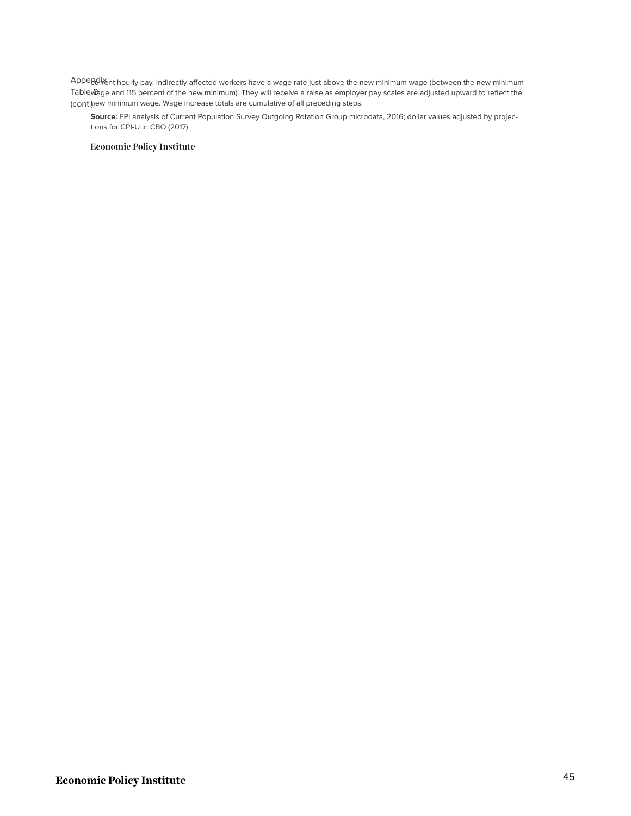Appendix ent hourly pay. Indirectly affected workers have a wage rate just above the new minimum wage (between the new minimum Table **&** ge and 115 percent of the new minimum). They will receive a raise as employer pay scales are adjusted upward to reflect the (cont.) new minimum wage. Wage increase totals are cumulative of all preceding steps.

**Source:** EPI analysis of Current Population Survey Outgoing Rotation Group microdata, 2016; dollar values adjusted by projections for CPI-U in CBO (2017)

**Economic Policy Institute**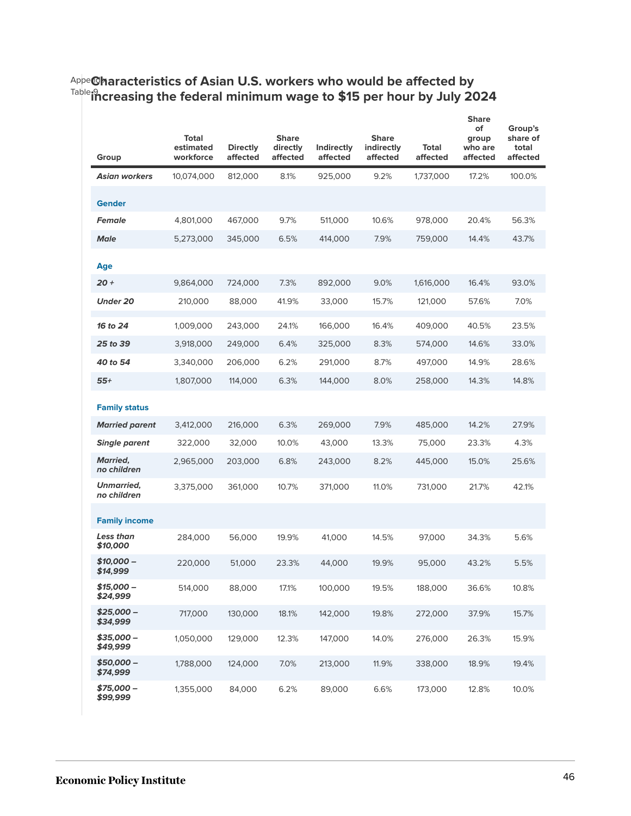| Group                            | <b>Total</b><br>estimated<br>workforce | <b>Directly</b><br>affected | <b>Share</b><br>directly<br>affected | Indirectly<br>affected | <b>Share</b><br>indirectly<br>affected | Total<br>affected | <b>Share</b><br>of<br>group<br>who are<br>affected | Group's<br>share of<br>total<br>affected |
|----------------------------------|----------------------------------------|-----------------------------|--------------------------------------|------------------------|----------------------------------------|-------------------|----------------------------------------------------|------------------------------------------|
| <b>Asian workers</b>             | 10,074,000                             | 812,000                     | 8.1%                                 | 925,000                | 9.2%                                   | 1,737,000         | 17.2%                                              | 100.0%                                   |
| <b>Gender</b>                    |                                        |                             |                                      |                        |                                        |                   |                                                    |                                          |
| <b>Female</b>                    | 4,801,000                              | 467,000                     | 9.7%                                 | 511,000                | 10.6%                                  | 978,000           | 20.4%                                              | 56.3%                                    |
| <b>Male</b>                      | 5,273,000                              | 345,000                     | 6.5%                                 | 414,000                | 7.9%                                   | 759,000           | 14.4%                                              | 43.7%                                    |
| Age                              |                                        |                             |                                      |                        |                                        |                   |                                                    |                                          |
| $20 +$                           | 9,864,000                              | 724,000                     | 7.3%                                 | 892,000                | 9.0%                                   | 1,616,000         | 16.4%                                              | 93.0%                                    |
| <b>Under 20</b>                  | 210,000                                | 88,000                      | 41.9%                                | 33,000                 | 15.7%                                  | 121,000           | 57.6%                                              | 7.0%                                     |
| 16 to 24                         | 1,009,000                              | 243,000                     | 24.1%                                | 166,000                | 16.4%                                  | 409,000           | 40.5%                                              | 23.5%                                    |
| 25 to 39                         | 3,918,000                              | 249,000                     | 6.4%                                 | 325,000                | 8.3%                                   | 574,000           | 14.6%                                              | 33.0%                                    |
| 40 to 54                         | 3,340,000                              | 206,000                     | 6.2%                                 | 291,000                | 8.7%                                   | 497,000           | 14.9%                                              | 28.6%                                    |
| $55+$                            | 1,807,000                              | 114,000                     | 6.3%                                 | 144,000                | 8.0%                                   | 258,000           | 14.3%                                              | 14.8%                                    |
| <b>Family status</b>             |                                        |                             |                                      |                        |                                        |                   |                                                    |                                          |
| <b>Married parent</b>            | 3,412,000                              | 216,000                     | 6.3%                                 | 269,000                | 7.9%                                   | 485,000           | 14.2%                                              | 27.9%                                    |
| <b>Single parent</b>             | 322,000                                | 32,000                      | 10.0%                                | 43,000                 | 13.3%                                  | 75,000            | 23.3%                                              | 4.3%                                     |
| <b>Married,</b><br>no children   | 2,965,000                              | 203,000                     | 6.8%                                 | 243,000                | 8.2%                                   | 445,000           | 15.0%                                              | 25.6%                                    |
| <b>Unmarried,</b><br>no children | 3,375,000                              | 361,000                     | 10.7%                                | 371,000                | 11.0%                                  | 731,000           | 21.7%                                              | 42.1%                                    |
| <b>Family income</b>             |                                        |                             |                                      |                        |                                        |                   |                                                    |                                          |
| Less than<br>\$10,000            | 284,000                                | 56,000                      | 19.9%                                | 41,000                 | 14.5%                                  | 97,000            | 34.3%                                              | 5.6%                                     |
| \$10,000 -<br>\$14,999           | 220,000                                | 51,000                      | 23.3%                                | 44,000                 | 19.9%                                  | 95,000            | 43.2%                                              | 5.5%                                     |
| \$15,000 -<br>\$24,999           | 514,000                                | 88,000                      | 17.1%                                | 100,000                | 19.5%                                  | 188,000           | 36.6%                                              | 10.8%                                    |
| $$25,000-$<br>\$34,999           | 717,000                                | 130,000                     | 18.1%                                | 142,000                | 19.8%                                  | 272,000           | 37.9%                                              | 15.7%                                    |
| \$35,000 -<br>\$49,999           | 1,050,000                              | 129,000                     | 12.3%                                | 147,000                | 14.0%                                  | 276,000           | 26.3%                                              | 15.9%                                    |
| \$50,000 -<br>\$74,999           | 1,788,000                              | 124,000                     | 7.0%                                 | 213,000                | 11.9%                                  | 338,000           | 18.9%                                              | 19.4%                                    |
| $$75.000 -$<br>\$99,999          | 1,355,000                              | 84,000                      | 6.2%                                 | 89,000                 | 6.6%                                   | 173,000           | 12.8%                                              | 10.0%                                    |

#### <sup>Appe</sup>@haracteristics of Asian U.S. workers who would be affected by Table 9 **increasing the federal minimum wage to \$15 per hour by July 2024**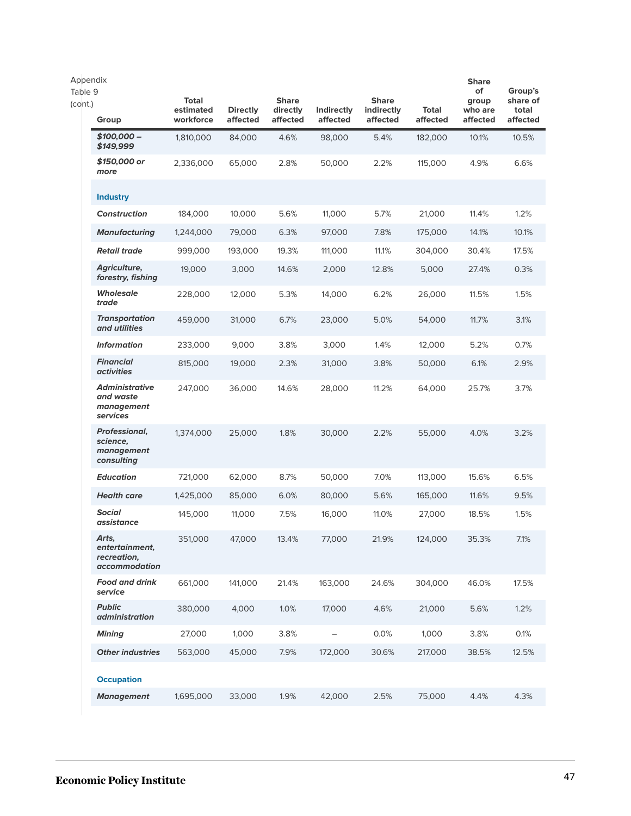| Appendix<br>Table 9<br>(cont.)<br>Group                      | <b>Total</b><br>estimated<br>workforce | <b>Directly</b><br>affected | <b>Share</b><br>directly<br>affected | Indirectly<br>affected | <b>Share</b><br>indirectly<br>affected | <b>Total</b><br>affected | <b>Share</b><br>of<br>group<br>who are<br>affected | Group's<br>share of<br>total<br>affected |
|--------------------------------------------------------------|----------------------------------------|-----------------------------|--------------------------------------|------------------------|----------------------------------------|--------------------------|----------------------------------------------------|------------------------------------------|
| $$100,000-$<br>\$149,999                                     | 1,810,000                              | 84,000                      | 4.6%                                 | 98,000                 | 5.4%                                   | 182,000                  | 10.1%                                              | 10.5%                                    |
| \$150,000 or<br>more                                         | 2,336,000                              | 65,000                      | 2.8%                                 | 50,000                 | 2.2%                                   | 115,000                  | 4.9%                                               | 6.6%                                     |
| <b>Industry</b>                                              |                                        |                             |                                      |                        |                                        |                          |                                                    |                                          |
| <b>Construction</b>                                          | 184,000                                | 10,000                      | 5.6%                                 | 11,000                 | 5.7%                                   | 21,000                   | 11.4%                                              | 1.2%                                     |
| <b>Manufacturing</b>                                         | 1,244,000                              | 79,000                      | 6.3%                                 | 97,000                 | 7.8%                                   | 175,000                  | 14.1%                                              | 10.1%                                    |
| <b>Retail trade</b>                                          | 999,000                                | 193,000                     | 19.3%                                | 111,000                | 11.1%                                  | 304,000                  | 30.4%                                              | 17.5%                                    |
| Agriculture,<br>forestry, fishing                            | 19,000                                 | 3,000                       | 14.6%                                | 2,000                  | 12.8%                                  | 5,000                    | 27.4%                                              | 0.3%                                     |
| <b>Wholesale</b><br>trade                                    | 228,000                                | 12,000                      | 5.3%                                 | 14,000                 | 6.2%                                   | 26,000                   | 11.5%                                              | 1.5%                                     |
| <b>Transportation</b><br>and utilities                       | 459,000                                | 31,000                      | 6.7%                                 | 23,000                 | 5.0%                                   | 54,000                   | 11.7%                                              | 3.1%                                     |
| <b>Information</b>                                           | 233,000                                | 9.000                       | 3.8%                                 | 3,000                  | 1.4%                                   | 12,000                   | 5.2%                                               | 0.7%                                     |
| <b>Financial</b><br><i>activities</i>                        | 815,000                                | 19,000                      | 2.3%                                 | 31,000                 | 3.8%                                   | 50,000                   | 6.1%                                               | 2.9%                                     |
| <b>Administrative</b><br>and waste<br>management<br>services | 247,000                                | 36,000                      | 14.6%                                | 28,000                 | 11.2%                                  | 64,000                   | 25.7%                                              | 3.7%                                     |
| Professional,<br>science,<br>management<br>consulting        | 1,374,000                              | 25,000                      | 1.8%                                 | 30,000                 | 2.2%                                   | 55,000                   | 4.0%                                               | 3.2%                                     |
| <b>Education</b>                                             | 721,000                                | 62,000                      | 8.7%                                 | 50,000                 | 7.0%                                   | 113,000                  | 15.6%                                              | 6.5%                                     |
| <b>Health care</b>                                           | 1,425,000                              | 85,000                      | 6.0%                                 | 80,000                 | 5.6%                                   | 165,000                  | 11.6%                                              | 9.5%                                     |
| <b>Social</b><br>assistance                                  | 145,000                                | 11,000                      | 7.5%                                 | 16,000                 | 11.0%                                  | 27,000                   | 18.5%                                              | 1.5%                                     |
| Arts,<br>entertainment,<br>recreation,<br>accommodation      | 351,000                                | 47,000                      | 13.4%                                | 77,000                 | 21.9%                                  | 124,000                  | 35.3%                                              | 7.1%                                     |
| <b>Food and drink</b><br>service                             | 661,000                                | 141,000                     | 21.4%                                | 163,000                | 24.6%                                  | 304,000                  | 46.0%                                              | 17.5%                                    |
| <b>Public</b><br><i>administration</i>                       | 380,000                                | 4,000                       | 1.0%                                 | 17,000                 | 4.6%                                   | 21,000                   | 5.6%                                               | 1.2%                                     |
| <b>Mining</b>                                                | 27,000                                 | 1,000                       | 3.8%                                 | $\qquad \qquad -$      | 0.0%                                   | 1,000                    | 3.8%                                               | 0.1%                                     |
| <b>Other industries</b>                                      | 563,000                                | 45,000                      | 7.9%                                 | 172,000                | 30.6%                                  | 217,000                  | 38.5%                                              | 12.5%                                    |
| <b>Occupation</b>                                            |                                        |                             |                                      |                        |                                        |                          |                                                    |                                          |
| <b>Management</b>                                            | 1,695,000                              | 33,000                      | 1.9%                                 | 42,000                 | 2.5%                                   | 75,000                   | 4.4%                                               | 4.3%                                     |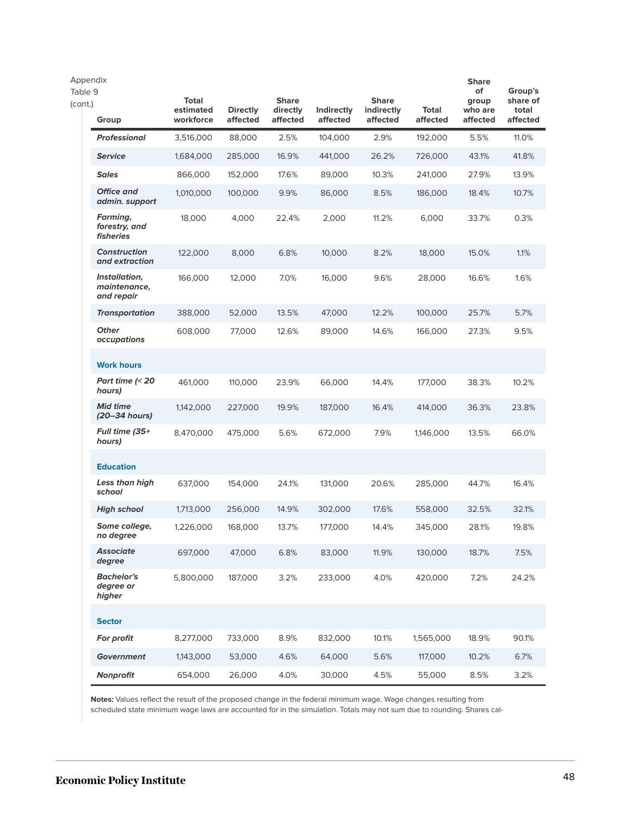| Appendix<br>Table 9<br>(cont.) | Group                                                | <b>Total</b><br>estimated<br>workforce | <b>Directly</b><br>affected | <b>Share</b><br>directly<br>affected | Indirectly<br>affected | <b>Share</b><br>indirectly<br>affected | Total<br>affected | <b>Share</b><br>of<br>group<br>who are<br>affected | Group's<br>share of<br>total<br>affected |
|--------------------------------|------------------------------------------------------|----------------------------------------|-----------------------------|--------------------------------------|------------------------|----------------------------------------|-------------------|----------------------------------------------------|------------------------------------------|
|                                | <b>Professional</b>                                  | 3,516,000                              | 88,000                      | 2.5%                                 | 104,000                | 2.9%                                   | 192,000           | 5.5%                                               | 11.0%                                    |
|                                | <b>Service</b>                                       | 1,684,000                              | 285,000                     | 16.9%                                | 441,000                | 26.2%                                  | 726,000           | 43.1%                                              | 41.8%                                    |
|                                | <b>Sales</b>                                         | 866,000                                | 152,000                     | 17.6%                                | 89,000                 | 10.3%                                  | 241,000           | 27.9%                                              | 13.9%                                    |
|                                | <b>Office and</b><br>admin. support                  | 1,010,000                              | 100,000                     | 9.9%                                 | 86,000                 | 8.5%                                   | 186,000           | 18.4%                                              | 10.7%                                    |
|                                | Farming,<br>forestry, and<br><i><b>fisheries</b></i> | 18,000                                 | 4,000                       | 22.4%                                | 2,000                  | 11.2%                                  | 6,000             | 33.7%                                              | 0.3%                                     |
|                                | <b>Construction</b><br>and extraction                | 122,000                                | 8,000                       | 6.8%                                 | 10,000                 | 8.2%                                   | 18,000            | 15.0%                                              | 1.1%                                     |
|                                | Installation,<br>maintenance,<br>and repair          | 166,000                                | 12,000                      | 7.0%                                 | 16,000                 | 9.6%                                   | 28,000            | 16.6%                                              | 1.6%                                     |
|                                | <b>Transportation</b>                                | 388,000                                | 52,000                      | 13.5%                                | 47,000                 | 12.2%                                  | 100,000           | 25.7%                                              | 5.7%                                     |
|                                | <b>Other</b><br>occupations                          | 608,000                                | 77,000                      | 12.6%                                | 89,000                 | 14.6%                                  | 166,000           | 27.3%                                              | 9.5%                                     |
|                                | <b>Work hours</b>                                    |                                        |                             |                                      |                        |                                        |                   |                                                    |                                          |
|                                | Part time $\approx$ 20<br>hours)                     | 461,000                                | 110,000                     | 23.9%                                | 66,000                 | 14.4%                                  | 177,000           | 38.3%                                              | 10.2%                                    |
|                                | <b>Mid time</b><br>(20–34 hours)                     | 1,142,000                              | 227,000                     | 19.9%                                | 187,000                | 16.4%                                  | 414,000           | 36.3%                                              | 23.8%                                    |
|                                | Full time (35+<br>hours)                             | 8,470,000                              | 475,000                     | 5.6%                                 | 672,000                | 7.9%                                   | 1,146,000         | 13.5%                                              | 66.0%                                    |
|                                | <b>Education</b>                                     |                                        |                             |                                      |                        |                                        |                   |                                                    |                                          |
|                                | Less than high<br>school                             | 637,000                                | 154,000                     | 24.1%                                | 131,000                | 20.6%                                  | 285,000           | 44.7%                                              | 16.4%                                    |
|                                | <b>High school</b>                                   | 1,713,000                              | 256,000                     | 14.9%                                | 302,000                | 17.6%                                  | 558,000           | 32.5%                                              | 32.1%                                    |
|                                | Some college,<br>no degree                           | 1,226,000                              | 168,000                     | 13.7%                                | 177,000                | 14.4%                                  | 345,000           | 28.1%                                              | 19.8%                                    |
|                                | <b>Associate</b><br>degree                           | 697,000                                | 47,000                      | 6.8%                                 | 83,000                 | 11.9%                                  | 130,000           | 18.7%                                              | 7.5%                                     |
|                                | <b>Bachelor's</b><br>degree or<br>higher             | 5,800,000                              | 187,000                     | 3.2%                                 | 233,000                | 4.0%                                   | 420,000           | 7.2%                                               | 24.2%                                    |
|                                | <b>Sector</b>                                        |                                        |                             |                                      |                        |                                        |                   |                                                    |                                          |
|                                | For profit                                           | 8,277,000                              | 733,000                     | 8.9%                                 | 832,000                | 10.1%                                  | 1,565,000         | 18.9%                                              | 90.1%                                    |
|                                | <b>Government</b>                                    | 1,143,000                              | 53,000                      | 4.6%                                 | 64,000                 | 5.6%                                   | 117,000           | 10.2%                                              | 6.7%                                     |
|                                | Nonprofit                                            | 654,000                                | 26,000                      | 4.0%                                 | 30,000                 | 4.5%                                   | 55,000            | 8.5%                                               | 3.2%                                     |

**Notes:** Values reflect the result of the proposed change in the federal minimum wage. Wage changes resulting from scheduled state minimum wage laws are accounted for in the simulation. Totals may not sum due to rounding. Shares cal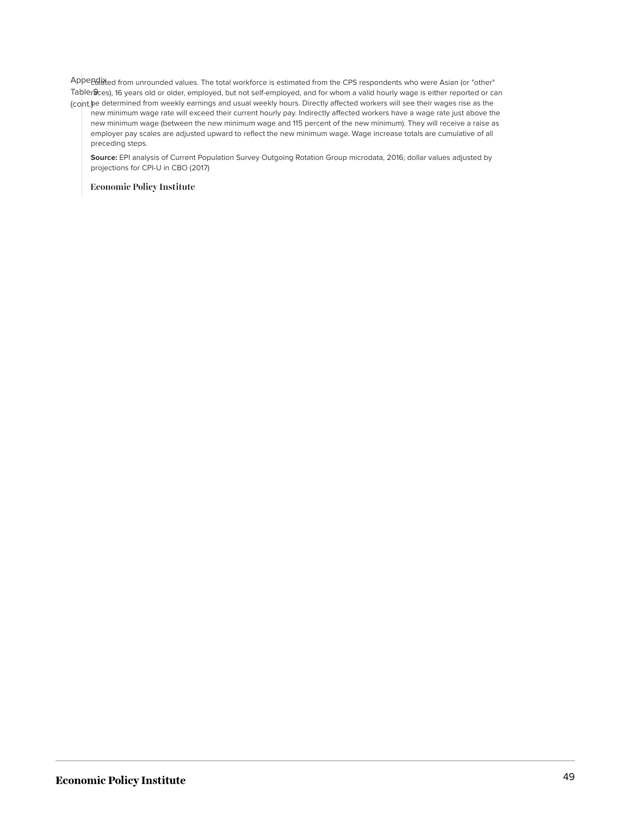Appendixed from unrounded values. The total workforce is estimated from the CPS respondents who were Asian (or "other" Tabler**a**ces), 16 years old or older, employed, but not self-employed, and for whom a valid hourly wage is either reported or can (cont.) be determined from weekly earnings and usual weekly hours. Directly affected workers will see their wages rise as the

new minimum wage rate will exceed their current hourly pay. Indirectly affected workers have a wage rate just above the new minimum wage (between the new minimum wage and 115 percent of the new minimum). They will receive a raise as employer pay scales are adjusted upward to reflect the new minimum wage. Wage increase totals are cumulative of all preceding steps.

**Source:** EPI analysis of Current Population Survey Outgoing Rotation Group microdata, 2016; dollar values adjusted by projections for CPI-U in CBO (2017)

**Economic Policy Institute**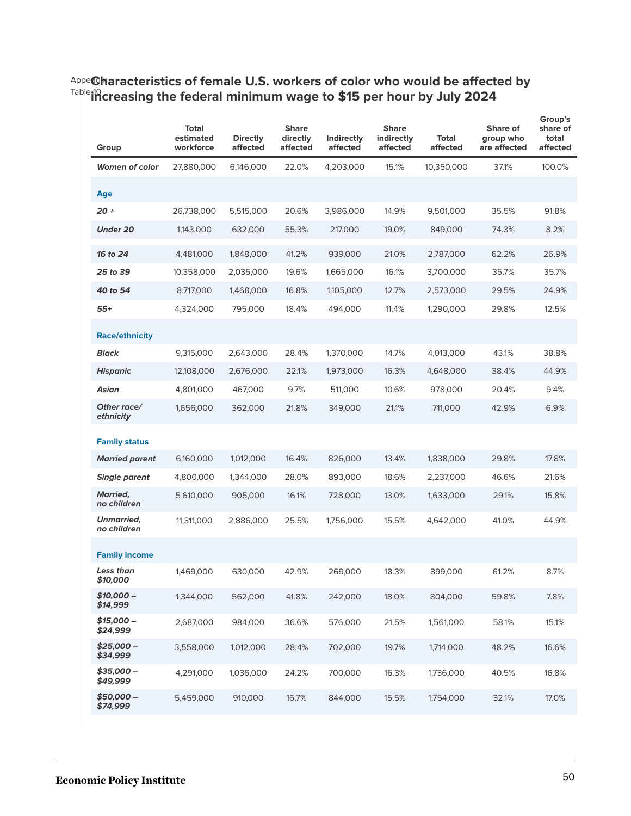### <sup>Appe</sup>@haracteristics of female U.S. workers of color who would be affected by <sup>Table</sup>i<sup>0</sup> creasing the federal minimum wage to \$15 per hour by July 2024

| Group                                         | Total<br>estimated<br>workforce | <b>Directly</b><br>affected | <b>Share</b><br>directly<br>affected | Indirectly<br>affected | <b>Share</b><br>indirectly<br>affected | <b>Total</b><br>affected | Share of<br>group who<br>are affected | Group's<br>share of<br>total<br>affected |
|-----------------------------------------------|---------------------------------|-----------------------------|--------------------------------------|------------------------|----------------------------------------|--------------------------|---------------------------------------|------------------------------------------|
| <b>Women of color</b>                         | 27,880,000                      | 6,146,000                   | 22.0%                                | 4,203,000              | 15.1%                                  | 10,350,000               | 37.1%                                 | 100.0%                                   |
| Age                                           |                                 |                             |                                      |                        |                                        |                          |                                       |                                          |
| $20 +$                                        | 26,738,000                      | 5,515,000                   | 20.6%                                | 3,986,000              | 14.9%                                  | 9,501,000                | 35.5%                                 | 91.8%                                    |
| <b>Under 20</b>                               | 1,143,000                       | 632,000                     | 55.3%                                | 217,000                | 19.0%                                  | 849,000                  | 74.3%                                 | 8.2%                                     |
| 16 to 24                                      | 4,481,000                       | 1,848,000                   | 41.2%                                | 939,000                | 21.0%                                  | 2,787,000                | 62.2%                                 | 26.9%                                    |
| 25 to 39                                      | 10,358,000                      | 2,035,000                   | 19.6%                                | 1,665,000              | 16.1%                                  | 3,700,000                | 35.7%                                 | 35.7%                                    |
| 40 to 54                                      | 8,717,000                       | 1,468,000                   | 16.8%                                | 1,105,000              | 12.7%                                  | 2,573,000                | 29.5%                                 | 24.9%                                    |
| 55+                                           | 4,324,000                       | 795,000                     | 18.4%                                | 494,000                | 11.4%                                  | 1,290,000                | 29.8%                                 | 12.5%                                    |
| <b>Race/ethnicity</b>                         |                                 |                             |                                      |                        |                                        |                          |                                       |                                          |
| <b>Black</b>                                  | 9,315,000                       | 2,643,000                   | 28.4%                                | 1,370,000              | 14.7%                                  | 4,013,000                | 43.1%                                 | 38.8%                                    |
| <b>Hispanic</b>                               | 12,108,000                      | 2,676,000                   | 22.1%                                | 1,973,000              | 16.3%                                  | 4,648,000                | 38.4%                                 | 44.9%                                    |
| Asian                                         | 4,801,000                       | 467,000                     | 9.7%                                 | 511,000                | 10.6%                                  | 978,000                  | 20.4%                                 | 9.4%                                     |
| Other race/<br>ethnicity                      | 1,656,000                       | 362,000                     | 21.8%                                | 349,000                | 21.1%                                  | 711,000                  | 42.9%                                 | 6.9%                                     |
|                                               |                                 |                             |                                      |                        |                                        |                          |                                       |                                          |
| <b>Family status</b><br><b>Married parent</b> | 6,160,000                       | 1,012,000                   | 16.4%                                | 826,000                | 13.4%                                  | 1,838,000                | 29.8%                                 | 17.8%                                    |
| <b>Single parent</b>                          | 4,800,000                       | 1,344,000                   | 28.0%                                | 893,000                | 18.6%                                  | 2,237,000                | 46.6%                                 | 21.6%                                    |
| <b>Married,</b><br>no children                | 5,610,000                       | 905,000                     | 16.1%                                | 728,000                | 13.0%                                  | 1,633,000                | 29.1%                                 | 15.8%                                    |
| Unmarried,<br>no children                     | 11,311,000                      | 2,886,000                   | 25.5%                                | 1,756,000              | 15.5%                                  | 4,642,000                | 41.0%                                 | 44.9%                                    |
| <b>Family income</b>                          |                                 |                             |                                      |                        |                                        |                          |                                       |                                          |
| Less than<br>\$10,000                         | 1,469,000                       | 630,000                     | 42.9%                                | 269.000                | 18.3%                                  | 899,000                  | 61.2%                                 | 8.7%                                     |
| $$10,000-$<br>\$14,999                        | 1,344,000                       | 562,000                     | 41.8%                                | 242,000                | 18.0%                                  | 804,000                  | 59.8%                                 | 7.8%                                     |
| $$15,000-$<br>\$24,999                        | 2,687,000                       | 984,000                     | 36.6%                                | 576,000                | 21.5%                                  | 1,561,000                | 58.1%                                 | 15.1%                                    |
| \$25.000 -<br>\$34,999                        | 3,558,000                       | 1,012,000                   | 28.4%                                | 702,000                | 19.7%                                  | 1,714,000                | 48.2%                                 | 16.6%                                    |
| $$35,000-$<br>\$49,999                        | 4,291,000                       | 1,036,000                   | 24.2%                                | 700,000                | 16.3%                                  | 1,736,000                | 40.5%                                 | 16.8%                                    |
| $$50,000-$<br>\$74,999                        | 5,459,000                       | 910,000                     | 16.7%                                | 844,000                | 15.5%                                  | 1,754,000                | 32.1%                                 | 17.0%                                    |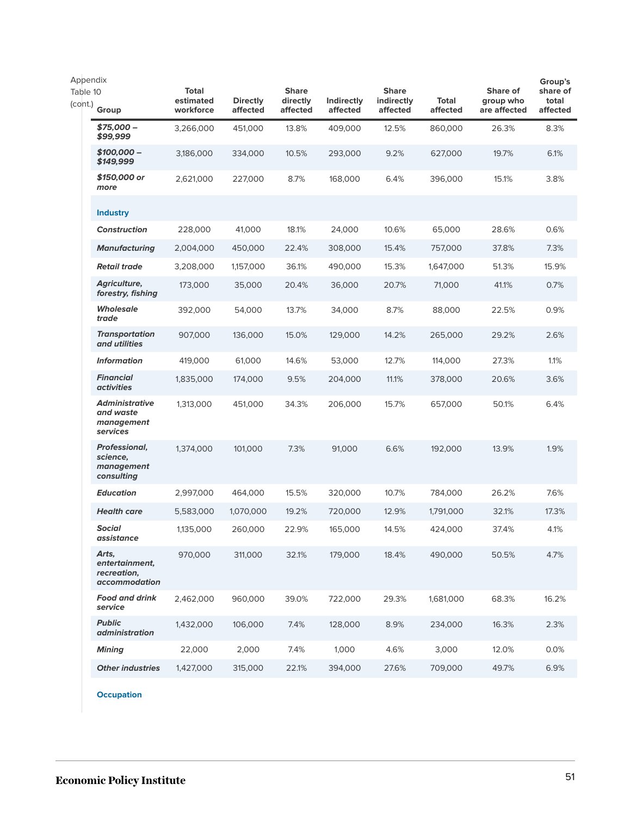| Appendix            |                                                              |                                        |                             |                                      |                        | Group's                                |                          |                                       |                               |
|---------------------|--------------------------------------------------------------|----------------------------------------|-----------------------------|--------------------------------------|------------------------|----------------------------------------|--------------------------|---------------------------------------|-------------------------------|
| Table 10<br>(cont.) | Group                                                        | <b>Total</b><br>estimated<br>workforce | <b>Directly</b><br>affected | <b>Share</b><br>directly<br>affected | Indirectly<br>affected | <b>Share</b><br>indirectly<br>affected | <b>Total</b><br>affected | Share of<br>group who<br>are affected | share of<br>total<br>affected |
|                     | $$75,000-$<br>\$99,999                                       | 3,266,000                              | 451,000                     | 13.8%                                | 409,000                | 12.5%                                  | 860,000                  | 26.3%                                 | 8.3%                          |
|                     | $$100,000-$<br>\$149,999                                     | 3,186,000                              | 334,000                     | 10.5%                                | 293,000                | 9.2%                                   | 627,000                  | 19.7%                                 | 6.1%                          |
|                     | \$150,000 or<br>more                                         | 2,621,000                              | 227,000                     | 8.7%                                 | 168,000                | 6.4%                                   | 396,000                  | 15.1%                                 | 3.8%                          |
|                     | <b>Industry</b>                                              |                                        |                             |                                      |                        |                                        |                          |                                       |                               |
|                     | <b>Construction</b>                                          | 228,000                                | 41,000                      | 18.1%                                | 24,000                 | 10.6%                                  | 65,000                   | 28.6%                                 | 0.6%                          |
|                     | <b>Manufacturing</b>                                         | 2,004,000                              | 450,000                     | 22.4%                                | 308,000                | 15.4%                                  | 757,000                  | 37.8%                                 | 7.3%                          |
|                     | <b>Retail trade</b>                                          | 3,208,000                              | 1,157,000                   | 36.1%                                | 490,000                | 15.3%                                  | 1,647,000                | 51.3%                                 | 15.9%                         |
|                     | Agriculture,<br>forestry, fishing                            | 173,000                                | 35,000                      | 20.4%                                | 36,000                 | 20.7%                                  | 71,000                   | 41.1%                                 | 0.7%                          |
|                     | <b>Wholesale</b><br>trade                                    | 392,000                                | 54,000                      | 13.7%                                | 34,000                 | 8.7%                                   | 88,000                   | 22.5%                                 | 0.9%                          |
|                     | <b>Transportation</b><br>and utilities                       | 907,000                                | 136,000                     | 15.0%                                | 129,000                | 14.2%                                  | 265,000                  | 29.2%                                 | 2.6%                          |
|                     | <b>Information</b>                                           | 419,000                                | 61,000                      | 14.6%                                | 53,000                 | 12.7%                                  | 114,000                  | 27.3%                                 | 1.1%                          |
|                     | <b>Financial</b><br><i>activities</i>                        | 1,835,000                              | 174,000                     | 9.5%                                 | 204,000                | 11.1%                                  | 378,000                  | 20.6%                                 | 3.6%                          |
|                     | <b>Administrative</b><br>and waste<br>management<br>services | 1,313,000                              | 451,000                     | 34.3%                                | 206,000                | 15.7%                                  | 657,000                  | 50.1%                                 | 6.4%                          |
|                     | Professional,<br>science,<br>management<br>consulting        | 1,374,000                              | 101,000                     | 7.3%                                 | 91,000                 | 6.6%                                   | 192,000                  | 13.9%                                 | 1.9%                          |
|                     | <b>Education</b>                                             | 2,997,000                              | 464,000                     | 15.5%                                | 320,000                | 10.7%                                  | 784,000                  | 26.2%                                 | 7.6%                          |
|                     | <b>Health care</b>                                           | 5,583,000                              | 1,070,000                   | 19.2%                                | 720,000                | 12.9%                                  | 1,791,000                | 32.1%                                 | 17.3%                         |
|                     | <b>Social</b><br>assistance                                  | 1,135,000                              | 260,000                     | 22.9%                                | 165,000                | 14.5%                                  | 424,000                  | 37.4%                                 | 4.1%                          |
|                     | Arts,<br>entertainment,<br>recreation,<br>accommodation      | 970,000                                | 311,000                     | 32.1%                                | 179,000                | 18.4%                                  | 490,000                  | 50.5%                                 | 4.7%                          |
|                     | <b>Food and drink</b><br>service                             | 2,462,000                              | 960,000                     | 39.0%                                | 722,000                | 29.3%                                  | 1,681,000                | 68.3%                                 | 16.2%                         |
|                     | <b>Public</b><br><i>administration</i>                       | 1,432,000                              | 106,000                     | 7.4%                                 | 128,000                | 8.9%                                   | 234,000                  | 16.3%                                 | 2.3%                          |
|                     | <b>Mining</b>                                                | 22,000                                 | 2,000                       | 7.4%                                 | 1,000                  | 4.6%                                   | 3,000                    | 12.0%                                 | 0.0%                          |
|                     | <b>Other industries</b>                                      | 1,427,000                              | 315,000                     | 22.1%                                | 394,000                | 27.6%                                  | 709,000                  | 49.7%                                 | 6.9%                          |
|                     |                                                              |                                        |                             |                                      |                        |                                        |                          |                                       |                               |

**Occupation**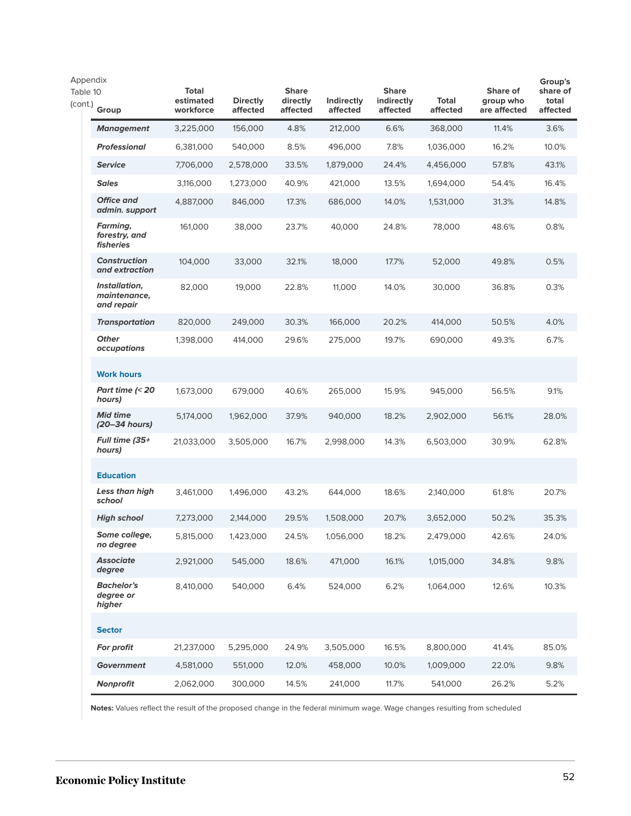| Appendix<br>Table 10<br>(cont.) | Group                                       | <b>Total</b><br>estimated<br>workforce | <b>Directly</b><br>affected | <b>Share</b><br>directly<br>affected | <b>Indirectly</b><br>affected | <b>Share</b><br>indirectly<br>affected | Total<br>affected | Share of<br>group who<br>are affected | Group's<br>share of<br>total<br>affected |
|---------------------------------|---------------------------------------------|----------------------------------------|-----------------------------|--------------------------------------|-------------------------------|----------------------------------------|-------------------|---------------------------------------|------------------------------------------|
|                                 | <b>Management</b>                           | 3,225,000                              | 156,000                     | 4.8%                                 | 212,000                       | 6.6%                                   | 368,000           | 11.4%                                 | 3.6%                                     |
|                                 | <b>Professional</b>                         | 6,381,000                              | 540,000                     | 8.5%                                 | 496,000                       | 7.8%                                   | 1,036,000         | 16.2%                                 | 10.0%                                    |
|                                 | <b>Service</b>                              | 7,706,000                              | 2,578,000                   | 33.5%                                | 1,879,000                     | 24.4%                                  | 4,456,000         | 57.8%                                 | 43.1%                                    |
|                                 | <b>Sales</b>                                | 3,116,000                              | 1,273,000                   | 40.9%                                | 421,000                       | 13.5%                                  | 1,694,000         | 54.4%                                 | 16.4%                                    |
|                                 | <b>Office and</b><br>admin. support         | 4,887,000                              | 846,000                     | 17.3%                                | 686,000                       | 14.0%                                  | 1,531,000         | 31.3%                                 | 14.8%                                    |
|                                 | Farming,<br>forestry, and<br>fisheries      | 161,000                                | 38,000                      | 23.7%                                | 40,000                        | 24.8%                                  | 78,000            | 48.6%                                 | 0.8%                                     |
|                                 | <b>Construction</b><br>and extraction       | 104,000                                | 33,000                      | 32.1%                                | 18,000                        | 17.7%                                  | 52,000            | 49.8%                                 | 0.5%                                     |
|                                 | Installation,<br>maintenance,<br>and repair | 82,000                                 | 19,000                      | 22.8%                                | 11,000                        | 14.0%                                  | 30,000            | 36.8%                                 | 0.3%                                     |
|                                 | <b>Transportation</b>                       | 820,000                                | 249,000                     | 30.3%                                | 166,000                       | 20.2%                                  | 414,000           | 50.5%                                 | 4.0%                                     |
|                                 | <b>Other</b><br>occupations                 | 1,398,000                              | 414,000                     | 29.6%                                | 275,000                       | 19.7%                                  | 690,000           | 49.3%                                 | 6.7%                                     |
|                                 | <b>Work hours</b>                           |                                        |                             |                                      |                               |                                        |                   |                                       |                                          |
|                                 | Part time $\approx$ 20<br>hours)            | 1,673,000                              | 679,000                     | 40.6%                                | 265,000                       | 15.9%                                  | 945,000           | 56.5%                                 | 9.1%                                     |
|                                 | <b>Mid time</b><br>(20–34 hours)            | 5,174,000                              | 1,962,000                   | 37.9%                                | 940,000                       | 18.2%                                  | 2,902,000         | 56.1%                                 | 28.0%                                    |
|                                 | Full time (35+<br>hours)                    | 21,033,000                             | 3,505,000                   | 16.7%                                | 2,998,000                     | 14.3%                                  | 6,503,000         | 30.9%                                 | 62.8%                                    |
|                                 | <b>Education</b>                            |                                        |                             |                                      |                               |                                        |                   |                                       |                                          |
|                                 | Less than high<br>school                    | 3,461,000                              | 1,496,000                   | 43.2%                                | 644,000                       | 18.6%                                  | 2,140,000         | 61.8%                                 | 20.7%                                    |
|                                 | <b>High school</b>                          | 7,273,000                              | 2,144,000                   | 29.5%                                | 1,508,000                     | 20.7%                                  | 3,652,000         | 50.2%                                 | 35.3%                                    |
|                                 | Some college,<br>no degree                  | 5,815,000                              | 1,423,000                   | 24.5%                                | 1,056,000                     | 18.2%                                  | 2,479,000         | 42.6%                                 | 24.0%                                    |
|                                 | <b>Associate</b><br>degree                  | 2,921,000                              | 545,000                     | 18.6%                                | 471,000                       | 16.1%                                  | 1,015,000         | 34.8%                                 | 9.8%                                     |
|                                 | <b>Bachelor's</b><br>degree or<br>higher    | 8,410,000                              | 540,000                     | 6.4%                                 | 524,000                       | 6.2%                                   | 1,064,000         | 12.6%                                 | 10.3%                                    |
|                                 | <b>Sector</b>                               |                                        |                             |                                      |                               |                                        |                   |                                       |                                          |
|                                 | For profit                                  | 21,237,000                             | 5,295,000                   | 24.9%                                | 3,505,000                     | 16.5%                                  | 8,800,000         | 41.4%                                 | 85.0%                                    |
|                                 | <b>Government</b>                           | 4,581,000                              | 551,000                     | 12.0%                                | 458,000                       | 10.0%                                  | 1,009,000         | 22.0%                                 | 9.8%                                     |
|                                 | <b>Nonprofit</b>                            | 2,062,000                              | 300,000                     | 14.5%                                | 241,000                       | 11.7%                                  | 541,000           | 26.2%                                 | 5.2%                                     |

**Notes:** Values reflect the result of the proposed change in the federal minimum wage. Wage changes resulting from scheduled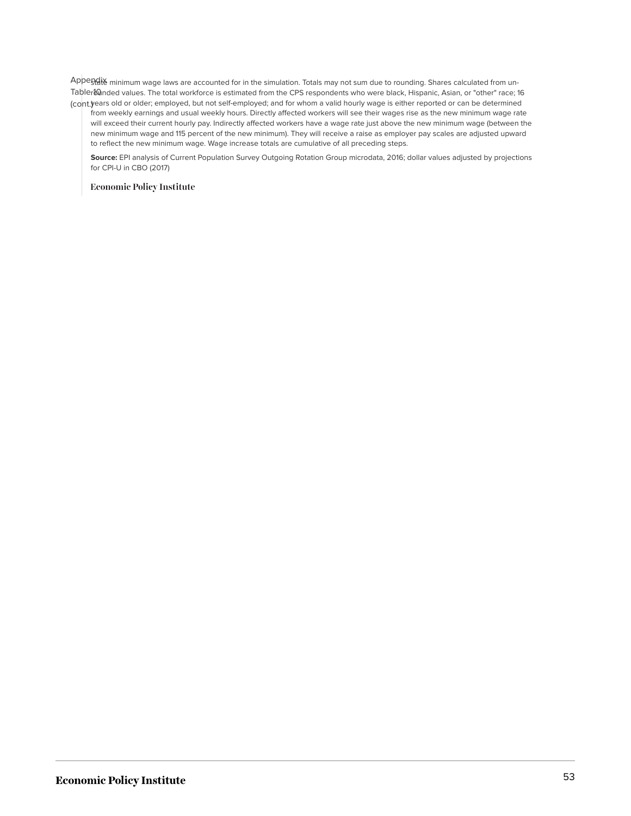Appe<u>ndix</u> minimum wage laws are accounted for in the simulation. Totals may not sum due to rounding. Shares calculated from un-Tabler&Qnded values. The total workforce is estimated from the CPS respondents who were black, Hispanic, Asian, or "other" race; 16 (cont.) years old or older; employed, but not self-employed; and for whom a valid hourly wage is either reported or can be determined

from weekly earnings and usual weekly hours. Directly affected workers will see their wages rise as the new minimum wage rate will exceed their current hourly pay. Indirectly affected workers have a wage rate just above the new minimum wage (between the new minimum wage and 115 percent of the new minimum). They will receive a raise as employer pay scales are adjusted upward to reflect the new minimum wage. Wage increase totals are cumulative of all preceding steps.

**Source:** EPI analysis of Current Population Survey Outgoing Rotation Group microdata, 2016; dollar values adjusted by projections for CPI-U in CBO (2017)

**Economic Policy Institute**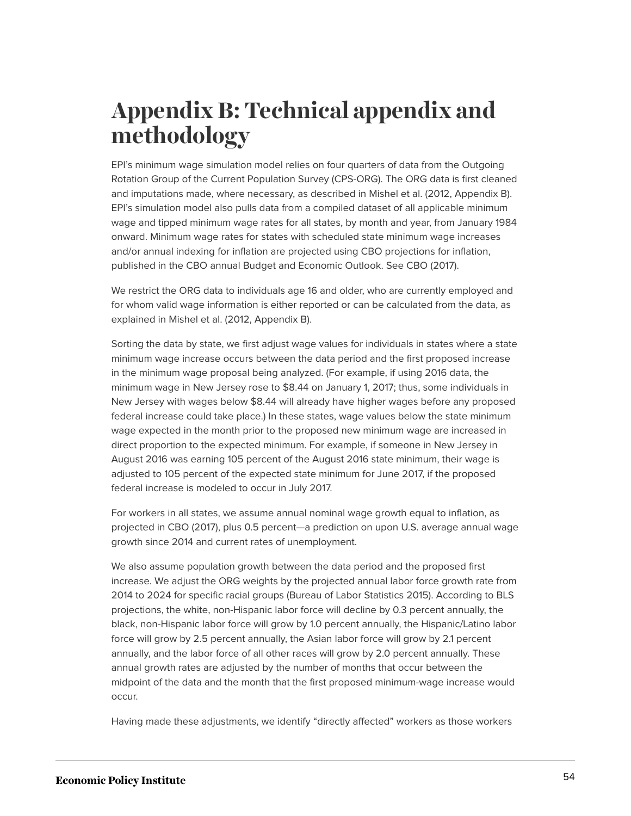# <span id="page-54-0"></span>**Appendix B: Technical appendix and methodology**

EPI's minimum wage simulation model relies on four quarters of data from the Outgoing Rotation Group of the Current Population Survey (CPS-ORG). The ORG data is first cleaned and imputations made, where necessary, as described in Mishel et al. (2012, Appendix B). EPI's simulation model also pulls data from a compiled dataset of all applicable minimum wage and tipped minimum wage rates for all states, by month and year, from January 1984 onward. Minimum wage rates for states with scheduled state minimum wage increases and/or annual indexing for inflation are projected using CBO projections for inflation, published in the CBO annual Budget and Economic Outlook. See CBO (2017).

We restrict the ORG data to individuals age 16 and older, who are currently employed and for whom valid wage information is either reported or can be calculated from the data, as explained in Mishel et al. (2012, Appendix B).

Sorting the data by state, we first adjust wage values for individuals in states where a state minimum wage increase occurs between the data period and the first proposed increase in the minimum wage proposal being analyzed. (For example, if using 2016 data, the minimum wage in New Jersey rose to \$8.44 on January 1, 2017; thus, some individuals in New Jersey with wages below \$8.44 will already have higher wages before any proposed federal increase could take place.) In these states, wage values below the state minimum wage expected in the month prior to the proposed new minimum wage are increased in direct proportion to the expected minimum. For example, if someone in New Jersey in August 2016 was earning 105 percent of the August 2016 state minimum, their wage is adjusted to 105 percent of the expected state minimum for June 2017, if the proposed federal increase is modeled to occur in July 2017.

For workers in all states, we assume annual nominal wage growth equal to inflation, as projected in CBO (2017), plus 0.5 percent—a prediction on upon U.S. average annual wage growth since 2014 and current rates of unemployment.

We also assume population growth between the data period and the proposed first increase. We adjust the ORG weights by the projected annual labor force growth rate from 2014 to 2024 for specific racial groups (Bureau of Labor Statistics 2015). According to BLS projections, the white, non-Hispanic labor force will decline by 0.3 percent annually, the black, non-Hispanic labor force will grow by 1.0 percent annually, the Hispanic/Latino labor force will grow by 2.5 percent annually, the Asian labor force will grow by 2.1 percent annually, and the labor force of all other races will grow by 2.0 percent annually. These annual growth rates are adjusted by the number of months that occur between the midpoint of the data and the month that the first proposed minimum-wage increase would occur.

Having made these adjustments, we identify "directly affected" workers as those workers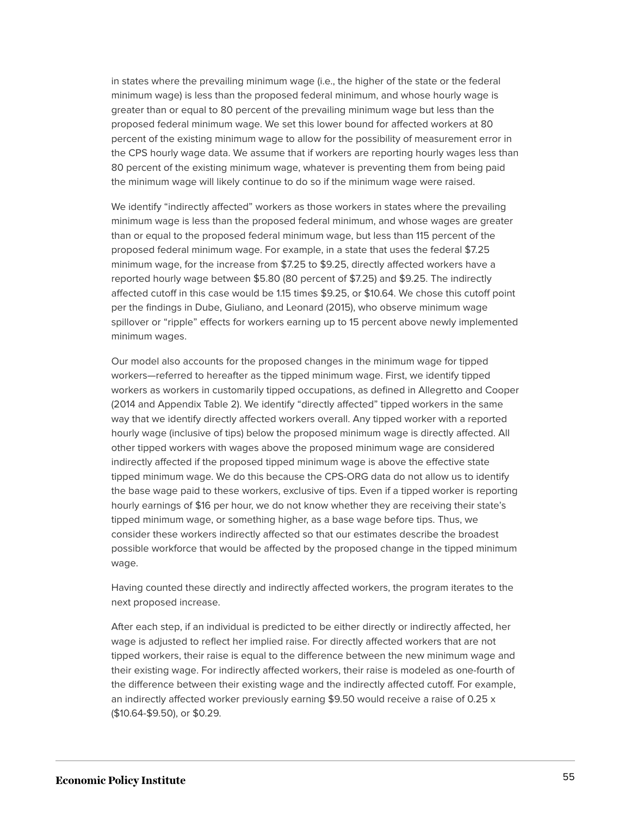in states where the prevailing minimum wage (i.e., the higher of the state or the federal minimum wage) is less than the proposed federal minimum, and whose hourly wage is greater than or equal to 80 percent of the prevailing minimum wage but less than the proposed federal minimum wage. We set this lower bound for affected workers at 80 percent of the existing minimum wage to allow for the possibility of measurement error in the CPS hourly wage data. We assume that if workers are reporting hourly wages less than 80 percent of the existing minimum wage, whatever is preventing them from being paid the minimum wage will likely continue to do so if the minimum wage were raised.

We identify "indirectly affected" workers as those workers in states where the prevailing minimum wage is less than the proposed federal minimum, and whose wages are greater than or equal to the proposed federal minimum wage, but less than 115 percent of the proposed federal minimum wage. For example, in a state that uses the federal \$7.25 minimum wage, for the increase from \$7.25 to \$9.25, directly affected workers have a reported hourly wage between \$5.80 (80 percent of \$7.25) and \$9.25. The indirectly affected cutoff in this case would be 1.15 times \$9.25, or \$10.64. We chose this cutoff point per the findings in Dube, Giuliano, and Leonard (2015), who observe minimum wage spillover or "ripple" effects for workers earning up to 15 percent above newly implemented minimum wages.

Our model also accounts for the proposed changes in the minimum wage for tipped workers—referred to hereafter as the tipped minimum wage. First, we identify tipped workers as workers in customarily tipped occupations, as defined in Allegretto and Cooper (2014 and Appendix Table 2). We identify "directly affected" tipped workers in the same way that we identify directly affected workers overall. Any tipped worker with a reported hourly wage (inclusive of tips) below the proposed minimum wage is directly affected. All other tipped workers with wages above the proposed minimum wage are considered indirectly affected if the proposed tipped minimum wage is above the effective state tipped minimum wage. We do this because the CPS-ORG data do not allow us to identify the base wage paid to these workers, exclusive of tips. Even if a tipped worker is reporting hourly earnings of \$16 per hour, we do not know whether they are receiving their state's tipped minimum wage, or something higher, as a base wage before tips. Thus, we consider these workers indirectly affected so that our estimates describe the broadest possible workforce that would be affected by the proposed change in the tipped minimum wage.

Having counted these directly and indirectly affected workers, the program iterates to the next proposed increase.

After each step, if an individual is predicted to be either directly or indirectly affected, her wage is adjusted to reflect her implied raise. For directly affected workers that are not tipped workers, their raise is equal to the difference between the new minimum wage and their existing wage. For indirectly affected workers, their raise is modeled as one-fourth of the difference between their existing wage and the indirectly affected cutoff. For example, an indirectly affected worker previously earning \$9.50 would receive a raise of 0.25 x (\$10.64-\$9.50), or \$0.29.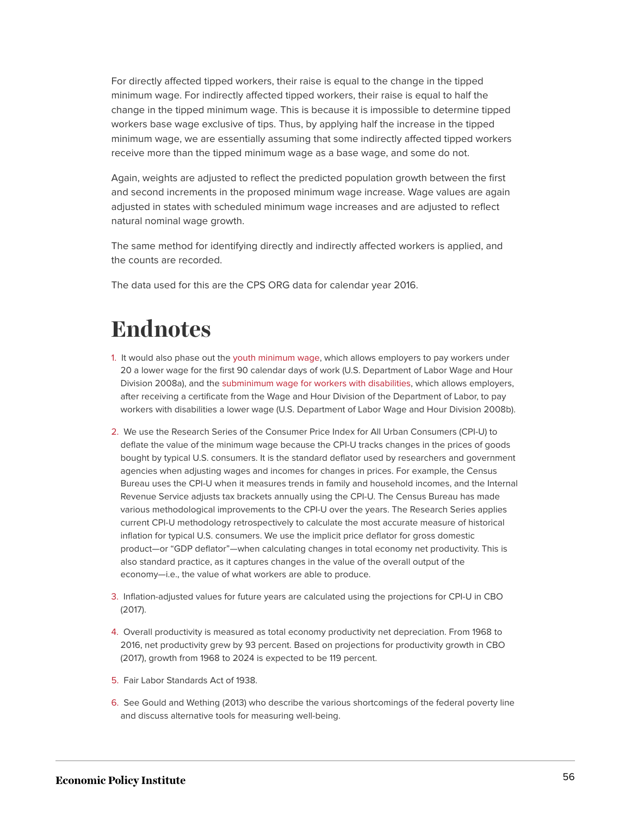For directly affected tipped workers, their raise is equal to the change in the tipped minimum wage. For indirectly affected tipped workers, their raise is equal to half the change in the tipped minimum wage. This is because it is impossible to determine tipped workers base wage exclusive of tips. Thus, by applying half the increase in the tipped minimum wage, we are essentially assuming that some indirectly affected tipped workers receive more than the tipped minimum wage as a base wage, and some do not.

Again, weights are adjusted to reflect the predicted population growth between the first and second increments in the proposed minimum wage increase. Wage values are again adjusted in states with scheduled minimum wage increases and are adjusted to reflect natural nominal wage growth.

The same method for identifying directly and indirectly affected workers is applied, and the counts are recorded.

The data used for this are the CPS ORG data for calendar year 2016.

# <span id="page-56-0"></span>**Endnotes**

- <span id="page-56-1"></span>[1.](#page-2-0) It would also phase out the [youth minimum wage](https://www.dol.gov/whd/regs/compliance/whdfs32.htm), which allows employers to pay workers under 20 a lower wage for the first 90 calendar days of work (U.S. Department of Labor Wage and Hour Division 2008a), and the [subminimum wage for workers with disabilities,](https://www.dol.gov/whd/regs/compliance/whdfs39.htm) which allows employers, after receiving a certificate from the Wage and Hour Division of the Department of Labor, to pay workers with disabilities a lower wage (U.S. Department of Labor Wage and Hour Division 2008b).
- <span id="page-56-2"></span>[2.](#page-4-1) We use the Research Series of the Consumer Price Index for All Urban Consumers (CPI-U) to deflate the value of the minimum wage because the CPI-U tracks changes in the prices of goods bought by typical U.S. consumers. It is the standard deflator used by researchers and government agencies when adjusting wages and incomes for changes in prices. For example, the Census Bureau uses the CPI-U when it measures trends in family and household incomes, and the Internal Revenue Service adjusts tax brackets annually using the CPI-U. The Census Bureau has made various methodological improvements to the CPI-U over the years. The Research Series applies current CPI-U methodology retrospectively to calculate the most accurate measure of historical inflation for typical U.S. consumers. We use the implicit price deflator for gross domestic product—or "GDP deflator"—when calculating changes in total economy net productivity. This is also standard practice, as it captures changes in the value of the overall output of the economy—i.e., the value of what workers are able to produce.
- <span id="page-56-3"></span>[3.](#page-4-2) Inflation-adjusted values for future years are calculated using the projections for CPI-U in CBO (2017).
- <span id="page-56-4"></span>[4.](#page-6-0) Overall productivity is measured as total economy productivity net depreciation. From 1968 to 2016, net productivity grew by 93 percent. Based on projections for productivity growth in CBO (2017), growth from 1968 to 2024 is expected to be 119 percent.
- <span id="page-56-5"></span>[5.](#page-6-1) Fair Labor Standards Act of 1938.
- <span id="page-56-6"></span>[6.](#page-6-2) See Gould and Wething (2013) who describe the various shortcomings of the federal poverty line and discuss alternative tools for measuring well-being.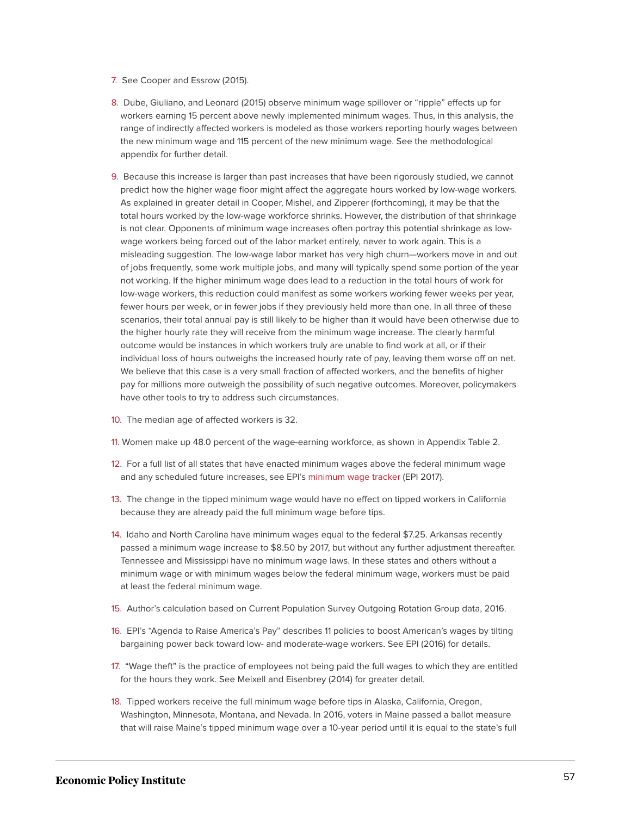- <span id="page-57-0"></span>[7.](#page-7-1) See Cooper and Essrow (2015).
- <span id="page-57-1"></span>[8.](#page-8-0) Dube, Giuliano, and Leonard (2015) observe minimum wage spillover or "ripple" effects up for workers earning 15 percent above newly implemented minimum wages. Thus, in this analysis, the range of indirectly affected workers is modeled as those workers reporting hourly wages between the new minimum wage and 115 percent of the new minimum wage. See the methodological appendix for further detail.
- <span id="page-57-2"></span>[9.](#page-9-0) Because this increase is larger than past increases that have been rigorously studied, we cannot predict how the higher wage floor might affect the aggregate hours worked by low-wage workers. As explained in greater detail in Cooper, Mishel, and Zipperer (forthcoming), it may be that the total hours worked by the low-wage workforce shrinks. However, the distribution of that shrinkage is not clear. Opponents of minimum wage increases often portray this potential shrinkage as lowwage workers being forced out of the labor market entirely, never to work again. This is a misleading suggestion. The low-wage labor market has very high churn—workers move in and out of jobs frequently, some work multiple jobs, and many will typically spend some portion of the year not working. If the higher minimum wage does lead to a reduction in the total hours of work for low-wage workers, this reduction could manifest as some workers working fewer weeks per year, fewer hours per week, or in fewer jobs if they previously held more than one. In all three of these scenarios, their total annual pay is still likely to be higher than it would have been otherwise due to the higher hourly rate they will receive from the minimum wage increase. The clearly harmful outcome would be instances in which workers truly are unable to find work at all, or if their individual loss of hours outweighs the increased hourly rate of pay, leaving them worse off on net. We believe that this case is a very small fraction of affected workers, and the benefits of higher pay for millions more outweigh the possibility of such negative outcomes. Moreover, policymakers have other tools to try to address such circumstances.
- <span id="page-57-3"></span>[10.](#page-11-0) The median age of affected workers is 32.
- <span id="page-57-4"></span>[11.](#page-11-1) Women make up 48.0 percent of the wage-earning workforce, as shown in Appendix Table 2.
- <span id="page-57-5"></span>[12.](#page-17-0) For a full list of all states that have enacted minimum wages above the federal minimum wage and any scheduled future increases, see EPI's [minimum wage tracker](http://www.epi.org/minimum-wage-tracker/) (EPI 2017).
- <span id="page-57-6"></span>[13.](#page-18-0) The change in the tipped minimum wage would have no effect on tipped workers in California because they are already paid the full minimum wage before tips.
- <span id="page-57-7"></span>[14.](#page-19-1) Idaho and North Carolina have minimum wages equal to the federal \$7.25. Arkansas recently passed a minimum wage increase to \$8.50 by 2017, but without any further adjustment thereafter. Tennessee and Mississippi have no minimum wage laws. In these states and others without a minimum wage or with minimum wages below the federal minimum wage, workers must be paid at least the federal minimum wage.
- <span id="page-57-8"></span>[15.](#page-19-2) Author's calculation based on Current Population Survey Outgoing Rotation Group data, 2016.
- <span id="page-57-9"></span>[16.](#page-20-0) EPI's "Agenda to Raise America's Pay" describes 11 policies to boost American's wages by tilting bargaining power back toward low- and moderate-wage workers. See EPI (2016) for details.
- <span id="page-57-10"></span>[17.](#page-20-1) "Wage theft" is the practice of employees not being paid the full wages to which they are entitled for the hours they work. See Meixell and Eisenbrey (2014) for greater detail.
- <span id="page-57-11"></span>[18.](#page-20-2) Tipped workers receive the full minimum wage before tips in Alaska, California, Oregon, Washington, Minnesota, Montana, and Nevada. In 2016, voters in Maine passed a ballot measure that will raise Maine's tipped minimum wage over a 10-year period until it is equal to the state's full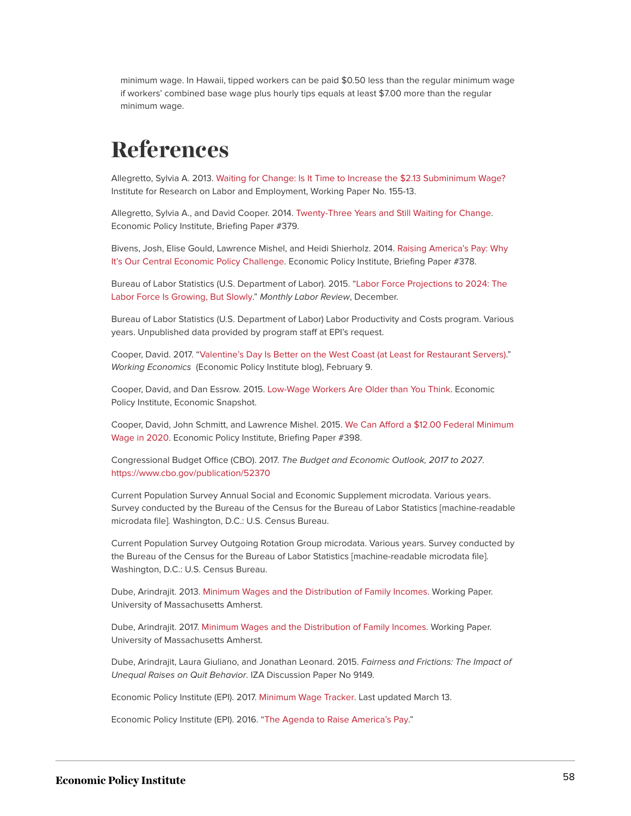minimum wage. In Hawaii, tipped workers can be paid \$0.50 less than the regular minimum wage if workers' combined base wage plus hourly tips equals at least \$7.00 more than the regular minimum wage.

# <span id="page-58-0"></span>**References**

Allegretto, Sylvia A. 2013. [Waiting for Change: Is It Time to Increase the \\$2.13 Subminimum Wage?](http://irle.berkeley.edu/workingpapers/144-13.pdf) Institute for Research on Labor and Employment, Working Paper No. 155-13.

Allegretto, Sylvia A., and David Cooper. 2014. [Twenty-Three Years and Still Waiting for Change.](http://www.epi.org/publication/waiting-for-change-tipped-minimum-wage/) Economic Policy Institute, Briefing Paper #379.

Bivens, Josh, Elise Gould, Lawrence Mishel, and Heidi Shierholz. 2014. [Raising America's Pay: Why](http://www.epi.org/publication/raising-americas-pay/) [It's Our Central Economic Policy Challenge.](http://www.epi.org/publication/raising-americas-pay/) Economic Policy Institute, Briefing Paper #378.

Bureau of Labor Statistics (U.S. Department of Labor). 2015. "[Labor Force Projections to 2024: The](https://www.bls.gov/opub/mlr/2015/article/labor-force-projections-to-2024.htm) [Labor Force Is Growing, But Slowly](https://www.bls.gov/opub/mlr/2015/article/labor-force-projections-to-2024.htm)." *Monthly Labor Review*, December.

Bureau of Labor Statistics (U.S. Department of Labor) Labor Productivity and Costs program. Various years. Unpublished data provided by program staff at EPI's request.

Cooper, David. 2017. "[Valentine's Day Is Better on the West Coast \(at Least for Restaurant Servers\)](http://www.epi.org/blog/valentines-day-is-better-on-the-west-coast-at-least-for-restaurant-servers/)." *Working Economics* (Economic Policy Institute blog), February 9.

Cooper, David, and Dan Essrow. 2015. [Low-Wage Workers Are Older than You Think](http://www.epi.org/publication/low-wage-workers-are-older-than-you-think/). Economic Policy Institute, Economic Snapshot.

Cooper, David, John Schmitt, and Lawrence Mishel. 2015. [We Can Afford a \\$12.00 Federal Minimum](http://www.epi.org/publication/we-can-afford-a-12-00-federal-minimum-wage-in-2020/) [Wage in 2020.](http://www.epi.org/publication/we-can-afford-a-12-00-federal-minimum-wage-in-2020/) Economic Policy Institute, Briefing Paper #398.

Congressional Budget Office (CBO). 2017. *The Budget and Economic Outlook, 2017 to 2027*. <https://www.cbo.gov/publication/52370>

Current Population Survey Annual Social and Economic Supplement microdata. Various years. Survey conducted by the Bureau of the Census for the Bureau of Labor Statistics [machine-readable microdata file]. Washington, D.C.: U.S. Census Bureau.

Current Population Survey Outgoing Rotation Group microdata. Various years. Survey conducted by the Bureau of the Census for the Bureau of Labor Statistics [machine-readable microdata file]. Washington, D.C.: U.S. Census Bureau.

Dube, Arindrajit. 2013. [Minimum Wages and the Distribution of Family Incomes.](https://dl.dropboxusercontent.com/u/15038936/Dube_MinimumWagesFamilyIncomes.pdf) Working Paper. University of Massachusetts Amherst.

Dube, Arindrajit. 2017. [Minimum Wages and the Distribution of Family Incomes.](https://dl.dropboxusercontent.com/u/15038936/Dube_MinimumWagesFamilyIncomes_2017.pdf) Working Paper. University of Massachusetts Amherst.

Dube, Arindrajit, Laura Giuliano, and Jonathan Leonard. 2015. *Fairness and Frictions: The Impact of Unequal Raises on Quit Behavior*. IZA Discussion Paper No 9149.

Economic Policy Institute (EPI). 2017. [Minimum Wage Tracker.](http://www.epi.org/minimum-wage-tracker/) Last updated March 13.

Economic Policy Institute (EPI). 2016. "[The Agenda to Raise America's Pay](http://www.epi.org/pay-agenda/)."